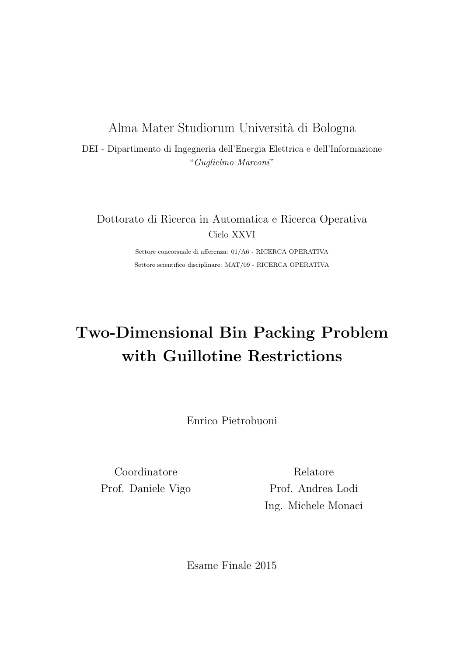## Alma Mater Studiorum Università di Bologna

DEI - Dipartimento di Ingegneria dell'Energia Elettrica e dell'Informazione "Guglielmo Marconi"

## Dottorato di Ricerca in Automatica e Ricerca Operativa Ciclo XXVI

Settore concorsuale di afferenza: 01/A6 - RICERCA OPERATIVA Settore scientifico disciplinare: MAT/09 - RICERCA OPERATIVA

# Two-Dimensional Bin Packing Problem with Guillotine Restrictions

Enrico Pietrobuoni

Coordinatore Relatore

Prof. Daniele Vigo Prof. Andrea Lodi Ing. Michele Monaci

Esame Finale 2015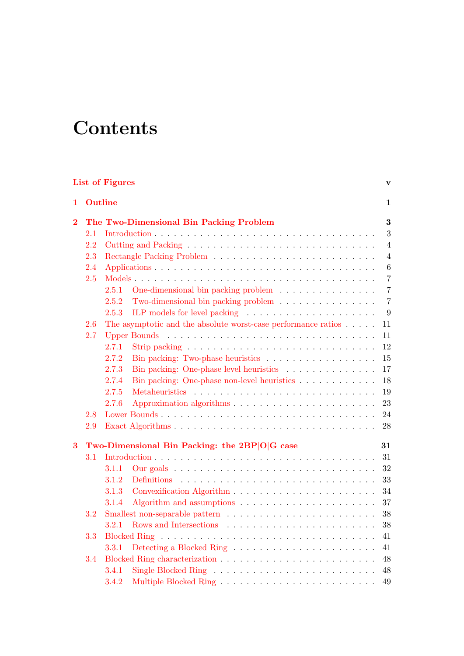# **Contents**

|          | List of Figures |       |                                                                                       | $\mathbf{v}$   |
|----------|-----------------|-------|---------------------------------------------------------------------------------------|----------------|
| 1        | <b>Outline</b>  |       |                                                                                       | 1              |
| $\bf{2}$ |                 |       | The Two-Dimensional Bin Packing Problem                                               | 3              |
|          | $2.1\,$         |       |                                                                                       | 3              |
|          | 2.2             |       |                                                                                       | $\overline{4}$ |
|          | 2.3             |       |                                                                                       | 4              |
|          | 2.4             |       |                                                                                       | $\,6\,$        |
|          | 2.5             |       |                                                                                       | $\overline{7}$ |
|          |                 | 2.5.1 | One-dimensional bin packing problem                                                   | $\overline{7}$ |
|          |                 | 2.5.2 | Two-dimensional bin packing problem $\ldots \ldots \ldots \ldots \ldots$              | $\overline{7}$ |
|          |                 | 2.5.3 |                                                                                       | 9              |
|          | 2.6             |       | The asymptotic and the absolute worst-case performance ratios $\dots$ .               | 11             |
|          | 2.7             |       |                                                                                       | 11             |
|          |                 | 2.7.1 | Strip packing $\ldots \ldots \ldots \ldots \ldots \ldots \ldots \ldots \ldots \ldots$ | 12             |
|          |                 | 2.7.2 |                                                                                       | $15\,$         |
|          |                 | 2.7.3 | Bin packing: One-phase level heuristics                                               | 17             |
|          |                 | 2.7.4 | Bin packing: One-phase non-level heuristics                                           | 18             |
|          |                 | 2.7.5 |                                                                                       | $19\,$         |
|          |                 | 2.7.6 |                                                                                       | 23             |
|          | 2.8             |       |                                                                                       | 24             |
|          | 2.9             |       |                                                                                       | 28             |
| 3        |                 |       | Two-Dimensional Bin Packing: the 2BP O G case                                         | 31             |
|          | 3.1             |       |                                                                                       | 31             |
|          |                 | 3.1.1 |                                                                                       | 32             |
|          |                 | 3.1.2 |                                                                                       | 33             |
|          |                 | 3.1.3 |                                                                                       | 34             |
|          |                 | 3.1.4 |                                                                                       | 37             |
|          | $3.2\,$         |       |                                                                                       | 38             |
|          |                 | 3.2.1 |                                                                                       | 38             |
|          | 3.3             |       |                                                                                       | 41             |
|          |                 | 3.3.1 |                                                                                       | 41             |
|          | 3.4             |       |                                                                                       | 48             |
|          |                 | 3.4.1 |                                                                                       | 48             |
|          |                 | 3.4.2 |                                                                                       | 49             |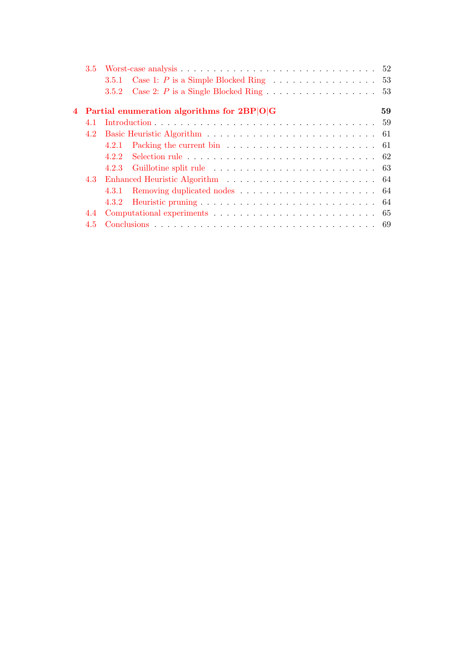| $3.5^{\circ}$ |       |                                                                                           |    |
|---------------|-------|-------------------------------------------------------------------------------------------|----|
|               | 3.5.1 |                                                                                           |    |
|               | 3.5.2 |                                                                                           |    |
|               |       | 4 Partial enumeration algorithms for 2BP O G                                              | 59 |
| 4.1           |       |                                                                                           |    |
| 4.2           |       |                                                                                           |    |
|               | 4.2.1 |                                                                                           |    |
|               | 4.2.2 | Selection rule $\ldots \ldots \ldots \ldots \ldots \ldots \ldots \ldots \ldots \ldots 62$ |    |
|               | 4.2.3 |                                                                                           |    |
|               |       |                                                                                           |    |
|               |       |                                                                                           |    |
|               | 4.3.2 |                                                                                           |    |
| 4.4           |       |                                                                                           |    |
|               |       |                                                                                           |    |
|               |       |                                                                                           |    |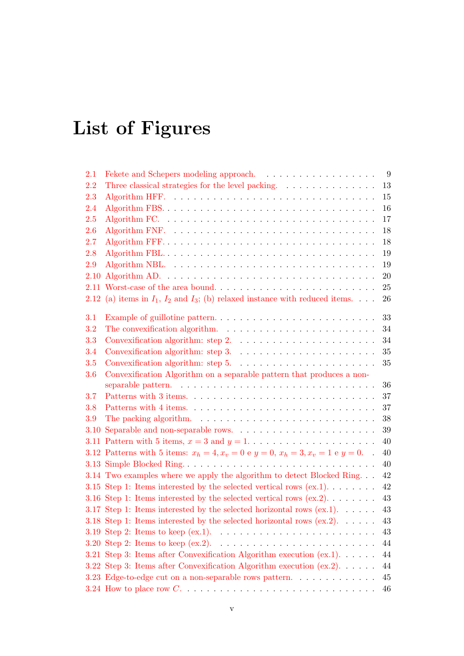# <span id="page-4-0"></span>List of Figures

| 2.1  |                                                                                                  | 9      |
|------|--------------------------------------------------------------------------------------------------|--------|
| 2.2  | Three classical strategies for the level packing.                                                | 13     |
| 2.3  |                                                                                                  | $15\,$ |
| 2.4  |                                                                                                  | 16     |
| 2.5  |                                                                                                  | 17     |
| 2.6  |                                                                                                  | $18\,$ |
| 2.7  |                                                                                                  | 18     |
| 2.8  |                                                                                                  | 19     |
| 2.9  |                                                                                                  | 19     |
| 2.10 |                                                                                                  | 20     |
|      | 2.11 Worst-case of the area bound                                                                | 25     |
|      | 2.12 (a) items in $I_1$ , $I_2$ and $I_3$ ; (b) relaxed instance with reduced items.             | 26     |
|      |                                                                                                  |        |
| 3.1  | Example of guillotine pattern. $\dots \dots \dots \dots \dots \dots \dots \dots \dots \dots$     | 33     |
| 3.2  | The convexification algorithm. $\ldots \ldots \ldots \ldots \ldots \ldots \ldots \ldots$         | 34     |
| 3.3  | Convexification algorithm: step $2, \ldots, \ldots, \ldots, \ldots, \ldots, \ldots$              | 34     |
| 3.4  |                                                                                                  | 35     |
| 3.5  |                                                                                                  | 35     |
| 3.6  | Convexification Algorithm on a separable pattern that produces a non-                            |        |
|      |                                                                                                  | $36\,$ |
| 3.7  |                                                                                                  | 37     |
| 3.8  |                                                                                                  | 37     |
| 3.9  | The packing algorithm. $\ldots \ldots \ldots \ldots \ldots \ldots \ldots \ldots \ldots$          | 38     |
|      |                                                                                                  | 39     |
|      | 3.11 Pattern with 5 items, $x = 3$ and $y = 1, \ldots, \ldots, \ldots, \ldots, \ldots$           | 40     |
|      | 3.12 Patterns with 5 items: $x_h = 4, x_v = 0$ e $y = 0, x_h = 3, x_v = 1$ e $y = 0$ .           | 40     |
|      |                                                                                                  | 40     |
|      | 3.14 Two examples where we apply the algorithm to detect Blocked Ring                            | 42     |
|      | 3.15 Step 1: Items interested by the selected vertical rows $(ex.1). \ldots \ldots$              | 42     |
|      | 3.16 Step 1: Items interested by the selected vertical rows $(ex.2)$                             | 43     |
|      | 3.17 Step 1: Items interested by the selected horizontal rows (ex.1). $\dots$ .                  | 43     |
|      | 3.18 Step 1: Items interested by the selected horizontal rows (ex.2). $\ldots$ . 43              |        |
|      |                                                                                                  | 43     |
|      |                                                                                                  | 44     |
|      | 3.21 Step 3: Items after Convexification Algorithm execution $(ex.1)$ .                          | 44     |
|      | 3.22 Step 3: Items after Convexification Algorithm execution $(ex.2)$ .                          | 44     |
|      | 3.23 Edge-to-edge cut on a non-separable rows pattern.                                           | 45     |
|      | 3.24 How to place row $C. \ldots \ldots \ldots \ldots \ldots \ldots \ldots \ldots \ldots \ldots$ | 46     |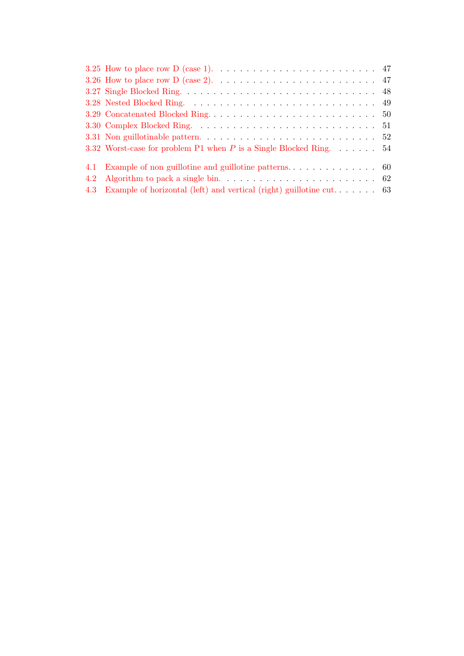|     | 3.26 How to place row D (case 2). $\dots \dots \dots \dots \dots \dots \dots \dots \dots \dots \dots \dots$ |  |
|-----|-------------------------------------------------------------------------------------------------------------|--|
|     |                                                                                                             |  |
|     |                                                                                                             |  |
|     |                                                                                                             |  |
|     |                                                                                                             |  |
|     | 3.31 Non guillotinable pattern. $\ldots \ldots \ldots \ldots \ldots \ldots \ldots \ldots \ldots 52$         |  |
|     | 3.32 Worst-case for problem P1 when P is a Single Blocked Ring. $\ldots$ 54                                 |  |
|     |                                                                                                             |  |
|     |                                                                                                             |  |
| 4.2 | Algorithm to pack a single bin. $\ldots \ldots \ldots \ldots \ldots \ldots \ldots \ldots 62$                |  |
|     | 4.3 Example of horizontal (left) and vertical (right) guillotine cut 63                                     |  |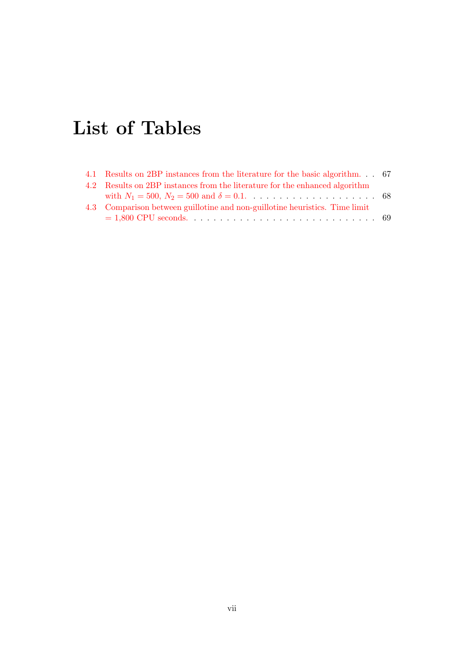# List of Tables

| 4.1 Results on 2BP instances from the literature for the basic algorithm. 67 |  |
|------------------------------------------------------------------------------|--|
| 4.2 Results on 2BP instances from the literature for the enhanced algorithm  |  |
|                                                                              |  |
| 4.3 Comparison between guillotine and non-guillotine heuristics. Time limit  |  |
|                                                                              |  |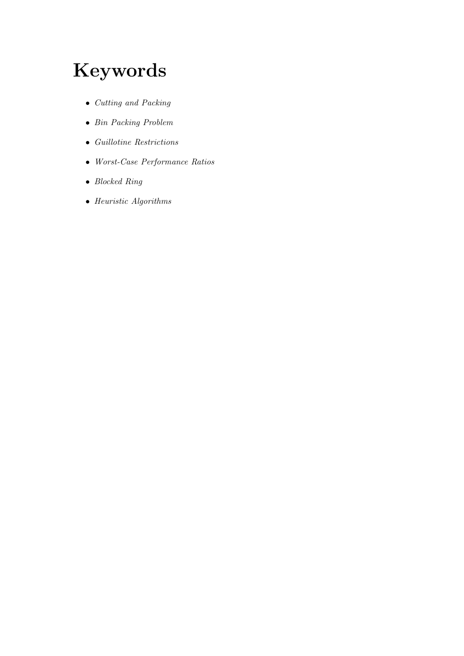# Keywords

- Cutting and Packing
- Bin Packing Problem
- $\bullet$   $\;$  Guillotine Restrictions
- Worst-Case Performance Ratios
- Blocked Ring
- Heuristic Algorithms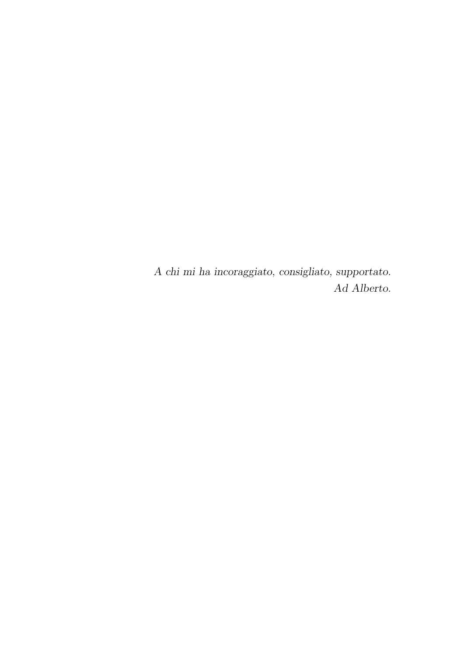A chi mi ha incoraggiato, consigliato, supportato. Ad Alberto.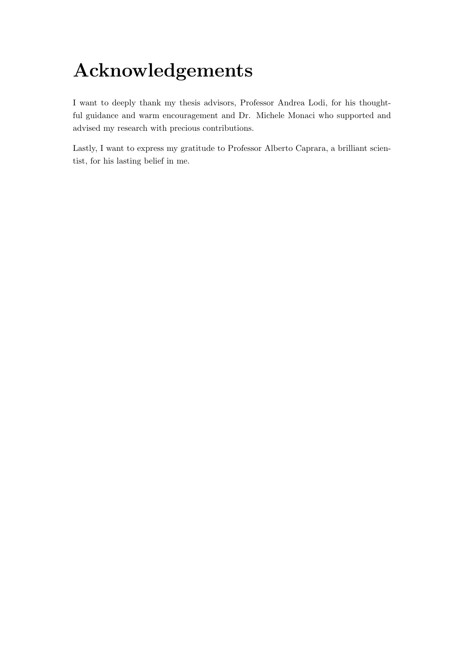# Acknowledgements

I want to deeply thank my thesis advisors, Professor Andrea Lodi, for his thoughtful guidance and warm encouragement and Dr. Michele Monaci who supported and advised my research with precious contributions.

Lastly, I want to express my gratitude to Professor Alberto Caprara, a brilliant scientist, for his lasting belief in me.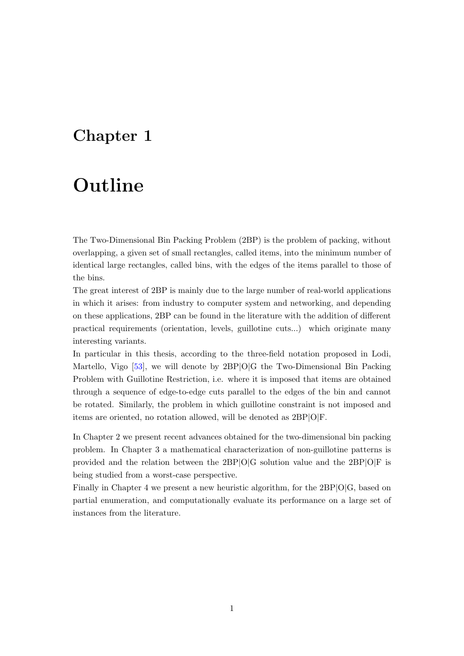# <span id="page-14-0"></span>Chapter 1

# Outline

The Two-Dimensional Bin Packing Problem (2BP) is the problem of packing, without overlapping, a given set of small rectangles, called items, into the minimum number of identical large rectangles, called bins, with the edges of the items parallel to those of the bins.

The great interest of 2BP is mainly due to the large number of real-world applications in which it arises: from industry to computer system and networking, and depending on these applications, 2BP can be found in the literature with the addition of different practical requirements (orientation, levels, guillotine cuts...) which originate many interesting variants.

In particular in this thesis, according to the three-field notation proposed in Lodi, Martello, Vigo [\[53\]](#page-87-0), we will denote by 2BP|O|G the Two-Dimensional Bin Packing Problem with Guillotine Restriction, i.e. where it is imposed that items are obtained through a sequence of edge-to-edge cuts parallel to the edges of the bin and cannot be rotated. Similarly, the problem in which guillotine constraint is not imposed and items are oriented, no rotation allowed, will be denoted as 2BP|O|F.

In Chapter 2 we present recent advances obtained for the two-dimensional bin packing problem. In Chapter 3 a mathematical characterization of non-guillotine patterns is provided and the relation between the 2BP|O|G solution value and the 2BP|O|F is being studied from a worst-case perspective.

Finally in Chapter 4 we present a new heuristic algorithm, for the 2BP|O|G, based on partial enumeration, and computationally evaluate its performance on a large set of instances from the literature.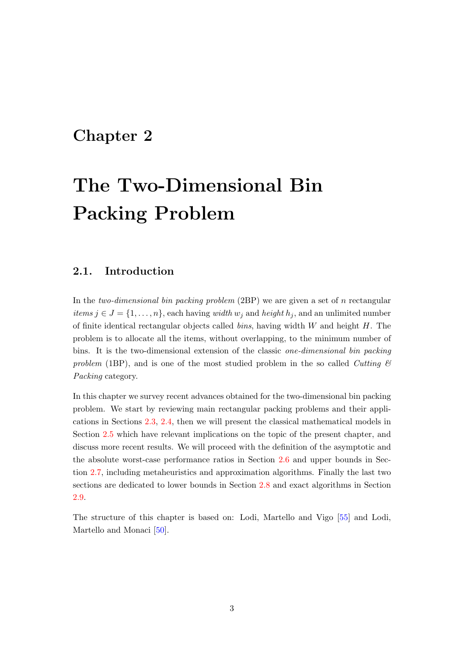## <span id="page-16-0"></span>Chapter 2

# The Two-Dimensional Bin Packing Problem

### <span id="page-16-1"></span>2.1. Introduction

In the two-dimensional bin packing problem  $(2BP)$  we are given a set of n rectangular items  $j \in J = \{1, \ldots, n\}$ , each having width  $w_j$  and height  $h_j$ , and an unlimited number of finite identical rectangular objects called bins, having width  $W$  and height  $H$ . The problem is to allocate all the items, without overlapping, to the minimum number of bins. It is the two-dimensional extension of the classic one-dimensional bin packing problem (1BP), and is one of the most studied problem in the so called Cutting  $\mathcal B$ Packing category.

In this chapter we survey recent advances obtained for the two-dimensional bin packing problem. We start by reviewing main rectangular packing problems and their applications in Sections [2.3,](#page-17-1) [2.4,](#page-19-0) then we will present the classical mathematical models in Section [2.5](#page-20-0) which have relevant implications on the topic of the present chapter, and discuss more recent results. We will proceed with the definition of the asymptotic and the absolute worst-case performance ratios in Section [2.6](#page-24-0) and upper bounds in Section [2.7,](#page-24-1) including metaheuristics and approximation algorithms. Finally the last two sections are dedicated to lower bounds in Section [2.8](#page-37-0) and exact algorithms in Section [2.9.](#page-41-0)

The structure of this chapter is based on: Lodi, Martello and Vigo [\[55\]](#page-88-0) and Lodi, Martello and Monaci [\[50\]](#page-87-1).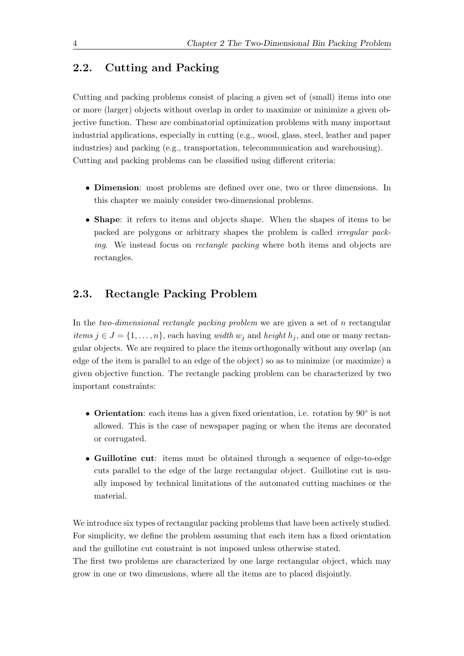### <span id="page-17-0"></span>2.2. Cutting and Packing

Cutting and packing problems consist of placing a given set of (small) items into one or more (larger) objects without overlap in order to maximize or minimize a given objective function. These are combinatorial optimization problems with many important industrial applications, especially in cutting (e.g., wood, glass, steel, leather and paper industries) and packing (e.g., transportation, telecommunication and warehousing). Cutting and packing problems can be classified using different criteria:

- Dimension: most problems are defined over one, two or three dimensions. In this chapter we mainly consider two-dimensional problems.
- Shape: it refers to items and objects shape. When the shapes of items to be packed are polygons or arbitrary shapes the problem is called irregular packing. We instead focus on *rectangle packing* where both items and objects are rectangles.

### <span id="page-17-1"></span>2.3. Rectangle Packing Problem

In the two-dimensional rectangle packing problem we are given a set of  $n$  rectangular items  $j \in J = \{1, \ldots, n\}$ , each having width  $w_j$  and height  $h_j$ , and one or many rectangular objects. We are required to place the items orthogonally without any overlap (an edge of the item is parallel to an edge of the object) so as to minimize (or maximize) a given objective function. The rectangle packing problem can be characterized by two important constraints:

- Orientation: each items has a given fixed orientation, i.e. rotation by 90◦ is not allowed. This is the case of newspaper paging or when the items are decorated or corrugated.
- Guillotine cut: items must be obtained through a sequence of edge-to-edge cuts parallel to the edge of the large rectangular object. Guillotine cut is usually imposed by technical limitations of the automated cutting machines or the material.

We introduce six types of rectangular packing problems that have been actively studied. For simplicity, we define the problem assuming that each item has a fixed orientation and the guillotine cut constraint is not imposed unless otherwise stated.

The first two problems are characterized by one large rectangular object, which may grow in one or two dimensions, where all the items are to placed disjointly.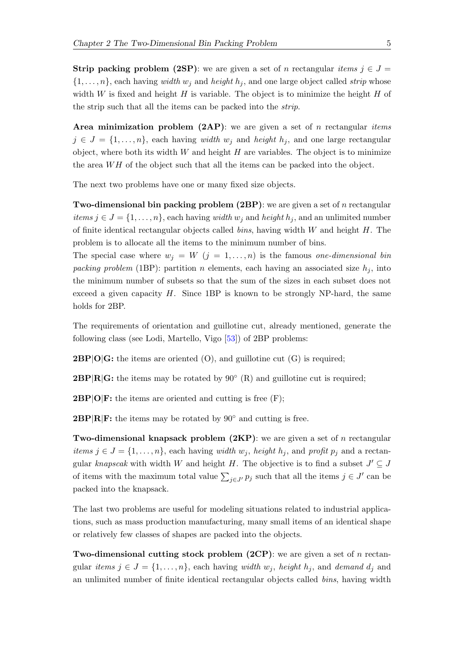**Strip packing problem (2SP)**: we are given a set of n rectangular *items*  $j \in J =$  $\{1,\ldots,n\}$ , each having *width*  $w_j$  and *height*  $h_j$ , and one large object called *strip* whose width  $W$  is fixed and height  $H$  is variable. The object is to minimize the height  $H$  of the strip such that all the items can be packed into the strip.

Area minimization problem  $(2AP)$ : we are given a set of n rectangular *items*  $j \in J = \{1, \ldots, n\}$ , each having *width*  $w_j$  and *height*  $h_j$ , and one large rectangular object, where both its width  $W$  and height  $H$  are variables. The object is to minimize the area WH of the object such that all the items can be packed into the object.

The next two problems have one or many fixed size objects.

**Two-dimensional bin packing problem (2BP)**: we are given a set of n rectangular *items*  $j \in J = \{1, \ldots, n\}$ , each having *width*  $w_j$  and *height*  $h_j$ , and an unlimited number of finite identical rectangular objects called bins, having width  $W$  and height  $H$ . The problem is to allocate all the items to the minimum number of bins.

The special case where  $w_j = W$   $(j = 1, ..., n)$  is the famous one-dimensional bin packing problem (1BP): partition n elements, each having an associated size  $h_j$ , into the minimum number of subsets so that the sum of the sizes in each subset does not exceed a given capacity  $H$ . Since 1BP is known to be strongly NP-hard, the same holds for 2BP.

The requirements of orientation and guillotine cut, already mentioned, generate the following class (see Lodi, Martello, Vigo [\[53\]](#page-87-0)) of 2BP problems:

**2BP|O|G:** the items are oriented  $(O)$ , and guillotine cut  $(G)$  is required;

**2BP|R|G:** the items may be rotated by  $90^\circ$  (R) and guillotine cut is required;

**2BP|O|F:** the items are oriented and cutting is free  $(F)$ ;

**2BP|R|F:** the items may be rotated by  $90°$  and cutting is free.

**Two-dimensional knapsack problem (2KP)**: we are given a set of n rectangular items  $j \in J = \{1, \ldots, n\}$ , each having width  $w_j$ , height  $h_j$ , and profit  $p_j$  and a rectangular knapscak with width W and height H. The objective is to find a subset  $J' \subseteq J$ of items with the maximum total value  $\sum_{j\in J'} p_j$  such that all the items  $j \in J'$  can be packed into the knapsack.

The last two problems are useful for modeling situations related to industrial applications, such as mass production manufacturing, many small items of an identical shape or relatively few classes of shapes are packed into the objects.

Two-dimensional cutting stock problem  $(2\text{CP})$ : we are given a set of n rectangular items  $j \in J = \{1, \ldots, n\}$ , each having width  $w_j$ , height  $h_j$ , and demand  $d_j$  and an unlimited number of finite identical rectangular objects called bins, having width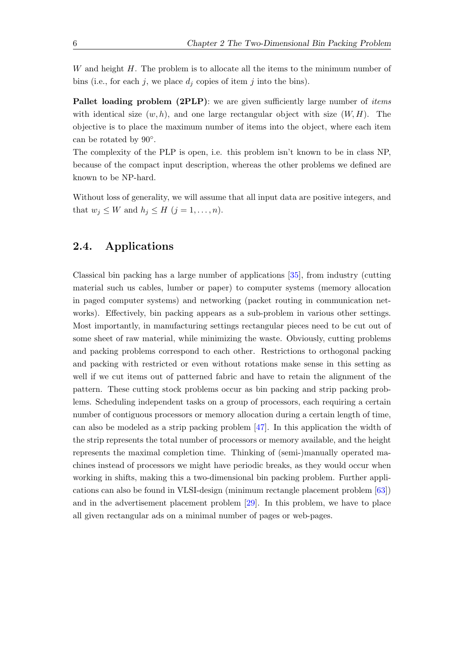$W$  and height  $H$ . The problem is to allocate all the items to the minimum number of bins (i.e., for each j, we place  $d_i$  copies of item j into the bins).

Pallet loading problem (2PLP): we are given sufficiently large number of *items* with identical size  $(w, h)$ , and one large rectangular object with size  $(W, H)$ . The objective is to place the maximum number of items into the object, where each item can be rotated by 90◦ .

The complexity of the PLP is open, i.e. this problem isn't known to be in class NP, because of the compact input description, whereas the other problems we defined are known to be NP-hard.

Without loss of generality, we will assume that all input data are positive integers, and that  $w_j \leq W$  and  $h_j \leq H$   $(j = 1, \ldots, n)$ .

## <span id="page-19-0"></span>2.4. Applications

Classical bin packing has a large number of applications [\[35\]](#page-86-0), from industry (cutting material such us cables, lumber or paper) to computer systems (memory allocation in paged computer systems) and networking (packet routing in communication networks). Effectively, bin packing appears as a sub-problem in various other settings. Most importantly, in manufacturing settings rectangular pieces need to be cut out of some sheet of raw material, while minimizing the waste. Obviously, cutting problems and packing problems correspond to each other. Restrictions to orthogonal packing and packing with restricted or even without rotations make sense in this setting as well if we cut items out of patterned fabric and have to retain the alignment of the pattern. These cutting stock problems occur as bin packing and strip packing problems. Scheduling independent tasks on a group of processors, each requiring a certain number of contiguous processors or memory allocation during a certain length of time, can also be modeled as a strip packing problem [\[47\]](#page-87-2). In this application the width of the strip represents the total number of processors or memory available, and the height represents the maximal completion time. Thinking of (semi-)manually operated machines instead of processors we might have periodic breaks, as they would occur when working in shifts, making this a two-dimensional bin packing problem. Further applications can also be found in VLSI-design (minimum rectangle placement problem [\[63\]](#page-88-1)) and in the advertisement placement problem [\[29\]](#page-86-1). In this problem, we have to place all given rectangular ads on a minimal number of pages or web-pages.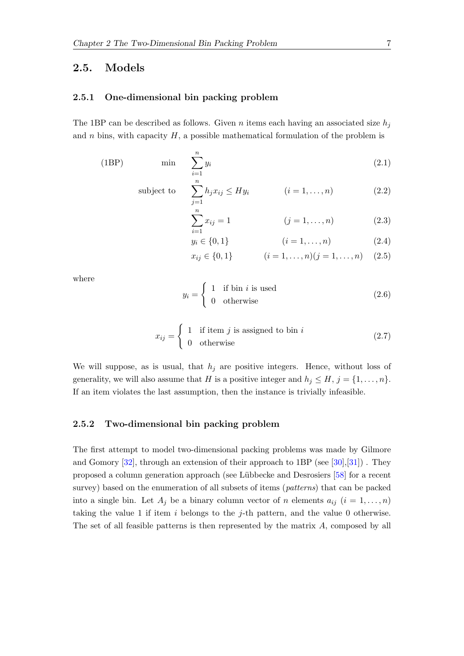### <span id="page-20-0"></span>2.5. Models

#### <span id="page-20-1"></span>2.5.1 One-dimensional bin packing problem

The 1BP can be described as follows. Given *n* items each having an associated size  $h_j$ and  $n$  bins, with capacity  $H$ , a possible mathematical formulation of the problem is

$$
(1BP) \tmin \t\sum_{i=1}^{n} y_i \t\t(2.1)
$$

subject to 
$$
\sum_{j=1}^{n} h_j x_{ij} \leq Hy_i \qquad (i = 1, ..., n)
$$
 (2.2)

$$
\sum_{i=1}^{n} x_{ij} = 1 \qquad (j = 1, ..., n) \qquad (2.3)
$$

$$
i=1
$$
  
\n $y_i \in \{0, 1\}$  \t\t\t $(i = 1, ..., n)$  \t\t\t(2.4)

$$
x_{ij} \in \{0, 1\} \qquad (i = 1, \dots, n)(j = 1, \dots, n) \quad (2.5)
$$

where

$$
y_i = \begin{cases} 1 & \text{if bin } i \text{ is used} \\ 0 & \text{otherwise} \end{cases}
$$
 (2.6)

$$
x_{ij} = \begin{cases} 1 & \text{if item } j \text{ is assigned to bin } i \\ 0 & \text{otherwise} \end{cases}
$$
 (2.7)

We will suppose, as is usual, that  $h_j$  are positive integers. Hence, without loss of generality, we will also assume that H is a positive integer and  $h_j \leq H$ ,  $j = \{1, \ldots, n\}$ . If an item violates the last assumption, then the instance is trivially infeasible.

#### <span id="page-20-2"></span>2.5.2 Two-dimensional bin packing problem

The first attempt to model two-dimensional packing problems was made by Gilmore and Gomory [\[32\]](#page-86-2), through an extension of their approach to 1BP (see [\[30\]](#page-86-3),[\[31\]](#page-86-4)) . They proposed a column generation approach (see L¨ubbecke and Desrosiers [\[58\]](#page-88-2) for a recent survey) based on the enumeration of all subsets of items (*patterns*) that can be packed into a single bin. Let  $A_j$  be a binary column vector of n elements  $a_{ij}$   $(i = 1, \ldots, n)$ taking the value 1 if item  $i$  belongs to the  $j$ -th pattern, and the value 0 otherwise. The set of all feasible patterns is then represented by the matrix A, composed by all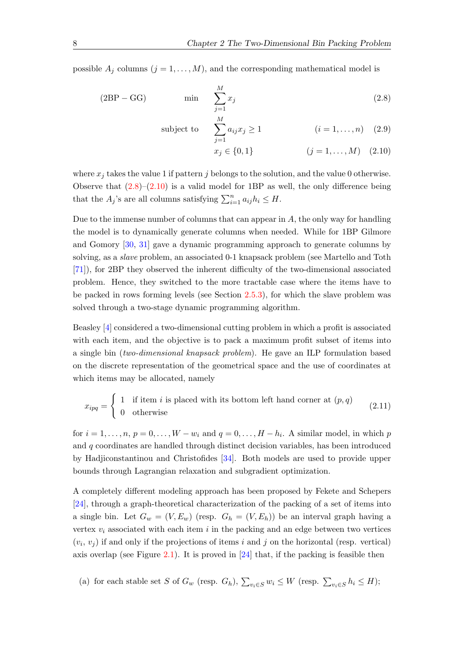possible  $A_j$  columns  $(j = 1, ..., M)$ , and the corresponding mathematical model is

<span id="page-21-0"></span>
$$
(2BP - GG) \qquad \min \qquad \sum_{j=1}^{M} x_j \tag{2.8}
$$

subject to 
$$
\sum_{j=1}^{M} a_{ij} x_j \ge 1
$$
  $(i = 1, ..., n)$  (2.9)

$$
x_j \in \{0, 1\} \qquad (j = 1, \dots, M) \quad (2.10)
$$

where  $x_j$  takes the value 1 if pattern j belongs to the solution, and the value 0 otherwise. Observe that  $(2.8)$ – $(2.10)$  is a valid model for 1BP as well, the only difference being that the  $A_j$ 's are all columns satisfying  $\sum_{i=1}^n a_{ij}h_i \leq H$ .

Due to the immense number of columns that can appear in  $A$ , the only way for handling the model is to dynamically generate columns when needed. While for 1BP Gilmore and Gomory [\[30,](#page-86-3) [31\]](#page-86-4) gave a dynamic programming approach to generate columns by solving, as a slave problem, an associated 0-1 knapsack problem (see Martello and Toth [\[71\]](#page-89-0)), for 2BP they observed the inherent difficulty of the two-dimensional associated problem. Hence, they switched to the more tractable case where the items have to be packed in rows forming levels (see Section [2.5.3\)](#page-22-0), for which the slave problem was solved through a two-stage dynamic programming algorithm.

Beasley [\[4\]](#page-84-0) considered a two-dimensional cutting problem in which a profit is associated with each item, and the objective is to pack a maximum profit subset of items into a single bin (two-dimensional knapsack problem). He gave an ILP formulation based on the discrete representation of the geometrical space and the use of coordinates at which items may be allocated, namely

$$
x_{ipq} = \begin{cases} 1 & \text{if item } i \text{ is placed with its bottom left hand corner at } (p, q) \\ 0 & \text{otherwise} \end{cases}
$$
 (2.11)

for  $i = 1, \ldots, n, p = 0, \ldots, W - w_i$  and  $q = 0, \ldots, H - h_i$ . A similar model, in which p and q coordinates are handled through distinct decision variables, has been introduced by Hadjiconstantinou and Christofides [\[34\]](#page-86-5). Both models are used to provide upper bounds through Lagrangian relaxation and subgradient optimization.

A completely different modeling approach has been proposed by Fekete and Schepers [\[24\]](#page-85-0), through a graph-theoretical characterization of the packing of a set of items into a single bin. Let  $G_w = (V, E_w)$  (resp.  $G_h = (V, E_h)$ ) be an interval graph having a vertex  $v_i$  associated with each item i in the packing and an edge between two vertices  $(v_i, v_j)$  if and only if the projections of items i and j on the horizontal (resp. vertical) axis overlap (see Figure [2.1\)](#page-22-1). It is proved in  $[24]$  that, if the packing is feasible then

(a) for each stable set S of  $G_w$  (resp.  $G_h$ ),  $\sum_{v_i \in S} w_i \leq W$  (resp.  $\sum_{v_i \in S} h_i \leq H$ );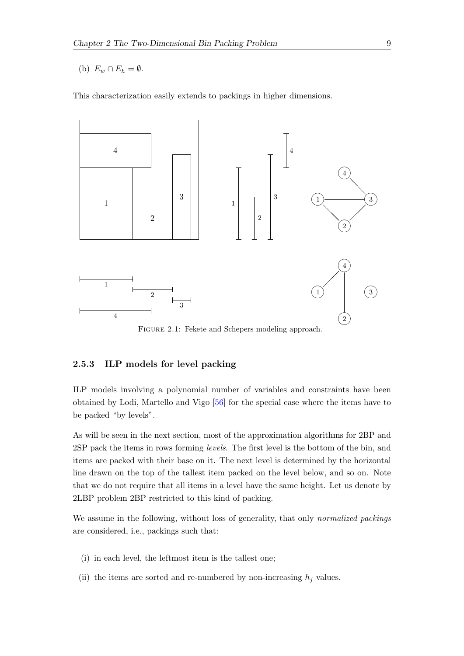(b)  $E_w \cap E_h = \emptyset$ .

<span id="page-22-1"></span>This characterization easily extends to packings in higher dimensions.



FIGURE 2.1: Fekete and Schepers modeling approach.

### <span id="page-22-0"></span>2.5.3 ILP models for level packing

ILP models involving a polynomial number of variables and constraints have been obtained by Lodi, Martello and Vigo [\[56\]](#page-88-3) for the special case where the items have to be packed "by levels".

As will be seen in the next section, most of the approximation algorithms for 2BP and 2SP pack the items in rows forming levels. The first level is the bottom of the bin, and items are packed with their base on it. The next level is determined by the horizontal line drawn on the top of the tallest item packed on the level below, and so on. Note that we do not require that all items in a level have the same height. Let us denote by 2LBP problem 2BP restricted to this kind of packing.

We assume in the following, without loss of generality, that only normalized packings are considered, i.e., packings such that:

- (i) in each level, the leftmost item is the tallest one;
- (ii) the items are sorted and re-numbered by non-increasing  $h_j$  values.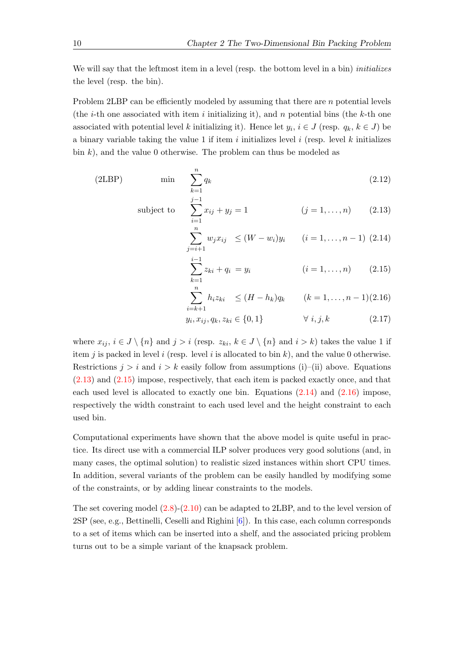We will say that the leftmost item in a level (resp. the bottom level in a bin) *initializes* the level (resp. the bin).

Problem 2LBP can be efficiently modeled by assuming that there are n potential levels (the *i*-th one associated with item *i* initializing it), and *n* potential bins (the *k*-th one associated with potential level k initializing it). Hence let  $y_i, i \in J$  (resp.  $q_k, k \in J$ ) be a binary variable taking the value 1 if item i initializes level i (resp. level k initializes bin  $k$ ), and the value 0 otherwise. The problem can thus be modeled as

<span id="page-23-0"></span>
$$
(2LBP) \tmin \t\sum_{k=1}^{n} q_k \t(2.12)
$$

 $\overline{j}$ 

subject to 
$$
\sum_{i=1}^{j-1} x_{ij} + y_j = 1
$$
   
  $(j = 1,...,n)$  (2.13)

$$
\sum_{i=1}^{n} w_j x_{ij} \le (W - w_i) y_i \qquad (i = 1, \dots, n-1) \tag{2.14}
$$

$$
\sum_{k=1}^{i-1} z_{ki} + q_i = y_i \qquad (i = 1, ..., n) \qquad (2.15)
$$

$$
\sum_{i=k+1}^{n} h_i z_{ki} \le (H - h_k) q_k \qquad (k = 1, \dots, n-1) (2.16)
$$

$$
y_i, x_{ij}, q_k, z_{ki} \in \{0, 1\} \qquad \forall \ i, j, k \qquad (2.17)
$$

where  $x_{ij}$ ,  $i \in J \setminus \{n\}$  and  $j > i$  (resp.  $z_{ki}$ ,  $k \in J \setminus \{n\}$  and  $i > k$ ) takes the value 1 if item j is packed in level i (resp. level i is allocated to bin  $k$ ), and the value 0 otherwise. Restrictions  $j > i$  and  $i > k$  easily follow from assumptions (i)–(ii) above. Equations [\(2.13\)](#page-23-0) and [\(2.15\)](#page-23-0) impose, respectively, that each item is packed exactly once, and that each used level is allocated to exactly one bin. Equations  $(2.14)$  and  $(2.16)$  impose, respectively the width constraint to each used level and the height constraint to each used bin.

Computational experiments have shown that the above model is quite useful in practice. Its direct use with a commercial ILP solver produces very good solutions (and, in many cases, the optimal solution) to realistic sized instances within short CPU times. In addition, several variants of the problem can be easily handled by modifying some of the constraints, or by adding linear constraints to the models.

The set covering model [\(2.8\)](#page-21-0)-[\(2.10\)](#page-21-0) can be adapted to 2LBP, and to the level version of 2SP (see, e.g., Bettinelli, Ceselli and Righini [\[6\]](#page-84-1)). In this case, each column corresponds to a set of items which can be inserted into a shelf, and the associated pricing problem turns out to be a simple variant of the knapsack problem.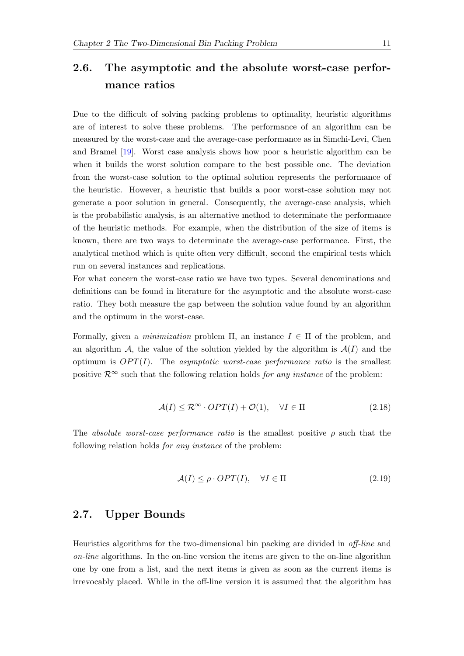## <span id="page-24-0"></span>2.6. The asymptotic and the absolute worst-case performance ratios

Due to the difficult of solving packing problems to optimality, heuristic algorithms are of interest to solve these problems. The performance of an algorithm can be measured by the worst-case and the average-case performance as in Simchi-Levi, Chen and Bramel [\[19\]](#page-85-1). Worst case analysis shows how poor a heuristic algorithm can be when it builds the worst solution compare to the best possible one. The deviation from the worst-case solution to the optimal solution represents the performance of the heuristic. However, a heuristic that builds a poor worst-case solution may not generate a poor solution in general. Consequently, the average-case analysis, which is the probabilistic analysis, is an alternative method to determinate the performance of the heuristic methods. For example, when the distribution of the size of items is known, there are two ways to determinate the average-case performance. First, the analytical method which is quite often very difficult, second the empirical tests which run on several instances and replications.

For what concern the worst-case ratio we have two types. Several denominations and definitions can be found in literature for the asymptotic and the absolute worst-case ratio. They both measure the gap between the solution value found by an algorithm and the optimum in the worst-case.

Formally, given a *minimization* problem  $\Pi$ , an instance  $I \in \Pi$  of the problem, and an algorithm  $A$ , the value of the solution yielded by the algorithm is  $A(I)$  and the optimum is  $OPT(I)$ . The asymptotic worst-case performance ratio is the smallest positive  $\mathcal{R}^{\infty}$  such that the following relation holds for any instance of the problem:

$$
\mathcal{A}(I) \le \mathcal{R}^{\infty} \cdot OPT(I) + \mathcal{O}(1), \quad \forall I \in \Pi
$$
\n(2.18)

The absolute worst-case performance ratio is the smallest positive  $\rho$  such that the following relation holds *for any instance* of the problem:

$$
\mathcal{A}(I) \le \rho \cdot OPT(I), \quad \forall I \in \Pi \tag{2.19}
$$

### <span id="page-24-1"></span>2.7. Upper Bounds

Heuristics algorithms for the two-dimensional bin packing are divided in off-line and on-line algorithms. In the on-line version the items are given to the on-line algorithm one by one from a list, and the next items is given as soon as the current items is irrevocably placed. While in the off-line version it is assumed that the algorithm has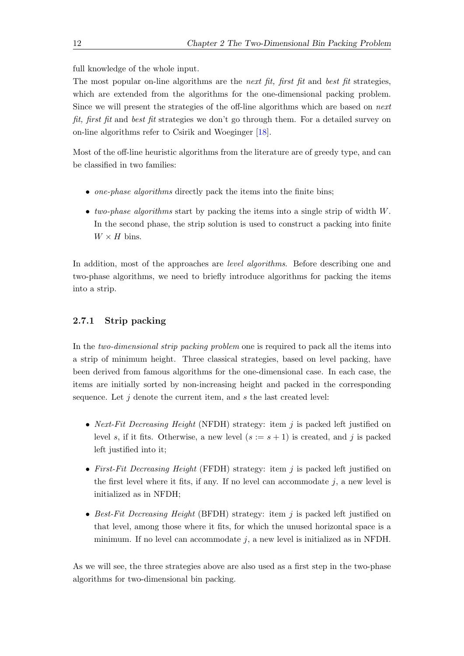full knowledge of the whole input.

The most popular on-line algorithms are the *next fit, first fit* and *best fit* strategies, which are extended from the algorithms for the one-dimensional packing problem. Since we will present the strategies of the off-line algorithms which are based on *next* fit, first fit and best fit strategies we don't go through them. For a detailed survey on on-line algorithms refer to Csirik and Woeginger [\[18\]](#page-85-2).

Most of the off-line heuristic algorithms from the literature are of greedy type, and can be classified in two families:

- one-phase algorithms directly pack the items into the finite bins;
- two-phase algorithms start by packing the items into a single strip of width W. In the second phase, the strip solution is used to construct a packing into finite  $W \times H$  bins.

In addition, most of the approaches are *level algorithms*. Before describing one and two-phase algorithms, we need to briefly introduce algorithms for packing the items into a strip.

### <span id="page-25-0"></span>2.7.1 Strip packing

In the two-dimensional strip packing problem one is required to pack all the items into a strip of minimum height. Three classical strategies, based on level packing, have been derived from famous algorithms for the one-dimensional case. In each case, the items are initially sorted by non-increasing height and packed in the corresponding sequence. Let  $j$  denote the current item, and  $s$  the last created level:

- Next-Fit Decreasing Height (NFDH) strategy: item j is packed left justified on level s, if it fits. Otherwise, a new level  $(s := s + 1)$  is created, and j is packed left justified into it;
- First-Fit Decreasing Height (FFDH) strategy: item j is packed left justified on the first level where it fits, if any. If no level can accommodate  $j$ , a new level is initialized as in NFDH;
- Best-Fit Decreasing Height (BFDH) strategy: item  $j$  is packed left justified on that level, among those where it fits, for which the unused horizontal space is a minimum. If no level can accommodate  $j$ , a new level is initialized as in NFDH.

As we will see, the three strategies above are also used as a first step in the two-phase algorithms for two-dimensional bin packing.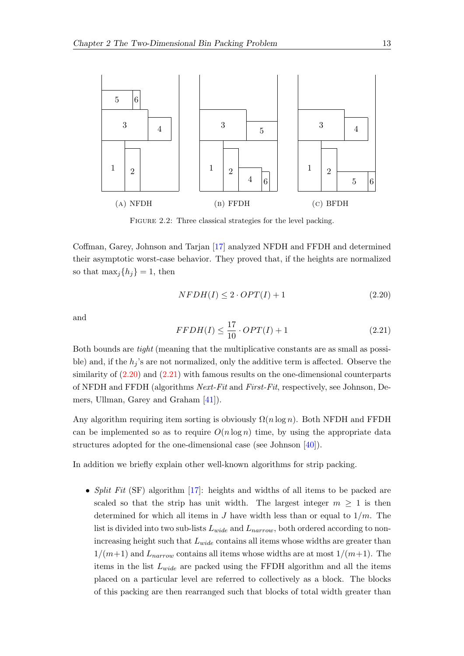<span id="page-26-0"></span>

FIGURE 2.2: Three classical strategies for the level packing.

Coffman, Garey, Johnson and Tarjan [\[17\]](#page-85-3) analyzed NFDH and FFDH and determined their asymptotic worst-case behavior. They proved that, if the heights are normalized so that  $\max_j \{h_j\} = 1$ , then

<span id="page-26-1"></span>
$$
NFDH(I) \le 2 \cdot OPT(I) + 1 \tag{2.20}
$$

and

<span id="page-26-2"></span>
$$
FFDH(I) \le \frac{17}{10} \cdot OPT(I) + 1 \tag{2.21}
$$

Both bounds are tight (meaning that the multiplicative constants are as small as possible) and, if the  $h_j$ 's are not normalized, only the additive term is affected. Observe the similarity of  $(2.20)$  and  $(2.21)$  with famous results on the one-dimensional counterparts of NFDH and FFDH (algorithms Next-Fit and First-Fit, respectively, see Johnson, Demers, Ullman, Garey and Graham [\[41\]](#page-87-3)).

Any algorithm requiring item sorting is obviously  $\Omega(n \log n)$ . Both NFDH and FFDH can be implemented so as to require  $O(n \log n)$  time, by using the appropriate data structures adopted for the one-dimensional case (see Johnson [\[40\]](#page-87-4)).

In addition we briefly explain other well-known algorithms for strip packing.

• Split Fit (SF) algorithm  $[17]$ : heights and widths of all items to be packed are scaled so that the strip has unit width. The largest integer  $m \geq 1$  is then determined for which all items in J have width less than or equal to  $1/m$ . The list is divided into two sub-lists  $L_{wide}$  and  $L_{narrow}$ , both ordered according to nonincreasing height such that  $L_{wide}$  contains all items whose widths are greater than  $1/(m+1)$  and  $L_{narrow}$  contains all items whose widths are at most  $1/(m+1)$ . The items in the list  $L_{wide}$  are packed using the FFDH algorithm and all the items placed on a particular level are referred to collectively as a block. The blocks of this packing are then rearranged such that blocks of total width greater than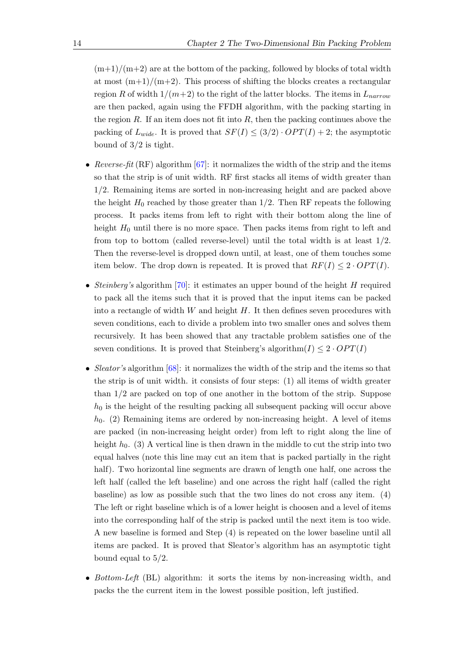$(m+1)/(m+2)$  are at the bottom of the packing, followed by blocks of total width at most  $\frac{m+1}{m+2}$ . This process of shifting the blocks creates a rectangular region R of width  $1/(m+2)$  to the right of the latter blocks. The items in  $L_{narrow}$ are then packed, again using the FFDH algorithm, with the packing starting in the region R. If an item does not fit into  $R$ , then the packing continues above the packing of  $L_{wide}$ . It is proved that  $SF(I) \leq (3/2) \cdot OPT(I) + 2$ ; the asymptotic bound of 3/2 is tight.

- Reverse-fit (RF) algorithm [\[67\]](#page-88-4): it normalizes the width of the strip and the items so that the strip is of unit width. RF first stacks all items of width greater than 1/2. Remaining items are sorted in non-increasing height and are packed above the height  $H_0$  reached by those greater than 1/2. Then RF repeats the following process. It packs items from left to right with their bottom along the line of height  $H_0$  until there is no more space. Then packs items from right to left and from top to bottom (called reverse-level) until the total width is at least  $1/2$ . Then the reverse-level is dropped down until, at least, one of them touches some item below. The drop down is repeated. It is proved that  $RF(I) \leq 2 \cdot OPT(I)$ .
- Steinberg's algorithm [\[70\]](#page-89-1): it estimates an upper bound of the height H required to pack all the items such that it is proved that the input items can be packed into a rectangle of width  $W$  and height  $H$ . It then defines seven procedures with seven conditions, each to divide a problem into two smaller ones and solves them recursively. It has been showed that any tractable problem satisfies one of the seven conditions. It is proved that Steinberg's algorithm $(I) \leq 2 \cdot OPT(I)$
- Sleator's algorithm  $[68]$ : it normalizes the width of the strip and the items so that the strip is of unit width. it consists of four steps: (1) all items of width greater than 1/2 are packed on top of one another in the bottom of the strip. Suppose  $h_0$  is the height of the resulting packing all subsequent packing will occur above  $h_0$ . (2) Remaining items are ordered by non-increasing height. A level of items are packed (in non-increasing height order) from left to right along the line of height  $h_0$ . (3) A vertical line is then drawn in the middle to cut the strip into two equal halves (note this line may cut an item that is packed partially in the right half). Two horizontal line segments are drawn of length one half, one across the left half (called the left baseline) and one across the right half (called the right baseline) as low as possible such that the two lines do not cross any item. (4) The left or right baseline which is of a lower height is choosen and a level of items into the corresponding half of the strip is packed until the next item is too wide. A new baseline is formed and Step (4) is repeated on the lower baseline until all items are packed. It is proved that Sleator's algorithm has an asymptotic tight bound equal to 5/2.
- Bottom-Left (BL) algorithm: it sorts the items by non-increasing width, and packs the the current item in the lowest possible position, left justified.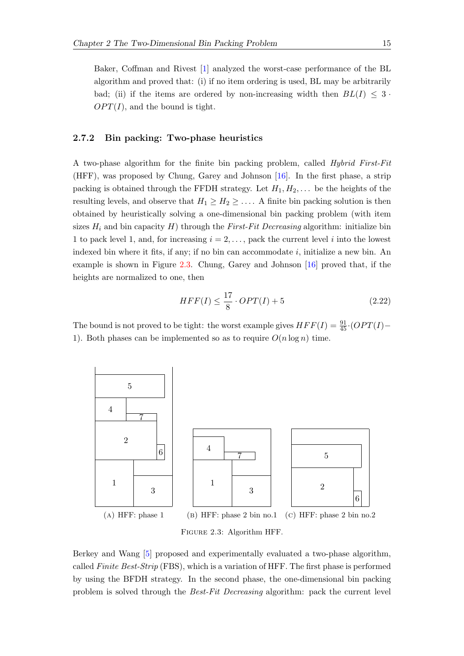Baker, Coffman and Rivest [\[1\]](#page-84-2) analyzed the worst-case performance of the BL algorithm and proved that: (i) if no item ordering is used, BL may be arbitrarily bad; (ii) if the items are ordered by non-increasing width then  $BL(I) \leq 3$ .  $OPT(I)$ , and the bound is tight.

#### <span id="page-28-0"></span>2.7.2 Bin packing: Two-phase heuristics

A two-phase algorithm for the finite bin packing problem, called Hybrid First-Fit (HFF), was proposed by Chung, Garey and Johnson [\[16\]](#page-85-4). In the first phase, a strip packing is obtained through the FFDH strategy. Let  $H_1, H_2, \ldots$  be the heights of the resulting levels, and observe that  $H_1 \geq H_2 \geq \ldots$ . A finite bin packing solution is then obtained by heuristically solving a one-dimensional bin packing problem (with item sizes  $H_i$  and bin capacity H) through the First-Fit Decreasing algorithm: initialize bin 1 to pack level 1, and, for increasing  $i = 2, \ldots$ , pack the current level i into the lowest indexed bin where it fits, if any; if no bin can accommodate  $i$ , initialize a new bin. An example is shown in Figure [2.3.](#page-28-1) Chung, Garey and Johnson [\[16\]](#page-85-4) proved that, if the heights are normalized to one, then

$$
HFF(I) \le \frac{17}{8} \cdot OPT(I) + 5 \tag{2.22}
$$

<span id="page-28-1"></span>The bound is not proved to be tight: the worst example gives  $HFF(I) = \frac{91}{45} \cdot (OPT(I) -$ 1). Both phases can be implemented so as to require  $O(n \log n)$  time.



Figure 2.3: Algorithm HFF.

Berkey and Wang [\[5\]](#page-84-3) proposed and experimentally evaluated a two-phase algorithm, called Finite Best-Strip (FBS), which is a variation of HFF. The first phase is performed by using the BFDH strategy. In the second phase, the one-dimensional bin packing problem is solved through the Best-Fit Decreasing algorithm: pack the current level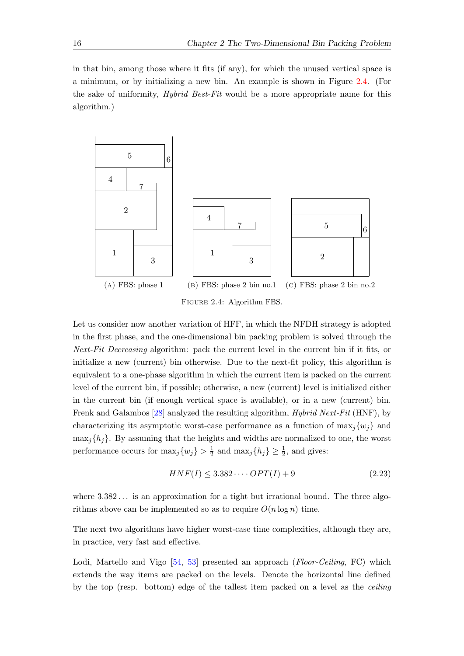in that bin, among those where it fits (if any), for which the unused vertical space is a minimum, or by initializing a new bin. An example is shown in Figure [2.4.](#page-29-0) (For the sake of uniformity, Hybrid Best-Fit would be a more appropriate name for this algorithm.)

<span id="page-29-0"></span>

Let us consider now another variation of HFF, in which the NFDH strategy is adopted in the first phase, and the one-dimensional bin packing problem is solved through the Next-Fit Decreasing algorithm: pack the current level in the current bin if it fits, or initialize a new (current) bin otherwise. Due to the next-fit policy, this algorithm is equivalent to a one-phase algorithm in which the current item is packed on the current level of the current bin, if possible; otherwise, a new (current) level is initialized either in the current bin (if enough vertical space is available), or in a new (current) bin. Frenk and Galambos [\[28\]](#page-86-6) analyzed the resulting algorithm, *Hybrid Next-Fit* (HNF), by characterizing its asymptotic worst-case performance as a function of  $\max_j \{w_j\}$  and  $\max_j\{h_j\}$ . By assuming that the heights and widths are normalized to one, the worst performance occurs for  $\max_j \{w_j\} > \frac{1}{2}$  $\frac{1}{2}$  and  $\max_j\{h_j\}\geq\frac{1}{2}$ , and gives:

$$
HNF(I) \le 3.382\cdots OPT(I) + 9\tag{2.23}
$$

where  $3.382...$  is an approximation for a tight but irrational bound. The three algorithms above can be implemented so as to require  $O(n \log n)$  time.

The next two algorithms have higher worst-case time complexities, although they are, in practice, very fast and effective.

Lodi, Martello and Vigo [\[54,](#page-88-5) [53\]](#page-87-0) presented an approach (*Floor-Ceiling*, FC) which extends the way items are packed on the levels. Denote the horizontal line defined by the top (resp. bottom) edge of the tallest item packed on a level as the ceiling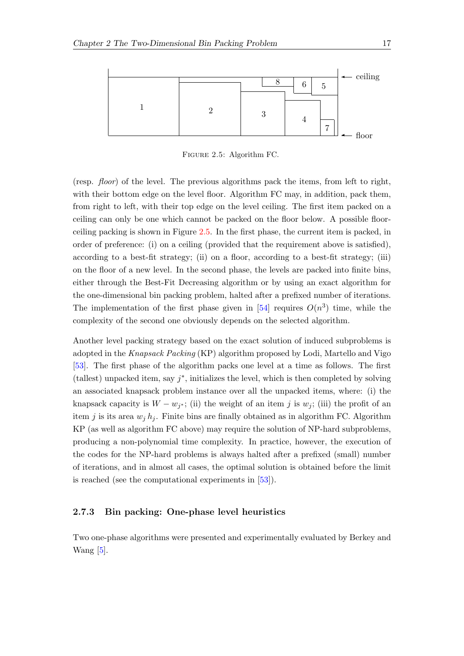<span id="page-30-1"></span>

Figure 2.5: Algorithm FC.

(resp. floor) of the level. The previous algorithms pack the items, from left to right, with their bottom edge on the level floor. Algorithm FC may, in addition, pack them, from right to left, with their top edge on the level ceiling. The first item packed on a ceiling can only be one which cannot be packed on the floor below. A possible floorceiling packing is shown in Figure [2.5.](#page-30-1) In the first phase, the current item is packed, in order of preference: (i) on a ceiling (provided that the requirement above is satisfied), according to a best-fit strategy; (ii) on a floor, according to a best-fit strategy; (iii) on the floor of a new level. In the second phase, the levels are packed into finite bins, either through the Best-Fit Decreasing algorithm or by using an exact algorithm for the one-dimensional bin packing problem, halted after a prefixed number of iterations. The implementation of the first phase given in [\[54\]](#page-88-5) requires  $O(n^3)$  time, while the complexity of the second one obviously depends on the selected algorithm.

Another level packing strategy based on the exact solution of induced subproblems is adopted in the Knapsack Packing (KP) algorithm proposed by Lodi, Martello and Vigo [\[53\]](#page-87-0). The first phase of the algorithm packs one level at a time as follows. The first (tallest) unpacked item, say  $j^*$ , initializes the level, which is then completed by solving an associated knapsack problem instance over all the unpacked items, where: (i) the knapsack capacity is  $W - w_{j^*}$ ; (ii) the weight of an item j is  $w_j$ ; (iii) the profit of an item j is its area  $w_j h_j$ . Finite bins are finally obtained as in algorithm FC. Algorithm KP (as well as algorithm FC above) may require the solution of NP-hard subproblems, producing a non-polynomial time complexity. In practice, however, the execution of the codes for the NP-hard problems is always halted after a prefixed (small) number of iterations, and in almost all cases, the optimal solution is obtained before the limit is reached (see the computational experiments in [\[53\]](#page-87-0)).

### <span id="page-30-0"></span>2.7.3 Bin packing: One-phase level heuristics

Two one-phase algorithms were presented and experimentally evaluated by Berkey and Wang  $[5]$ .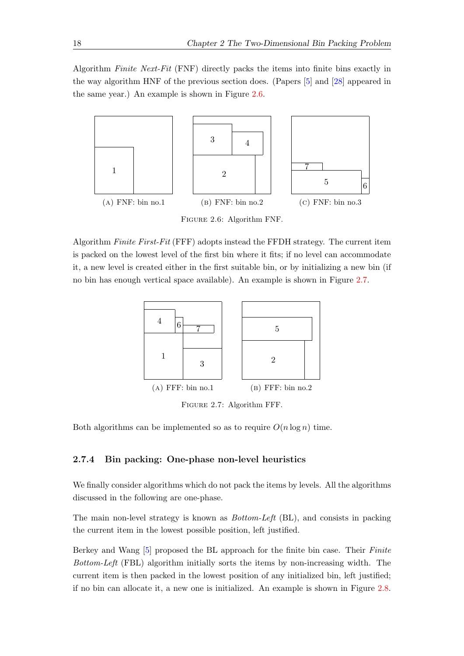Algorithm Finite Next-Fit (FNF) directly packs the items into finite bins exactly in the way algorithm HNF of the previous section does. (Papers [\[5\]](#page-84-3) and [\[28\]](#page-86-6) appeared in the same year.) An example is shown in Figure [2.6.](#page-31-1)

<span id="page-31-1"></span>

Figure 2.6: Algorithm FNF.

<span id="page-31-2"></span>Algorithm Finite First-Fit (FFF) adopts instead the FFDH strategy. The current item is packed on the lowest level of the first bin where it fits; if no level can accommodate it, a new level is created either in the first suitable bin, or by initializing a new bin (if no bin has enough vertical space available). An example is shown in Figure [2.7.](#page-31-2)



Figure 2.7: Algorithm FFF.

Both algorithms can be implemented so as to require  $O(n \log n)$  time.

### <span id="page-31-0"></span>2.7.4 Bin packing: One-phase non-level heuristics

We finally consider algorithms which do not pack the items by levels. All the algorithms discussed in the following are one-phase.

The main non-level strategy is known as Bottom-Left (BL), and consists in packing the current item in the lowest possible position, left justified.

Berkey and Wang [\[5\]](#page-84-3) proposed the BL approach for the finite bin case. Their Finite Bottom-Left (FBL) algorithm initially sorts the items by non-increasing width. The current item is then packed in the lowest position of any initialized bin, left justified; if no bin can allocate it, a new one is initialized. An example is shown in Figure [2.8.](#page-32-1)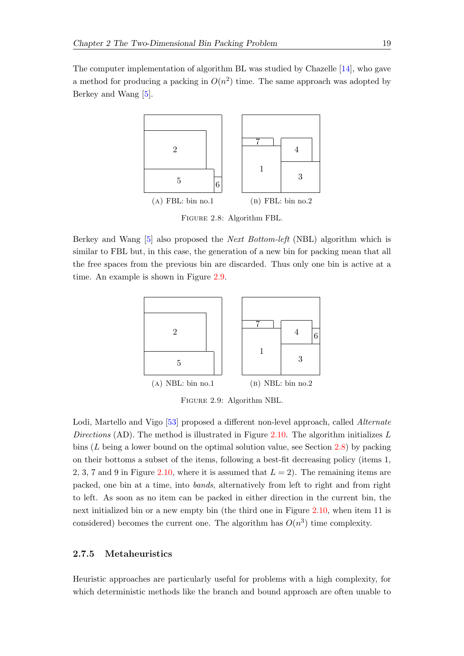<span id="page-32-1"></span>The computer implementation of algorithm BL was studied by Chazelle [\[14\]](#page-85-5), who gave a method for producing a packing in  $O(n^2)$  time. The same approach was adopted by Berkey and Wang [\[5\]](#page-84-3).



Figure 2.8: Algorithm FBL.

<span id="page-32-2"></span>Berkey and Wang [\[5\]](#page-84-3) also proposed the Next Bottom-left (NBL) algorithm which is similar to FBL but, in this case, the generation of a new bin for packing mean that all the free spaces from the previous bin are discarded. Thus only one bin is active at a time. An example is shown in Figure [2.9.](#page-32-2)



Figure 2.9: Algorithm NBL.

Lodi, Martello and Vigo [\[53\]](#page-87-0) proposed a different non-level approach, called *Alternate* Directions (AD). The method is illustrated in Figure [2.10.](#page-33-0) The algorithm initializes  $L$ bins (L being a lower bound on the optimal solution value, see Section [2.8\)](#page-37-0) by packing on their bottoms a subset of the items, following a best-fit decreasing policy (items 1, 2, 3, 7 and 9 in Figure [2.10,](#page-33-0) where it is assumed that  $L = 2$ ). The remaining items are packed, one bin at a time, into bands, alternatively from left to right and from right to left. As soon as no item can be packed in either direction in the current bin, the next initialized bin or a new empty bin (the third one in Figure [2.10,](#page-33-0) when item 11 is considered) becomes the current one. The algorithm has  $O(n^3)$  time complexity.

#### <span id="page-32-0"></span>2.7.5 Metaheuristics

Heuristic approaches are particularly useful for problems with a high complexity, for which deterministic methods like the branch and bound approach are often unable to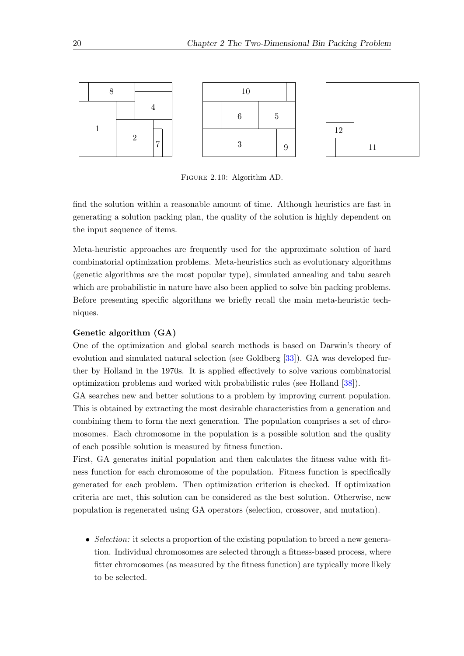<span id="page-33-0"></span>

Figure 2.10: Algorithm AD.

find the solution within a reasonable amount of time. Although heuristics are fast in generating a solution packing plan, the quality of the solution is highly dependent on the input sequence of items.

Meta-heuristic approaches are frequently used for the approximate solution of hard combinatorial optimization problems. Meta-heuristics such as evolutionary algorithms (genetic algorithms are the most popular type), simulated annealing and tabu search which are probabilistic in nature have also been applied to solve bin packing problems. Before presenting specific algorithms we briefly recall the main meta-heuristic techniques.

#### Genetic algorithm (GA)

One of the optimization and global search methods is based on Darwin's theory of evolution and simulated natural selection (see Goldberg [\[33\]](#page-86-7)). GA was developed further by Holland in the 1970s. It is applied effectively to solve various combinatorial optimization problems and worked with probabilistic rules (see Holland [\[38\]](#page-86-8)).

GA searches new and better solutions to a problem by improving current population. This is obtained by extracting the most desirable characteristics from a generation and combining them to form the next generation. The population comprises a set of chromosomes. Each chromosome in the population is a possible solution and the quality of each possible solution is measured by fitness function.

First, GA generates initial population and then calculates the fitness value with fitness function for each chromosome of the population. Fitness function is specifically generated for each problem. Then optimization criterion is checked. If optimization criteria are met, this solution can be considered as the best solution. Otherwise, new population is regenerated using GA operators (selection, crossover, and mutation).

• Selection: it selects a proportion of the existing population to breed a new generation. Individual chromosomes are selected through a fitness-based process, where fitter chromosomes (as measured by the fitness function) are typically more likely to be selected.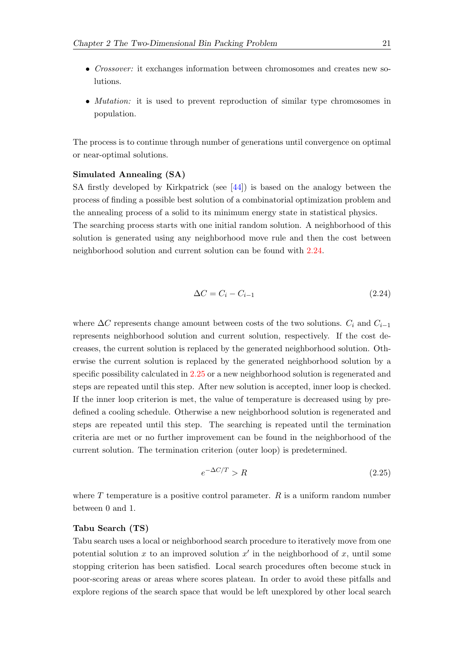- Crossover: it exchanges information between chromosomes and creates new solutions.
- *Mutation:* it is used to prevent reproduction of similar type chromosomes in population.

The process is to continue through number of generations until convergence on optimal or near-optimal solutions.

#### Simulated Annealing (SA)

SA firstly developed by Kirkpatrick (see [\[44\]](#page-87-5)) is based on the analogy between the process of finding a possible best solution of a combinatorial optimization problem and the annealing process of a solid to its minimum energy state in statistical physics.

The searching process starts with one initial random solution. A neighborhood of this solution is generated using any neighborhood move rule and then the cost between neighborhood solution and current solution can be found with [2.24.](#page-34-0)

<span id="page-34-0"></span>
$$
\Delta C = C_i - C_{i-1} \tag{2.24}
$$

where  $\Delta C$  represents change amount between costs of the two solutions.  $C_i$  and  $C_{i-1}$ represents neighborhood solution and current solution, respectively. If the cost decreases, the current solution is replaced by the generated neighborhood solution. Otherwise the current solution is replaced by the generated neighborhood solution by a specific possibility calculated in [2.25](#page-34-1) or a new neighborhood solution is regenerated and steps are repeated until this step. After new solution is accepted, inner loop is checked. If the inner loop criterion is met, the value of temperature is decreased using by predefined a cooling schedule. Otherwise a new neighborhood solution is regenerated and steps are repeated until this step. The searching is repeated until the termination criteria are met or no further improvement can be found in the neighborhood of the current solution. The termination criterion (outer loop) is predetermined.

<span id="page-34-1"></span>
$$
e^{-\Delta C/T} > R \tag{2.25}
$$

where  $T$  temperature is a positive control parameter.  $R$  is a uniform random number between 0 and 1.

#### Tabu Search (TS)

Tabu search uses a local or neighborhood search procedure to iteratively move from one potential solution x to an improved solution  $x'$  in the neighborhood of x, until some stopping criterion has been satisfied. Local search procedures often become stuck in poor-scoring areas or areas where scores plateau. In order to avoid these pitfalls and explore regions of the search space that would be left unexplored by other local search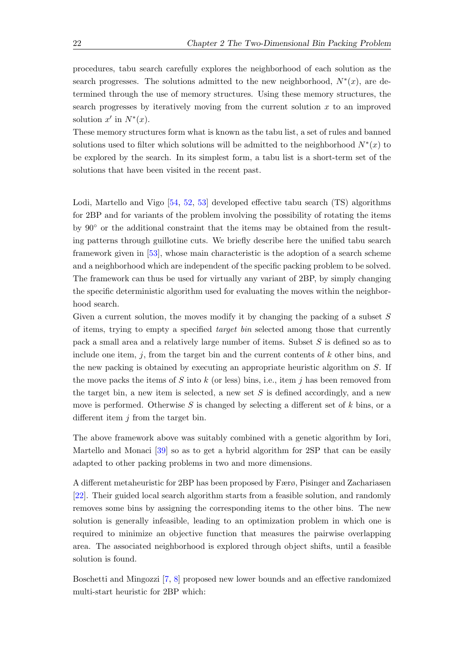procedures, tabu search carefully explores the neighborhood of each solution as the search progresses. The solutions admitted to the new neighborhood,  $N^*(x)$ , are determined through the use of memory structures. Using these memory structures, the search progresses by iteratively moving from the current solution  $x$  to an improved solution  $x'$  in  $N^*(x)$ .

These memory structures form what is known as the tabu list, a set of rules and banned solutions used to filter which solutions will be admitted to the neighborhood  $N^*(x)$  to be explored by the search. In its simplest form, a tabu list is a short-term set of the solutions that have been visited in the recent past.

Lodi, Martello and Vigo [\[54,](#page-88-5) [52,](#page-87-6) [53\]](#page-87-0) developed effective tabu search (TS) algorithms for 2BP and for variants of the problem involving the possibility of rotating the items by 90° or the additional constraint that the items may be obtained from the resulting patterns through guillotine cuts. We briefly describe here the unified tabu search framework given in [\[53\]](#page-87-0), whose main characteristic is the adoption of a search scheme and a neighborhood which are independent of the specific packing problem to be solved. The framework can thus be used for virtually any variant of 2BP, by simply changing the specific deterministic algorithm used for evaluating the moves within the neighborhood search.

Given a current solution, the moves modify it by changing the packing of a subset  $S$ of items, trying to empty a specified target bin selected among those that currently pack a small area and a relatively large number of items. Subset S is defined so as to include one item,  $j$ , from the target bin and the current contents of k other bins, and the new packing is obtained by executing an appropriate heuristic algorithm on S. If the move packs the items of S into k (or less) bins, i.e., item j has been removed from the target bin, a new item is selected, a new set  $S$  is defined accordingly, and a new move is performed. Otherwise  $S$  is changed by selecting a different set of  $k$  bins, or a different item  $j$  from the target bin.

The above framework above was suitably combined with a genetic algorithm by Iori, Martello and Monaci [\[39\]](#page-86-9) so as to get a hybrid algorithm for 2SP that can be easily adapted to other packing problems in two and more dimensions.

A different metaheuristic for 2BP has been proposed by Færø, Pisinger and Zachariasen [\[22\]](#page-85-6). Their guided local search algorithm starts from a feasible solution, and randomly removes some bins by assigning the corresponding items to the other bins. The new solution is generally infeasible, leading to an optimization problem in which one is required to minimize an objective function that measures the pairwise overlapping area. The associated neighborhood is explored through object shifts, until a feasible solution is found.

Boschetti and Mingozzi [\[7,](#page-84-4) [8\]](#page-84-5) proposed new lower bounds and an effective randomized multi-start heuristic for 2BP which: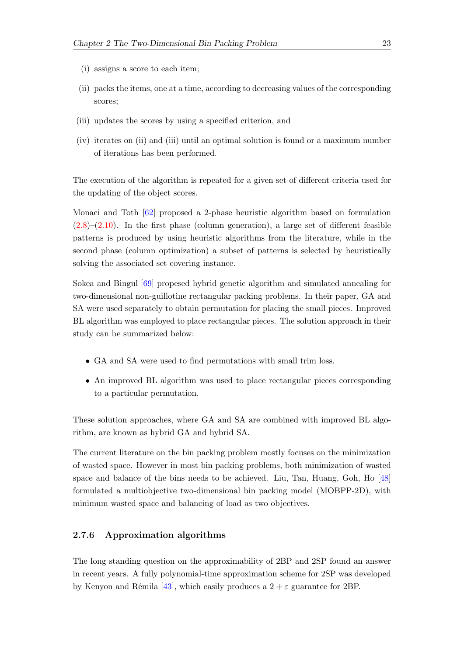- (i) assigns a score to each item;
- (ii) packs the items, one at a time, according to decreasing values of the corresponding scores;
- (iii) updates the scores by using a specified criterion, and
- (iv) iterates on (ii) and (iii) until an optimal solution is found or a maximum number of iterations has been performed.

The execution of the algorithm is repeated for a given set of different criteria used for the updating of the object scores.

Monaci and Toth [\[62\]](#page-88-0) proposed a 2-phase heuristic algorithm based on formulation  $(2.8)$ – $(2.10)$ . In the first phase (column generation), a large set of different feasible patterns is produced by using heuristic algorithms from the literature, while in the second phase (column optimization) a subset of patterns is selected by heuristically solving the associated set covering instance.

Sokea and Bingul [\[69\]](#page-89-0) propesed hybrid genetic algorithm and simulated annealing for two-dimensional non-guillotine rectangular packing problems. In their paper, GA and SA were used separately to obtain permutation for placing the small pieces. Improved BL algorithm was employed to place rectangular pieces. The solution approach in their study can be summarized below:

- GA and SA were used to find permutations with small trim loss.
- An improved BL algorithm was used to place rectangular pieces corresponding to a particular permutation.

These solution approaches, where GA and SA are combined with improved BL algorithm, are known as hybrid GA and hybrid SA.

The current literature on the bin packing problem mostly focuses on the minimization of wasted space. However in most bin packing problems, both minimization of wasted space and balance of the bins needs to be achieved. Liu, Tan, Huang, Goh, Ho [\[48\]](#page-87-0) formulated a multiobjective two-dimensional bin packing model (MOBPP-2D), with minimum wasted space and balancing of load as two objectives.

#### 2.7.6 Approximation algorithms

The long standing question on the approximability of 2BP and 2SP found an answer in recent years. A fully polynomial-time approximation scheme for 2SP was developed by Kenyon and Rémila [\[43\]](#page-87-1), which easily produces a  $2 + \varepsilon$  guarantee for 2BP.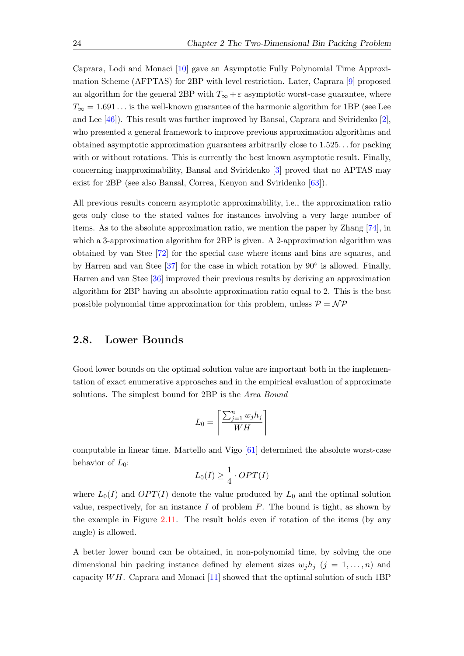Caprara, Lodi and Monaci [\[10\]](#page-84-0) gave an Asymptotic Fully Polynomial Time Approximation Scheme (AFPTAS) for 2BP with level restriction. Later, Caprara [\[9\]](#page-84-1) proposed an algorithm for the general 2BP with  $T_{\infty} + \varepsilon$  asymptotic worst-case guarantee, where  $T_{\infty} = 1.691...$  is the well-known guarantee of the harmonic algorithm for 1BP (see Lee and Lee [\[46\]](#page-87-2)). This result was further improved by Bansal, Caprara and Sviridenko [\[2\]](#page-84-2), who presented a general framework to improve previous approximation algorithms and obtained asymptotic approximation guarantees arbitrarily close to 1.525. . . for packing with or without rotations. This is currently the best known asymptotic result. Finally, concerning inapproximability, Bansal and Sviridenko [\[3\]](#page-84-3) proved that no APTAS may exist for 2BP (see also Bansal, Correa, Kenyon and Sviridenko [\[63\]](#page-88-1)).

All previous results concern asymptotic approximability, i.e., the approximation ratio gets only close to the stated values for instances involving a very large number of items. As to the absolute approximation ratio, we mention the paper by Zhang [\[74\]](#page-89-1), in which a 3-approximation algorithm for 2BP is given. A 2-approximation algorithm was obtained by van Stee [\[72\]](#page-89-2) for the special case where items and bins are squares, and by Harren and van Stee [\[37\]](#page-86-0) for the case in which rotation by 90◦ is allowed. Finally, Harren and van Stee [\[36\]](#page-86-1) improved their previous results by deriving an approximation algorithm for 2BP having an absolute approximation ratio equal to 2. This is the best possible polynomial time approximation for this problem, unless  $P = \mathcal{NP}$ 

## 2.8. Lower Bounds

Good lower bounds on the optimal solution value are important both in the implementation of exact enumerative approaches and in the empirical evaluation of approximate solutions. The simplest bound for 2BP is the Area Bound

$$
L_0 = \left\lceil \frac{\sum_{j=1}^n w_j h_j}{WH} \right\rceil
$$

computable in linear time. Martello and Vigo [\[61\]](#page-88-2) determined the absolute worst-case behavior of  $L_0$ :

$$
L_0(I) \ge \frac{1}{4} \cdot OPT(I)
$$

where  $L_0(I)$  and  $OPT(I)$  denote the value produced by  $L_0$  and the optimal solution value, respectively, for an instance  $I$  of problem  $P$ . The bound is tight, as shown by the example in Figure [2.11.](#page-38-0) The result holds even if rotation of the items (by any angle) is allowed.

A better lower bound can be obtained, in non-polynomial time, by solving the one dimensional bin packing instance defined by element sizes  $w_j h_j$   $(j = 1, \ldots, n)$  and capacity  $WH$ . Caprara and Monaci [\[11\]](#page-85-0) showed that the optimal solution of such 1BP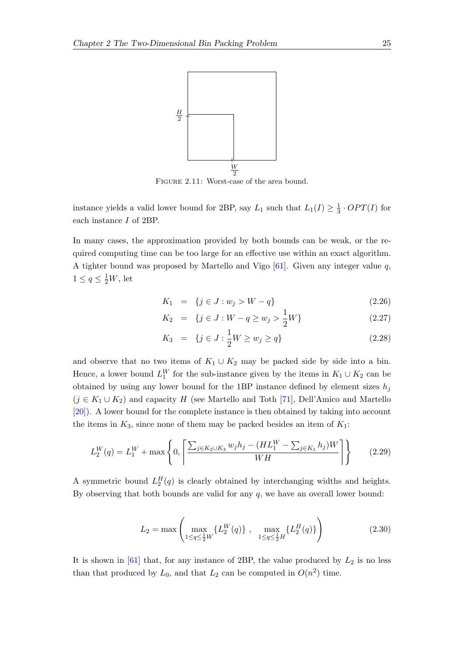<span id="page-38-0"></span>

Figure 2.11: Worst-case of the area bound.

instance yields a valid lower bound for 2BP, say  $L_1$  such that  $L_1(I) \geq \frac{1}{3}$  $\frac{1}{3} \cdot OPT(I)$  for each instance I of 2BP.

In many cases, the approximation provided by both bounds can be weak, or the required computing time can be too large for an effective use within an exact algorithm. A tighter bound was proposed by Martello and Vigo  $[61]$ . Given any integer value q,  $1 \leq q \leq \frac{1}{2}W$ , let

$$
K_1 = \{ j \in J : w_j > W - q \}
$$
\n(2.26)

$$
K_2 = \{ j \in J : W - q \ge w_j > \frac{1}{2}W \}
$$
 (2.27)

$$
K_3 = \{ j \in J : \frac{1}{2}W \ge w_j \ge q \}
$$
 (2.28)

and observe that no two items of  $K_1 \cup K_2$  may be packed side by side into a bin. Hence, a lower bound  $L_1^W$  for the sub-instance given by the items in  $K_1 \cup K_2$  can be obtained by using any lower bound for the 1BP instance defined by element sizes  $h_j$  $(j \in K_1 \cup K_2)$  and capacity H (see Martello and Toth [\[71\]](#page-89-3), Dell'Amico and Martello [\[20\]](#page-85-1)). A lower bound for the complete instance is then obtained by taking into account the items in  $K_3$ , since none of them may be packed besides an item of  $K_1$ :

$$
L_2^W(q) = L_1^W + \max\left\{0, \left\lceil \frac{\sum_{j \in K_2 \cup K_3} w_j h_j - (HL_1^W - \sum_{j \in K_1} h_j)W}{WH} \right\rceil \right\}
$$
(2.29)

A symmetric bound  $L_2^H(q)$  is clearly obtained by interchanging widths and heights. By observing that both bounds are valid for any  $q$ , we have an overall lower bound:

$$
L_2 = \max\left(\max_{1 \le q \le \frac{1}{2}W} \{L_2^W(q)\}, \max_{1 \le q \le \frac{1}{2}H} \{L_2^H(q)\}\right) \tag{2.30}
$$

It is shown in  $[61]$  that, for any instance of 2BP, the value produced by  $L_2$  is no less than that produced by  $L_0$ , and that  $L_2$  can be computed in  $O(n^2)$  time.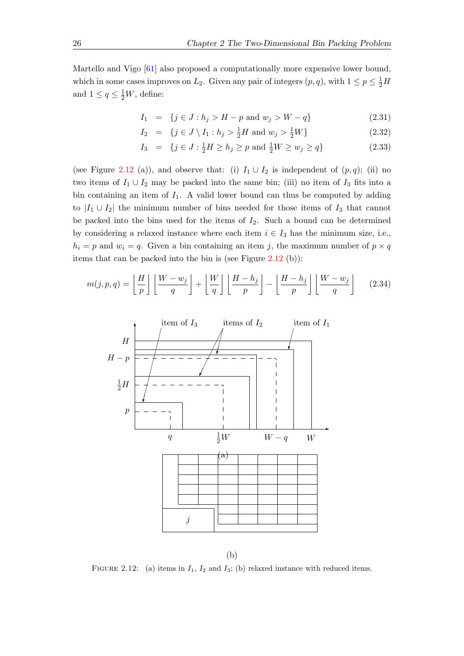Martello and Vigo [\[61\]](#page-88-2) also proposed a computationally more expensive lower bound, which in some cases improves on  $L_2$ . Given any pair of integers  $(p, q)$ , with  $1 \le p \le \frac{1}{2}H$ and  $1 \leq q \leq \frac{1}{2}W$ , define:

$$
I_1 = \{ j \in J : h_j > H - p \text{ and } w_j > W - q \}
$$
 (2.31)

$$
I_2 = \{ j \in J \setminus I_1 : h_j > \frac{1}{2}H \text{ and } w_j > \frac{1}{2}W \}
$$
 (2.32)

$$
I_3 = \{ j \in J : \frac{1}{2}H \ge h_j \ge p \text{ and } \frac{1}{2}W \ge w_j \ge q \}
$$
 (2.33)

(see Figure [2.12](#page-39-0) (a)), and observe that: (i)  $I_1 \cup I_2$  is independent of  $(p, q)$ ; (ii) no two items of  $I_1 \cup I_2$  may be packed into the same bin; (iii) no item of  $I_3$  fits into a bin containing an item of  $I_1$ . A valid lower bound can thus be computed by adding to  $|I_1 \cup I_2|$  the minimum number of bins needed for those items of  $I_3$  that cannot be packed into the bins used for the items of  $I_2$ . Such a bound can be determined by considering a relaxed instance where each item  $i \in I_3$  has the minimum size, i.e.,  $h_i = p$  and  $w_i = q$ . Given a bin containing an item j, the maximum number of  $p \times q$ items that can be packed into the bin is (see Figure  $2.12$  (b)):

$$
m(j, p, q) = \left\lfloor \frac{H}{p} \right\rfloor \left\lfloor \frac{W - w_j}{q} \right\rfloor + \left\lfloor \frac{W}{q} \right\rfloor \left\lfloor \frac{H - h_j}{p} \right\rfloor - \left\lfloor \frac{H - h_j}{p} \right\rfloor \left\lfloor \frac{W - w_j}{q} \right\rfloor \tag{2.34}
$$

<span id="page-39-0"></span>

(b)

FIGURE 2.12: (a) items in  $I_1$ ,  $I_2$  and  $I_3$ ; (b) relaxed instance with reduced items.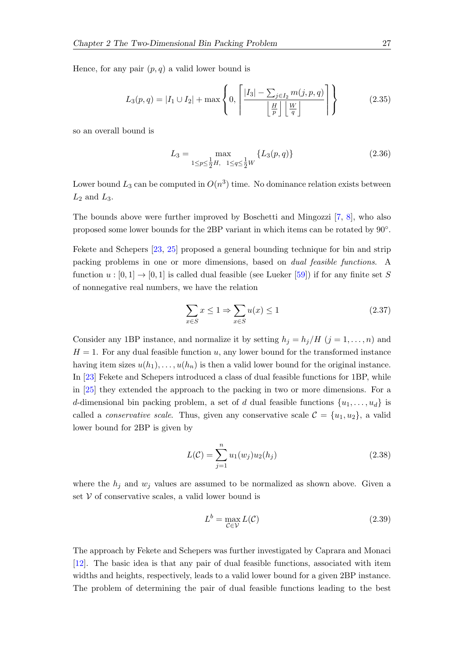Hence, for any pair  $(p, q)$  a valid lower bound is

$$
L_3(p,q) = |I_1 \cup I_2| + \max\left\{0, \left\lceil \frac{|I_3| - \sum_{j \in I_2} m(j, p, q)}{\left\lfloor \frac{H}{p} \right\rfloor \left\lfloor \frac{W}{q} \right\rfloor} \right\rceil\right\}
$$
(2.35)

so an overall bound is

$$
L_3 = \max_{1 \le p \le \frac{1}{2}H, \ 1 \le q \le \frac{1}{2}W} \{L_3(p, q)\}
$$
 (2.36)

Lower bound  $L_3$  can be computed in  $O(n^3)$  time. No dominance relation exists between  $L_2$  and  $L_3$ .

The bounds above were further improved by Boschetti and Mingozzi [\[7,](#page-84-4) [8\]](#page-84-5), who also proposed some lower bounds for the 2BP variant in which items can be rotated by  $90^{\circ}$ .

Fekete and Schepers [\[23,](#page-85-2) [25\]](#page-86-2) proposed a general bounding technique for bin and strip packing problems in one or more dimensions, based on dual feasible functions. A function  $u : [0,1] \to [0,1]$  is called dual feasible (see Lueker [\[59\]](#page-88-3)) if for any finite set S of nonnegative real numbers, we have the relation

$$
\sum_{x \in S} x \le 1 \Rightarrow \sum_{x \in S} u(x) \le 1 \tag{2.37}
$$

Consider any 1BP instance, and normalize it by setting  $h_j = h_j/H$   $(j = 1, ..., n)$  and  $H = 1$ . For any dual feasible function u, any lower bound for the transformed instance having item sizes  $u(h_1), \ldots, u(h_n)$  is then a valid lower bound for the original instance. In [\[23\]](#page-85-2) Fekete and Schepers introduced a class of dual feasible functions for 1BP, while in [\[25\]](#page-86-2) they extended the approach to the packing in two or more dimensions. For a d-dimensional bin packing problem, a set of d dual feasible functions  $\{u_1, \ldots, u_d\}$  is called a *conservative scale*. Thus, given any conservative scale  $\mathcal{C} = \{u_1, u_2\}$ , a valid lower bound for 2BP is given by

$$
L(\mathcal{C}) = \sum_{j=1}^{n} u_1(w_j) u_2(h_j)
$$
 (2.38)

where the  $h_j$  and  $w_j$  values are assumed to be normalized as shown above. Given a set  $V$  of conservative scales, a valid lower bound is

$$
L^b = \max_{\mathcal{C} \in \mathcal{V}} L(\mathcal{C}) \tag{2.39}
$$

The approach by Fekete and Schepers was further investigated by Caprara and Monaci [\[12\]](#page-85-3). The basic idea is that any pair of dual feasible functions, associated with item widths and heights, respectively, leads to a valid lower bound for a given 2BP instance. The problem of determining the pair of dual feasible functions leading to the best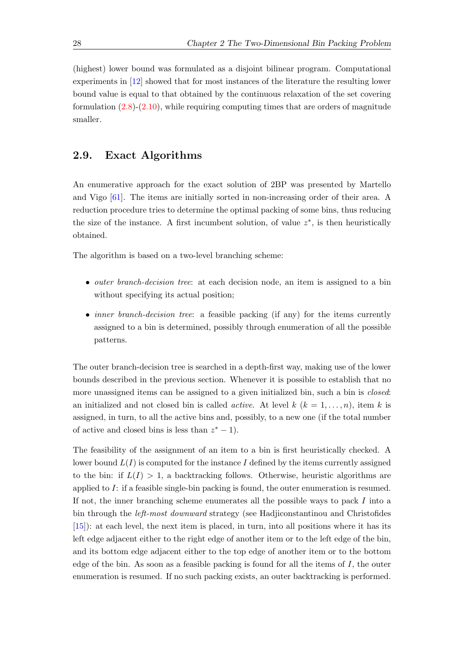(highest) lower bound was formulated as a disjoint bilinear program. Computational experiments in [\[12\]](#page-85-3) showed that for most instances of the literature the resulting lower bound value is equal to that obtained by the continuous relaxation of the set covering formulation  $(2.8)-(2.10)$  $(2.8)-(2.10)$  $(2.8)-(2.10)$ , while requiring computing times that are orders of magnitude smaller.

# 2.9. Exact Algorithms

An enumerative approach for the exact solution of 2BP was presented by Martello and Vigo [\[61\]](#page-88-2). The items are initially sorted in non-increasing order of their area. A reduction procedure tries to determine the optimal packing of some bins, thus reducing the size of the instance. A first incumbent solution, of value  $z^*$ , is then heuristically obtained.

The algorithm is based on a two-level branching scheme:

- *outer branch-decision tree*: at each decision node, an item is assigned to a bin without specifying its actual position;
- *inner branch-decision tree:* a feasible packing (if any) for the items currently assigned to a bin is determined, possibly through enumeration of all the possible patterns.

The outer branch-decision tree is searched in a depth-first way, making use of the lower bounds described in the previous section. Whenever it is possible to establish that no more unassigned items can be assigned to a given initialized bin, such a bin is *closed*: an initialized and not closed bin is called *active*. At level  $k$  ( $k = 1, \ldots, n$ ), item k is assigned, in turn, to all the active bins and, possibly, to a new one (if the total number of active and closed bins is less than  $z^* - 1$ ).

The feasibility of the assignment of an item to a bin is first heuristically checked. A lower bound  $L(I)$  is computed for the instance I defined by the items currently assigned to the bin: if  $L(I) > 1$ , a backtracking follows. Otherwise, heuristic algorithms are applied to  $I:$  if a feasible single-bin packing is found, the outer enumeration is resumed. If not, the inner branching scheme enumerates all the possible ways to pack  $I$  into a bin through the left-most downward strategy (see Hadjiconstantinou and Christofides [\[15\]](#page-85-4)): at each level, the next item is placed, in turn, into all positions where it has its left edge adjacent either to the right edge of another item or to the left edge of the bin, and its bottom edge adjacent either to the top edge of another item or to the bottom edge of the bin. As soon as a feasible packing is found for all the items of I, the outer enumeration is resumed. If no such packing exists, an outer backtracking is performed.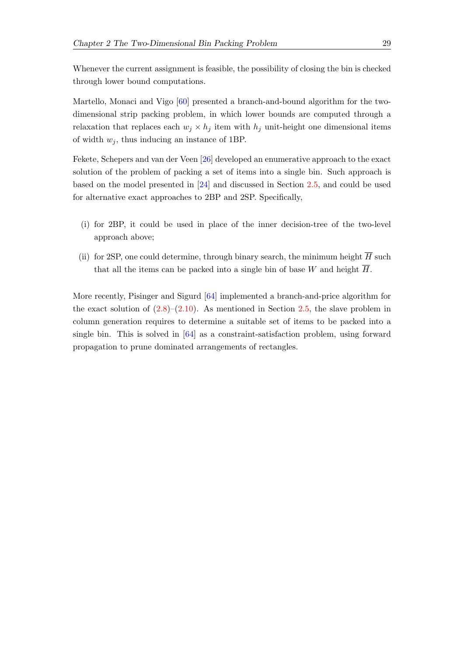Whenever the current assignment is feasible, the possibility of closing the bin is checked through lower bound computations.

Martello, Monaci and Vigo [\[60\]](#page-88-4) presented a branch-and-bound algorithm for the twodimensional strip packing problem, in which lower bounds are computed through a relaxation that replaces each  $w_j \times h_j$  item with  $h_j$  unit-height one dimensional items of width  $w_i$ , thus inducing an instance of 1BP.

Fekete, Schepers and van der Veen [\[26\]](#page-86-3) developed an enumerative approach to the exact solution of the problem of packing a set of items into a single bin. Such approach is based on the model presented in [\[24\]](#page-85-5) and discussed in Section [2.5,](#page-20-0) and could be used for alternative exact approaches to 2BP and 2SP. Specifically,

- (i) for 2BP, it could be used in place of the inner decision-tree of the two-level approach above;
- (ii) for 2SP, one could determine, through binary search, the minimum height  $\overline{H}$  such that all the items can be packed into a single bin of base W and height  $\overline{H}$ .

More recently, Pisinger and Sigurd [\[64\]](#page-88-5) implemented a branch-and-price algorithm for the exact solution of  $(2.8)$ – $(2.10)$ . As mentioned in Section [2.5,](#page-20-0) the slave problem in column generation requires to determine a suitable set of items to be packed into a single bin. This is solved in [\[64\]](#page-88-5) as a constraint-satisfaction problem, using forward propagation to prune dominated arrangements of rectangles.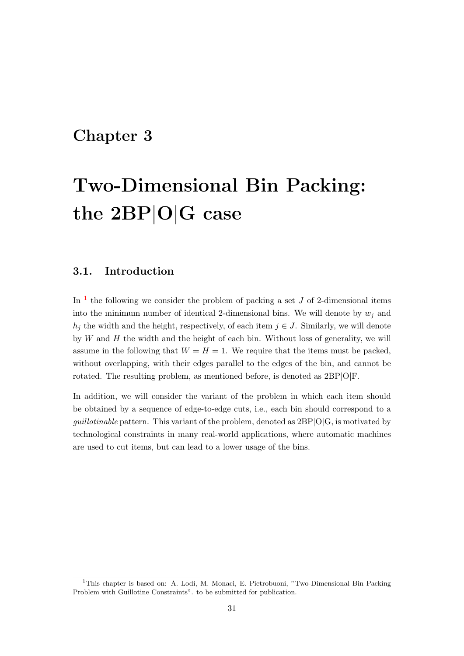# Chapter 3

# Two-Dimensional Bin Packing: the 2BP|O|G case

# <span id="page-44-1"></span>3.1. Introduction

In  $<sup>1</sup>$  $<sup>1</sup>$  $<sup>1</sup>$  the following we consider the problem of packing a set J of 2-dimensional items</sup> into the minimum number of identical 2-dimensional bins. We will denote by  $w_j$  and  $h_j$  the width and the height, respectively, of each item  $j \in J$ . Similarly, we will denote by  $W$  and  $H$  the width and the height of each bin. Without loss of generality, we will assume in the following that  $W = H = 1$ . We require that the items must be packed, without overlapping, with their edges parallel to the edges of the bin, and cannot be rotated. The resulting problem, as mentioned before, is denoted as 2BP|O|F.

In addition, we will consider the variant of the problem in which each item should be obtained by a sequence of edge-to-edge cuts, i.e., each bin should correspond to a quillotinable pattern. This variant of the problem, denoted as  $2BP|O|G$ , is motivated by technological constraints in many real-world applications, where automatic machines are used to cut items, but can lead to a lower usage of the bins.

<span id="page-44-0"></span><sup>1</sup>This chapter is based on: A. Lodi, M. Monaci, E. Pietrobuoni, "Two-Dimensional Bin Packing Problem with Guillotine Constraints". to be submitted for publication.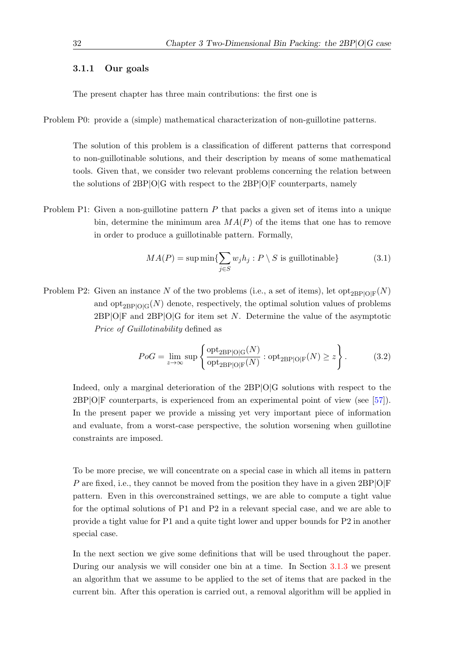#### 3.1.1 Our goals

The present chapter has three main contributions: the first one is

Problem P0: provide a (simple) mathematical characterization of non-guillotine patterns.

The solution of this problem is a classification of different patterns that correspond to non-guillotinable solutions, and their description by means of some mathematical tools. Given that, we consider two relevant problems concerning the relation between the solutions of 2BP|O|G with respect to the 2BP|O|F counterparts, namely

Problem P1: Given a non-guillotine pattern  $P$  that packs a given set of items into a unique bin, determine the minimum area  $MA(P)$  of the items that one has to remove in order to produce a guillotinable pattern. Formally,

$$
MA(P) = \sup \min \{ \sum_{j \in S} w_j h_j : P \setminus S \text{ is guillotinable} \} \tag{3.1}
$$

Problem P2: Given an instance N of the two problems (i.e., a set of items), let  $opt_{2BP|O|F}(N)$ and  $opt_{2BP|O|G}(N)$  denote, respectively, the optimal solution values of problems  $2BP|O|F$  and  $2BP|O|G$  for item set N. Determine the value of the asymptotic Price of Guillotinability defined as

$$
PoG = \lim_{z \to \infty} \sup \left\{ \frac{\text{opt}_{2BP|O|G}(N)}{\text{opt}_{2BP|O|F}(N)} : \text{opt}_{2BP|O|F}(N) \ge z \right\}.
$$
 (3.2)

Indeed, only a marginal deterioration of the 2BP|O|G solutions with respect to the 2BP|O|F counterparts, is experienced from an experimental point of view (see [\[57\]](#page-88-6)). In the present paper we provide a missing yet very important piece of information and evaluate, from a worst-case perspective, the solution worsening when guillotine constraints are imposed.

To be more precise, we will concentrate on a special case in which all items in pattern P are fixed, i.e., they cannot be moved from the position they have in a given  $2BP|O|F$ pattern. Even in this overconstrained settings, we are able to compute a tight value for the optimal solutions of P1 and P2 in a relevant special case, and we are able to provide a tight value for P1 and a quite tight lower and upper bounds for P2 in another special case.

In the next section we give some definitions that will be used throughout the paper. During our analysis we will consider one bin at a time. In Section [3.1.3](#page-47-0) we present an algorithm that we assume to be applied to the set of items that are packed in the current bin. After this operation is carried out, a removal algorithm will be applied in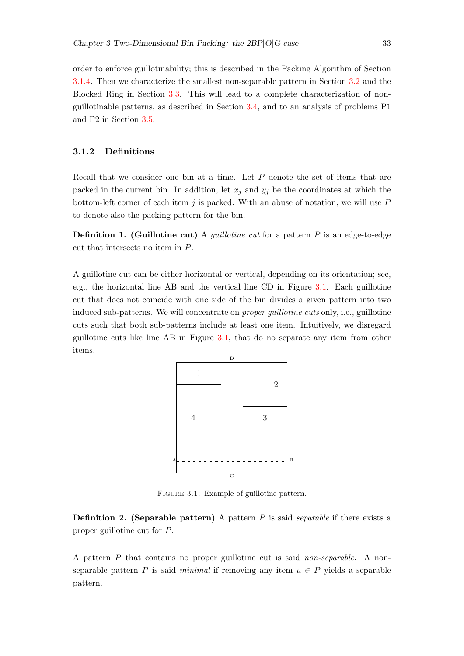order to enforce guillotinability; this is described in the Packing Algorithm of Section [3.1.4.](#page-50-0) Then we characterize the smallest non-separable pattern in Section [3.2](#page-51-0) and the Blocked Ring in Section [3.3.](#page-54-0) This will lead to a complete characterization of nonguillotinable patterns, as described in Section [3.4,](#page-61-0) and to an analysis of problems P1 and P2 in Section [3.5.](#page-65-0)

#### 3.1.2 Definitions

Recall that we consider one bin at a time. Let P denote the set of items that are packed in the current bin. In addition, let  $x_j$  and  $y_j$  be the coordinates at which the bottom-left corner of each item j is packed. With an abuse of notation, we will use  $P$ to denote also the packing pattern for the bin.

**Definition 1. (Guillotine cut)** A *guillotine cut* for a pattern  $P$  is an edge-to-edge cut that intersects no item in P.

<span id="page-46-0"></span>A guillotine cut can be either horizontal or vertical, depending on its orientation; see, e.g., the horizontal line AB and the vertical line CD in Figure [3.1.](#page-46-0) Each guillotine cut that does not coincide with one side of the bin divides a given pattern into two induced sub-patterns. We will concentrate on proper guillotine cuts only, i.e., guillotine cuts such that both sub-patterns include at least one item. Intuitively, we disregard guillotine cuts like line AB in Figure [3.1,](#page-46-0) that do no separate any item from other items.



FIGURE 3.1: Example of guillotine pattern.

**Definition 2.** (Separable pattern) A pattern  $P$  is said *separable* if there exists a proper guillotine cut for P.

A pattern P that contains no proper guillotine cut is said non-separable. A nonseparable pattern P is said minimal if removing any item  $u \in P$  yields a separable pattern.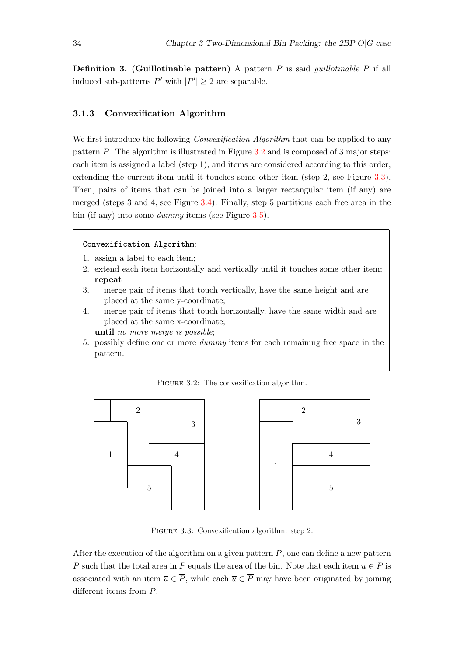**Definition 3. (Guillotinable pattern)** A pattern  $P$  is said *guillotinable*  $P$  if all induced sub-patterns  $P'$  with  $|P'| \geq 2$  are separable.

#### <span id="page-47-0"></span>3.1.3 Convexification Algorithm

We first introduce the following *Convexification Algorithm* that can be applied to any pattern  $P$ . The algorithm is illustrated in Figure [3.2](#page-47-1) and is composed of 3 major steps: each item is assigned a label (step 1), and items are considered according to this order, extending the current item until it touches some other item (step 2, see Figure [3.3\)](#page-47-2). Then, pairs of items that can be joined into a larger rectangular item (if any) are merged (steps 3 and 4, see Figure [3.4\)](#page-48-0). Finally, step 5 partitions each free area in the bin (if any) into some dummy items (see Figure [3.5\)](#page-48-1).

#### <span id="page-47-1"></span>Convexification Algorithm:

- 1. assign a label to each item;
- 2. extend each item horizontally and vertically until it touches some other item; repeat
- 3. merge pair of items that touch vertically, have the same height and are placed at the same y-coordinate;
- 4. merge pair of items that touch horizontally, have the same width and are placed at the same x-coordinate; until no more merge is possible;

5. possibly define one or more dummy items for each remaining free space in the pattern.

FIGURE 3.2: The convexification algorithm.

<span id="page-47-2"></span>



Figure 3.3: Convexification algorithm: step 2.

After the execution of the algorithm on a given pattern  $P$ , one can define a new pattern  $\overline{P}$  such that the total area in  $\overline{P}$  equals the area of the bin. Note that each item  $u \in P$  is associated with an item  $\overline{u} \in \overline{P}$ , while each  $\overline{u} \in \overline{P}$  may have been originated by joining different items from  $P$ .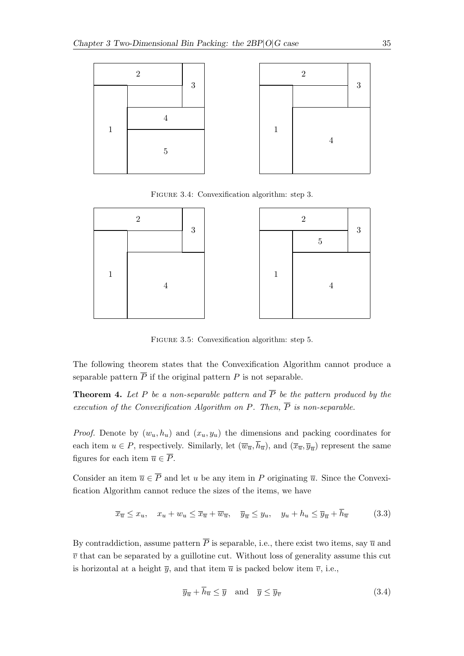<span id="page-48-0"></span>

| റ |   | 3 |  | 3 |  |  |
|---|---|---|--|---|--|--|
|   |   |   |  |   |  |  |
| 1 |   |   |  |   |  |  |
|   | 5 |   |  |   |  |  |

Figure 3.4: Convexification algorithm: step 3.

<span id="page-48-1"></span>

| $\overline{2}$ |  | 3 |  | 3 |   |  |
|----------------|--|---|--|---|---|--|
|                |  |   |  |   | 5 |  |
| 1              |  |   |  | 1 |   |  |

Figure 3.5: Convexification algorithm: step 5.

The following theorem states that the Convexification Algorithm cannot produce a separable pattern  $\overline{P}$  if the original pattern P is not separable.

<span id="page-48-3"></span>**Theorem 4.** Let P be a non-separable pattern and  $\overline{P}$  be the pattern produced by the execution of the Convexification Algorithm on P. Then,  $\overline{P}$  is non-separable.

*Proof.* Denote by  $(w_u, h_u)$  and  $(x_u, y_u)$  the dimensions and packing coordinates for each item  $u \in P$ , respectively. Similarly, let  $(\overline{w}_{\overline{u}}, h_{\overline{u}})$ , and  $(\overline{x}_{\overline{u}}, \overline{y}_{\overline{u}})$  represent the same figures for each item  $\overline{u} \in \overline{P}$ .

Consider an item  $\overline{u} \in \overline{P}$  and let u be any item in P originating  $\overline{u}$ . Since the Convexification Algorithm cannot reduce the sizes of the items, we have

<span id="page-48-2"></span>
$$
\overline{x}_{\overline{u}} \le x_u, \quad x_u + w_u \le \overline{x}_{\overline{u}} + \overline{w}_{\overline{u}}, \quad \overline{y}_{\overline{u}} \le y_u, \quad y_u + h_u \le \overline{y}_{\overline{u}} + h_{\overline{u}} \tag{3.3}
$$

By contraddiction, assume pattern  $\overline{P}$  is separable, i.e., there exist two items, say  $\overline{u}$  and  $\overline{v}$  that can be separated by a guillotine cut. Without loss of generality assume this cut is horizontal at a height  $\overline{y}$ , and that item  $\overline{u}$  is packed below item  $\overline{v}$ , i.e.,

$$
\overline{y}_{\overline{u}} + h_{\overline{u}} \le \overline{y} \quad \text{and} \quad \overline{y} \le \overline{y}_{\overline{v}} \tag{3.4}
$$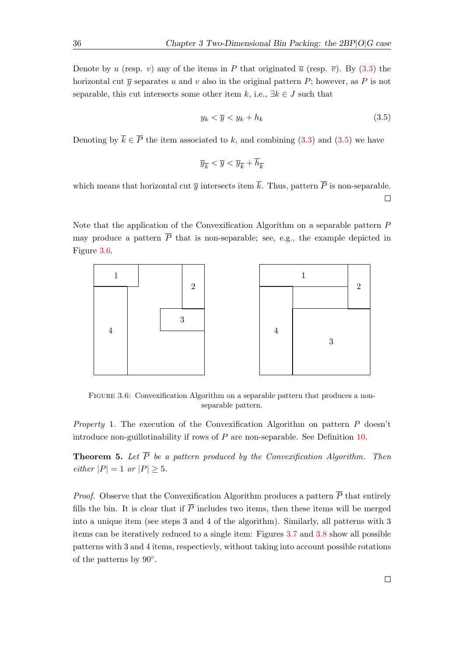Denote by u (resp. v) any of the items in P that originated  $\bar{u}$  (resp.  $\bar{v}$ ). By [\(3.3\)](#page-48-2) the horizontal cut  $\bar{y}$  separates u and v also in the original pattern P; however, as P is not separable, this cut intersects some other item k, i.e.,  $\exists k \in J$  such that

<span id="page-49-0"></span>
$$
y_k < \overline{y} < y_k + h_k \tag{3.5}
$$

Denoting by  $\overline{k} \in \overline{P}$  the item associated to k, and combining [\(3.3\)](#page-48-2) and [\(3.5\)](#page-49-0) we have

$$
\overline{y}_{\overline{k}} < \overline{y} < \overline{y}_{\overline{k}} + \overline{h}_{\overline{k}}
$$

which means that horizontal cut  $\overline{y}$  intersects item  $\overline{k}$ . Thus, pattern  $\overline{P}$  is non-separable.  $\Box$ 

Note that the application of the Convexification Algorithm on a separable pattern P may produce a pattern  $\overline{P}$  that is non-separable; see, e.g., the example depicted in Figure [3.6.](#page-49-1)

<span id="page-49-1"></span>

FIGURE 3.6: Convexification Algorithm on a separable pattern that produces a nonseparable pattern.

Property 1. The execution of the Convexification Algorithm on pattern P doesn't introduce non-guillotinability if rows of  $P$  are non-separable. See Definition [10.](#page-52-0)

**Theorem 5.** Let  $\overline{P}$  be a pattern produced by the Convexification Algorithm. Then either  $|P| = 1$  or  $|P| \ge 5$ .

*Proof.* Observe that the Convexification Algorithm produces a pattern  $\overline{P}$  that entirely fills the bin. It is clear that if  $\overline{P}$  includes two items, then these items will be merged into a unique item (see steps 3 and 4 of the algorithm). Similarly, all patterns with 3 items can be iteratively reduced to a single item: Figures [3.7](#page-50-1) and [3.8](#page-50-2) show all possible patterns with 3 and 4 items, respectievly, without taking into account possible rotations of the patterns by 90°.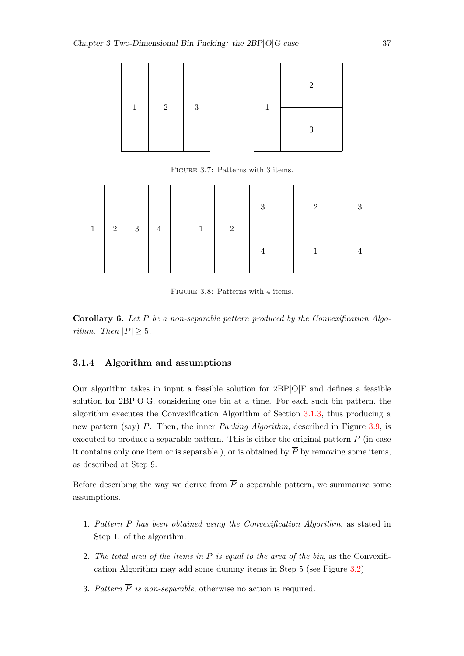<span id="page-50-1"></span>

| $\mathbf{1}$ | $\overline{2}$ | 3 | $\mathbf{1}$ | $\overline{2}$ |
|--------------|----------------|---|--------------|----------------|
|              |                |   |              | 3              |

FIGURE 3.7: Patterns with 3 items.

<span id="page-50-2"></span>

| $\mathbf{1}$ |  | $\overline{4}$ | 1 | $\overline{2}$ | 3 | $2^{\circ}$ | 3 |
|--------------|--|----------------|---|----------------|---|-------------|---|
|              |  |                |   |                | 4 |             |   |

FIGURE 3.8: Patterns with 4 items.

<span id="page-50-3"></span>**Corollary 6.** Let  $\overline{P}$  be a non-separable pattern produced by the Convexification Algorithm. Then  $|P| \geq 5$ .

#### <span id="page-50-0"></span>3.1.4 Algorithm and assumptions

Our algorithm takes in input a feasible solution for  $2BP|O|F$  and defines a feasible solution for 2BP|O|G, considering one bin at a time. For each such bin pattern, the algorithm executes the Convexification Algorithm of Section [3.1.3,](#page-47-0) thus producing a new pattern (say)  $\overline{P}$ . Then, the inner *Packing Algorithm*, described in Figure [3.9,](#page-51-1) is executed to produce a separable pattern. This is either the original pattern  $\overline{P}$  (in case it contains only one item or is separable ), or is obtained by  $\overline{P}$  by removing some items, as described at Step 9.

Before describing the way we derive from  $\overline{P}$  a separable pattern, we summarize some assumptions.

- 1. Pattern  $\overline{P}$  has been obtained using the Convexification Algorithm, as stated in Step 1. of the algorithm.
- 2. The total area of the items in  $\overline{P}$  is equal to the area of the bin, as the Convexification Algorithm may add some dummy items in Step 5 (see Figure [3.2\)](#page-47-1)
- 3. Pattern  $\overline{P}$  is non-separable, otherwise no action is required.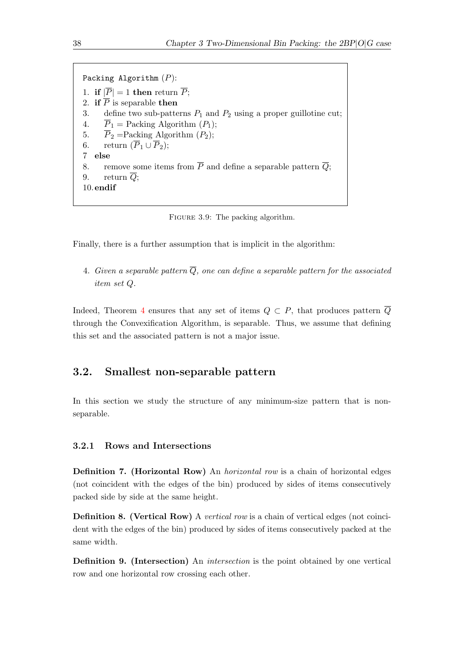<span id="page-51-1"></span>Packing Algorithm  $(P)$ : 1. if  $|\overline{P}| = 1$  then return  $\overline{P}$ ; 2. if  $\overline{P}$  is separable then 3. define two sub-patterns  $P_1$  and  $P_2$  using a proper guillotine cut; 4.  $\overline{P}_1$  = Packing Algorithm  $(P_1)$ ; 5.  $\overline{P}_2$  =Packing Algorithm  $(P_2)$ ; 6. return  $(\overline{P}_1 \cup \overline{P}_2);$ 7 else 8. remove some items from  $\overline{P}$  and define a separable pattern  $\overline{Q}$ ; 9. return  $Q$ ; 10.endif

FIGURE 3.9: The packing algorithm.

Finally, there is a further assumption that is implicit in the algorithm:

4. Given a separable pattern  $\overline{Q}$ , one can define a separable pattern for the associated item set Q.

Indeed, Theorem [4](#page-48-3) ensures that any set of items  $Q \subset P$ , that produces pattern  $\overline{Q}$ through the Convexification Algorithm, is separable. Thus, we assume that defining this set and the associated pattern is not a major issue.

# <span id="page-51-0"></span>3.2. Smallest non-separable pattern

In this section we study the structure of any minimum-size pattern that is nonseparable.

#### <span id="page-51-2"></span>3.2.1 Rows and Intersections

Definition 7. (Horizontal Row) An *horizontal row* is a chain of horizontal edges (not coincident with the edges of the bin) produced by sides of items consecutively packed side by side at the same height.

Definition 8. (Vertical Row) A vertical row is a chain of vertical edges (not coincident with the edges of the bin) produced by sides of items consecutively packed at the same width.

Definition 9. (Intersection) An intersection is the point obtained by one vertical row and one horizontal row crossing each other.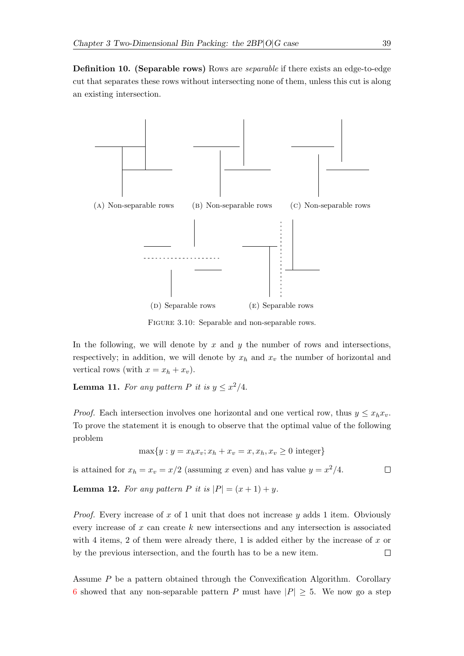<span id="page-52-0"></span>Definition 10. (Separable rows) Rows are separable if there exists an edge-to-edge cut that separates these rows without intersecting none of them, unless this cut is along an existing intersection.



FIGURE 3.10: Separable and non-separable rows.

In the following, we will denote by  $x$  and  $y$  the number of rows and intersections, respectively; in addition, we will denote by  $x_h$  and  $x_v$  the number of horizontal and vertical rows (with  $x = x_h + x_v$ ).

<span id="page-52-1"></span>**Lemma 11.** For any pattern P it is  $y \leq x^2/4$ .

*Proof.* Each intersection involves one horizontal and one vertical row, thus  $y \leq x_h x_v$ . To prove the statement it is enough to observe that the optimal value of the following problem

$$
\max\{y: y = x_h x_v; x_h + x_v = x, x_h, x_v \ge 0 \text{ integer}\}
$$

is attained for  $x_h = x_v = x/2$  (assuming x even) and has value  $y = x^2/4$ .  $\Box$ 

<span id="page-52-2"></span>**Lemma 12.** For any pattern P it is  $|P| = (x+1) + y$ .

*Proof.* Every increase of x of 1 unit that does not increase  $\gamma$  adds 1 item. Obviously every increase of  $x$  can create  $k$  new intersections and any intersection is associated with 4 items, 2 of them were already there, 1 is added either by the increase of  $x$  or by the previous intersection, and the fourth has to be a new item.  $\Box$ 

Assume P be a pattern obtained through the Convexification Algorithm. Corollary [6](#page-50-3) showed that any non-separable pattern P must have  $|P| \geq 5$ . We now go a step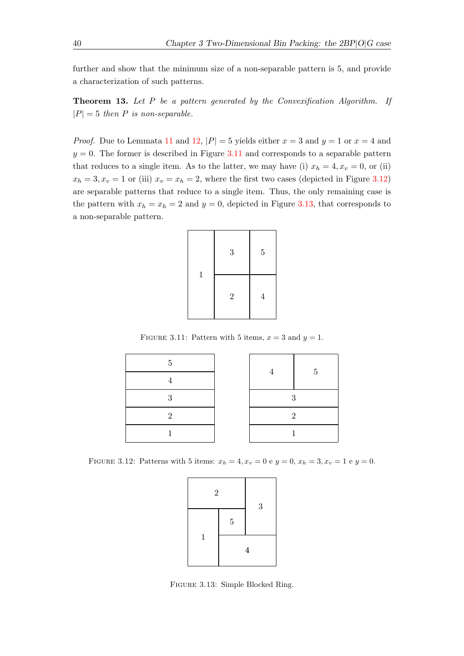further and show that the minimum size of a non-separable pattern is 5, and provide a characterization of such patterns.

<span id="page-53-3"></span>**Theorem 13.** Let  $P$  be a pattern generated by the Convexification Algorithm. If  $|P| = 5$  then P is non-separable.

<span id="page-53-0"></span>*Proof.* Due to Lemmata [11](#page-52-1) and [12,](#page-52-2)  $|P| = 5$  yields either  $x = 3$  and  $y = 1$  or  $x = 4$  and  $y = 0$ . The former is described in Figure [3.11](#page-53-0) and corresponds to a separable pattern that reduces to a single item. As to the latter, we may have (i)  $x_h = 4, x_v = 0$ , or (ii)  $x_h = 3, x_v = 1$  or (iii)  $x_v = x_h = 2$ , where the first two cases (depicted in Figure [3.12\)](#page-53-1) are separable patterns that reduce to a single item. Thus, the only remaining case is the pattern with  $x_h = x_h = 2$  and  $y = 0$ , depicted in Figure [3.13,](#page-53-2) that corresponds to a non-separable pattern.

| $\mathbf 1$ | $\boldsymbol{3}$ | $\bf 5$ |
|-------------|------------------|---------|
|             | $\sqrt{2}$       | $\,4\,$ |

FIGURE 3.11: Pattern with 5 items,  $x = 3$  and  $y = 1$ .

<span id="page-53-1"></span>

| .5            |   | 5 |  |
|---------------|---|---|--|
|               |   |   |  |
| 2             | 2 |   |  |
| $\mathcal{D}$ | 2 |   |  |
|               |   |   |  |

<span id="page-53-2"></span>FIGURE 3.12: Patterns with 5 items:  $x_h = 4, x_v = 0$  e  $y = 0, x_h = 3, x_v = 1$  e  $y = 0$ .

| $\overline{2}$ | $\sqrt{3}$ |                         |
|----------------|------------|-------------------------|
|                | $\bf 5$    |                         |
| $\mathbf{1}$   |            | $\overline{\mathbf{4}}$ |

Figure 3.13: Simple Blocked Ring.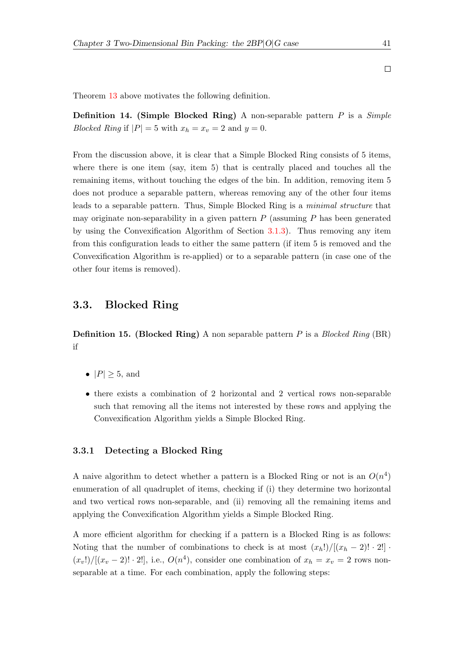Theorem [13](#page-53-3) above motivates the following definition.

**Definition 14. (Simple Blocked Ring)** A non-separable pattern  $P$  is a Simple Blocked Ring if  $|P| = 5$  with  $x_h = x_v = 2$  and  $y = 0$ .

From the discussion above, it is clear that a Simple Blocked Ring consists of 5 items, where there is one item (say, item 5) that is centrally placed and touches all the remaining items, without touching the edges of the bin. In addition, removing item 5 does not produce a separable pattern, whereas removing any of the other four items leads to a separable pattern. Thus, Simple Blocked Ring is a minimal structure that may originate non-separability in a given pattern  $P$  (assuming  $P$  has been generated by using the Convexification Algorithm of Section [3.1.3\)](#page-47-0). Thus removing any item from this configuration leads to either the same pattern (if item 5 is removed and the Convexification Algorithm is re-applied) or to a separable pattern (in case one of the other four items is removed).

# <span id="page-54-0"></span>3.3. Blocked Ring

**Definition 15. (Blocked Ring)** A non separable pattern P is a Blocked Ring (BR) if

- $|P| \geq 5$ , and
- there exists a combination of 2 horizontal and 2 vertical rows non-separable such that removing all the items not interested by these rows and applying the Convexification Algorithm yields a Simple Blocked Ring.

#### 3.3.1 Detecting a Blocked Ring

A naive algorithm to detect whether a pattern is a Blocked Ring or not is an  $O(n^4)$ enumeration of all quadruplet of items, checking if (i) they determine two horizontal and two vertical rows non-separable, and (ii) removing all the remaining items and applying the Convexification Algorithm yields a Simple Blocked Ring.

A more efficient algorithm for checking if a pattern is a Blocked Ring is as follows: Noting that the number of combinations to check is at most  $(x_h!)/[(x_h - 2)! \cdot 2!]$ .  $(x_v!)/[(x_v-2)! \cdot 2!]$ , i.e.,  $O(n^4)$ , consider one combination of  $x_h = x_v = 2$  rows nonseparable at a time. For each combination, apply the following steps:

 $\Box$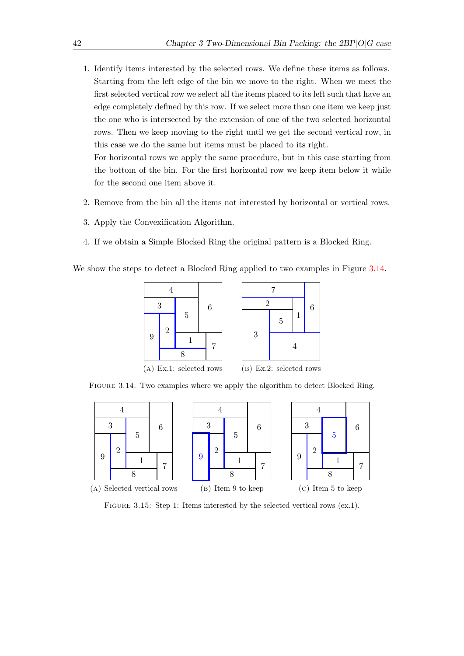1. Identify items interested by the selected rows. We define these items as follows. Starting from the left edge of the bin we move to the right. When we meet the first selected vertical row we select all the items placed to its left such that have an edge completely defined by this row. If we select more than one item we keep just the one who is intersected by the extension of one of the two selected horizontal rows. Then we keep moving to the right until we get the second vertical row, in this case we do the same but items must be placed to its right.

For horizontal rows we apply the same procedure, but in this case starting from the bottom of the bin. For the first horizontal row we keep item below it while for the second one item above it.

- 2. Remove from the bin all the items not interested by horizontal or vertical rows.
- 3. Apply the Convexification Algorithm.
- 4. If we obtain a Simple Blocked Ring the original pattern is a Blocked Ring.

<span id="page-55-0"></span>We show the steps to detect a Blocked Ring applied to two examples in Figure [3.14.](#page-55-0)



FIGURE 3.14: Two examples where we apply the algorithm to detect Blocked Ring.



FIGURE 3.15: Step 1: Items interested by the selected vertical rows (ex.1).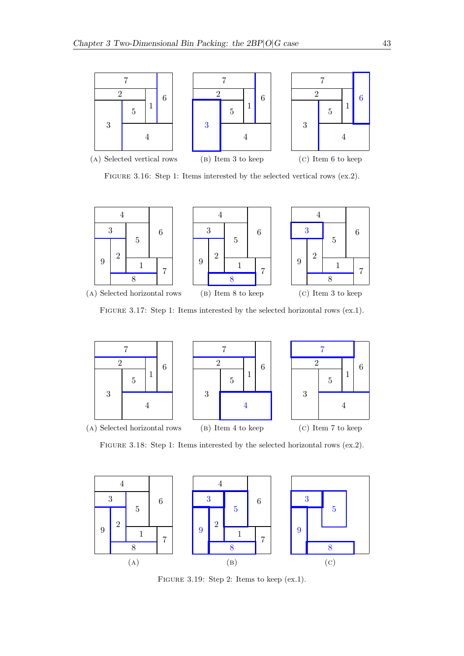

Figure 3.16: Step 1: Items interested by the selected vertical rows (ex.2).



Figure 3.17: Step 1: Items interested by the selected horizontal rows (ex.1).



(a) Selected horizontal rows

Figure 3.18: Step 1: Items interested by the selected horizontal rows (ex.2).



FIGURE 3.19: Step 2: Items to keep (ex.1).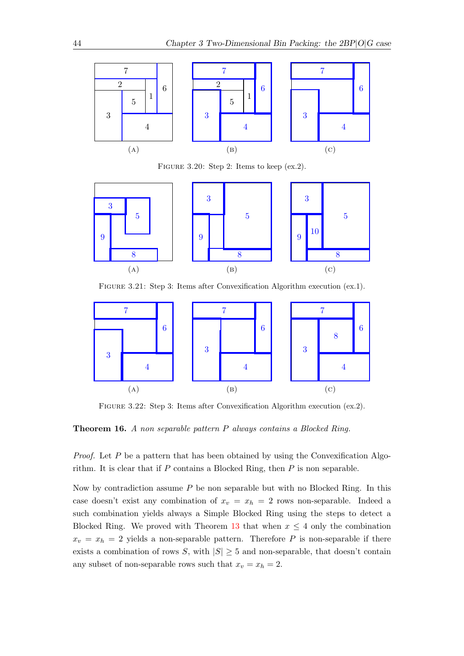



Figure 3.21: Step 3: Items after Convexification Algorithm execution (ex.1).



Figure 3.22: Step 3: Items after Convexification Algorithm execution (ex.2).

Theorem 16. A non separable pattern P always contains a Blocked Ring.

*Proof.* Let  $P$  be a pattern that has been obtained by using the Convexification Algorithm. It is clear that if  $P$  contains a Blocked Ring, then  $P$  is non separable.

Now by contradiction assume  $P$  be non separable but with no Blocked Ring. In this case doesn't exist any combination of  $x_v = x_h = 2$  rows non-separable. Indeed a such combination yields always a Simple Blocked Ring using the steps to detect a Blocked Ring. We proved with Theorem [13](#page-53-3) that when  $x \leq 4$  only the combination  $x_v = x_h = 2$  yields a non-separable pattern. Therefore P is non-separable if there exists a combination of rows S, with  $|S| \geq 5$  and non-separable, that doesn't contain any subset of non-separable rows such that  $x_v = x_h = 2$ .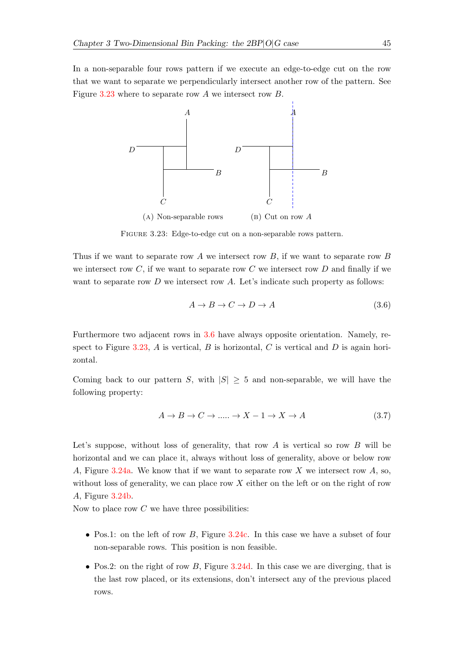<span id="page-58-0"></span>In a non-separable four rows pattern if we execute an edge-to-edge cut on the row that we want to separate we perpendicularly intersect another row of the pattern. See Figure [3.23](#page-58-0) where to separate row A we intersect row B.



Figure 3.23: Edge-to-edge cut on a non-separable rows pattern.

Thus if we want to separate row  $A$  we intersect row  $B$ , if we want to separate row  $B$ we intersect row  $C$ , if we want to separate row  $C$  we intersect row  $D$  and finally if we want to separate row  $D$  we intersect row  $A$ . Let's indicate such property as follows:

<span id="page-58-1"></span>
$$
A \to B \to C \to D \to A \tag{3.6}
$$

Furthermore two adjacent rows in [3.6](#page-58-1) have always opposite orientation. Namely, re-spect to Figure [3.23,](#page-58-0)  $A$  is vertical,  $B$  is horizontal,  $C$  is vertical and  $D$  is again horizontal.

Coming back to our pattern S, with  $|S| \geq 5$  and non-separable, we will have the following property:

<span id="page-58-2"></span>
$$
A \to B \to C \to \dots \to X - 1 \to X \to A \tag{3.7}
$$

Let's suppose, without loss of generality, that row  $A$  is vertical so row  $B$  will be horizontal and we can place it, always without loss of generality, above or below row A, Figure [3.24a.](#page-59-0) We know that if we want to separate row  $X$  we intersect row  $A$ , so, without loss of generality, we can place row  $X$  either on the left or on the right of row A, Figure [3.24b.](#page-59-0)

Now to place row  $C$  we have three possibilities:

- Pos.1: on the left of row  $B$ , Figure [3.24c.](#page-59-0) In this case we have a subset of four non-separable rows. This position is non feasible.
- Pos.2: on the right of row  $B$ , Figure [3.24d.](#page-59-0) In this case we are diverging, that is the last row placed, or its extensions, don't intersect any of the previous placed rows.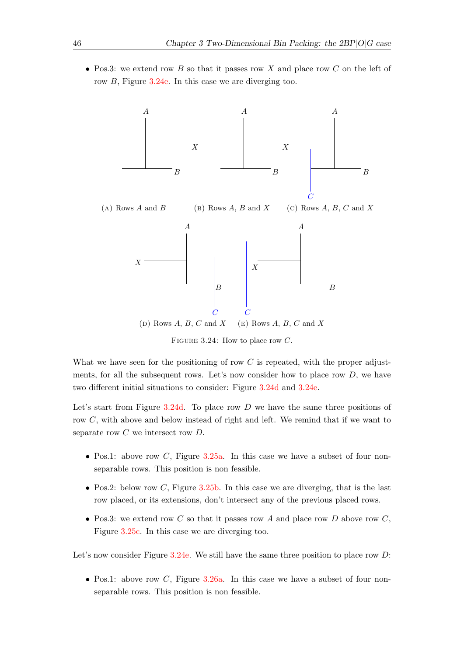• Pos.3: we extend row  $B$  so that it passes row  $X$  and place row  $C$  on the left of row B, Figure [3.24e.](#page-59-0) In this case we are diverging too.

<span id="page-59-0"></span>

 $(D)$  Rows  $A, B, C$  and  $X$  $(E)$  Rows  $A, B, C$  and  $X$ 

 $\mathcal C$ 

 $\mathcal{C}_{0}^{(n)}$ 

FIGURE 3.24: How to place row  $C$ .

What we have seen for the positioning of row  $C$  is repeated, with the proper adjustments, for all the subsequent rows. Let's now consider how to place row  $D$ , we have two different initial situations to consider: Figure [3.24d](#page-59-0) and [3.24e.](#page-59-0)

Let's start from Figure [3.24d.](#page-59-0) To place row  $D$  we have the same three positions of row C, with above and below instead of right and left. We remind that if we want to separate row C we intersect row D.

- Pos.1: above row C, Figure  $3.25a$ . In this case we have a subset of four nonseparable rows. This position is non feasible.
- Pos.2: below row C, Figure  $3.25b$ . In this case we are diverging, that is the last row placed, or its extensions, don't intersect any of the previous placed rows.
- Pos.3: we extend row C so that it passes row A and place row D above row C, Figure [3.25c.](#page-60-0) In this case we are diverging too.

Let's now consider Figure [3.24e.](#page-59-0) We still have the same three position to place row D:

• Pos.1: above row C, Figure [3.26a.](#page-60-1) In this case we have a subset of four nonseparable rows. This position is non feasible.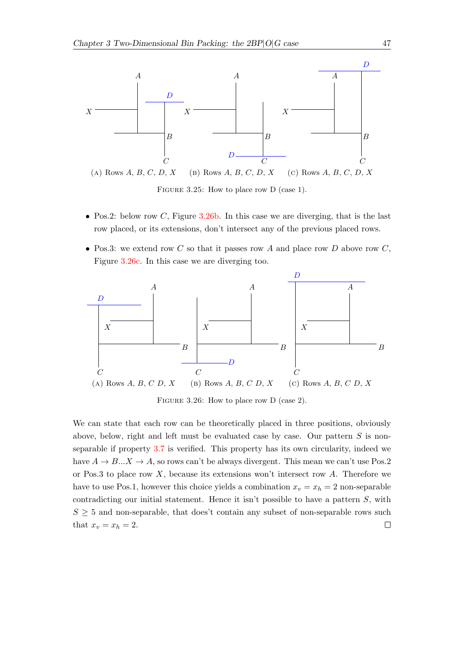<span id="page-60-0"></span>

FIGURE 3.25: How to place row D (case 1).

- Pos.2: below row C, Figure [3.26b.](#page-60-1) In this case we are diverging, that is the last row placed, or its extensions, don't intersect any of the previous placed rows.
- Pos.3: we extend row C so that it passes row A and place row D above row C, Figure [3.26c.](#page-60-1) In this case we are diverging too.

<span id="page-60-1"></span>

FIGURE 3.26: How to place row D (case 2).

We can state that each row can be theoretically placed in three positions, obviously above, below, right and left must be evaluated case by case. Our pattern  $S$  is nonseparable if property [3.7](#page-58-2) is verified. This property has its own circularity, indeed we have  $A \to B...X \to A$ , so rows can't be always divergent. This mean we can't use Pos.2 or Pos.3 to place row  $X$ , because its extensions won't intersect row  $A$ . Therefore we have to use Pos.1, however this choice yields a combination  $x_v = x_h = 2$  non-separable contradicting our initial statement. Hence it isn't possible to have a pattern  $S$ , with  $S \geq 5$  and non-separable, that does't contain any subset of non-separable rows such  $\Box$ that  $x_v = x_h = 2$ .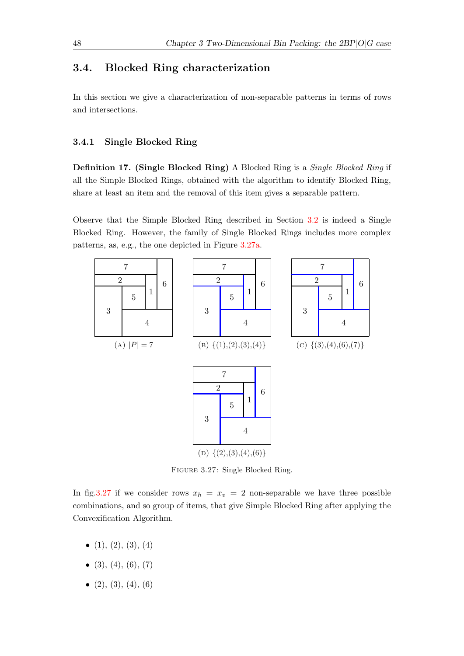# <span id="page-61-0"></span>3.4. Blocked Ring characterization

In this section we give a characterization of non-separable patterns in terms of rows and intersections.

#### <span id="page-61-2"></span>3.4.1 Single Blocked Ring

Definition 17. (Single Blocked Ring) A Blocked Ring is a Single Blocked Ring if all the Simple Blocked Rings, obtained with the algorithm to identify Blocked Ring, share at least an item and the removal of this item gives a separable pattern.

Observe that the Simple Blocked Ring described in Section [3.2](#page-51-0) is indeed a Single Blocked Ring. However, the family of Single Blocked Rings includes more complex patterns, as, e.g., the one depicted in Figure [3.27a.](#page-61-1)

<span id="page-61-1"></span>

Figure 3.27: Single Blocked Ring.

In fig. 3.27 if we consider rows  $x_h = x_v = 2$  non-separable we have three possible combinations, and so group of items, that give Simple Blocked Ring after applying the Convexification Algorithm.

- $(1), (2), (3), (4)$
- (3), (4), (6), (7)
- $(2), (3), (4), (6)$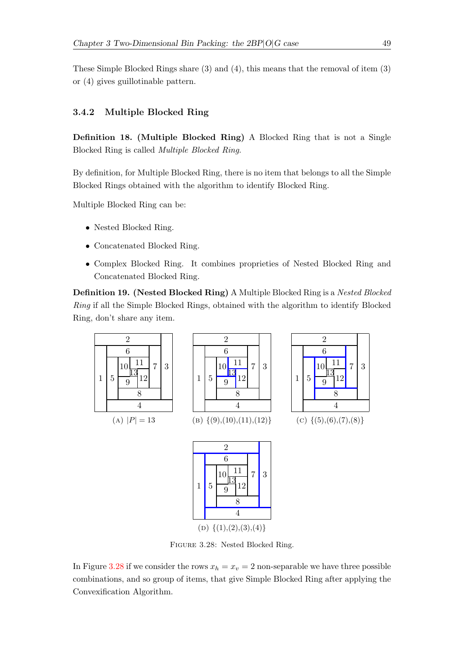These Simple Blocked Rings share (3) and (4), this means that the removal of item (3) or (4) gives guillotinable pattern.

## 3.4.2 Multiple Blocked Ring

Definition 18. (Multiple Blocked Ring) A Blocked Ring that is not a Single Blocked Ring is called Multiple Blocked Ring.

By definition, for Multiple Blocked Ring, there is no item that belongs to all the Simple Blocked Rings obtained with the algorithm to identify Blocked Ring.

Multiple Blocked Ring can be:

- Nested Blocked Ring.
- Concatenated Blocked Ring.
- Complex Blocked Ring. It combines proprieties of Nested Blocked Ring and Concatenated Blocked Ring.

Definition 19. (Nested Blocked Ring) A Multiple Blocked Ring is a Nested Blocked Ring if all the Simple Blocked Rings, obtained with the algorithm to identify Blocked Ring, don't share any item.

<span id="page-62-0"></span>

 $(D) \{(1),(2),(3),(4)\}\$ Figure 3.28: Nested Blocked Ring.

In Figure [3.28](#page-62-0) if we consider the rows  $x_h = x_v = 2$  non-separable we have three possible combinations, and so group of items, that give Simple Blocked Ring after applying the Convexification Algorithm.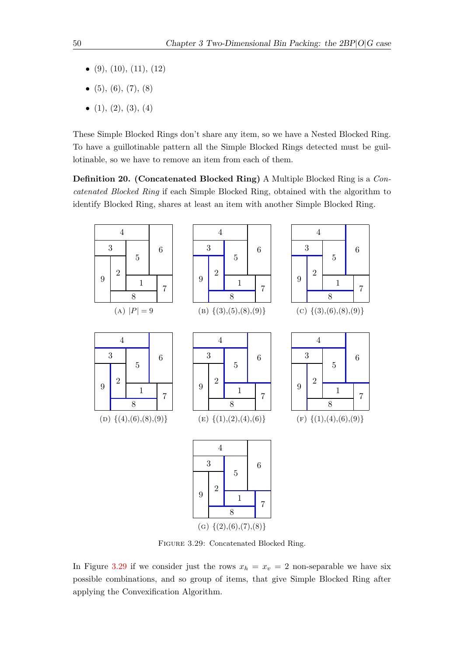- $\bullet$  (9), (10), (11), (12)
- (5), (6), (7), (8)
- $(1), (2), (3), (4)$

These Simple Blocked Rings don't share any item, so we have a Nested Blocked Ring. To have a guillotinable pattern all the Simple Blocked Rings detected must be guillotinable, so we have to remove an item from each of them.

Definition 20. (Concatenated Blocked Ring) A Multiple Blocked Ring is a Concatenated Blocked Ring if each Simple Blocked Ring, obtained with the algorithm to identify Blocked Ring, shares at least an item with another Simple Blocked Ring.

<span id="page-63-0"></span>

Figure 3.29: Concatenated Blocked Ring.

In Figure [3.29](#page-63-0) if we consider just the rows  $x_h = x_v = 2$  non-separable we have six possible combinations, and so group of items, that give Simple Blocked Ring after applying the Convexification Algorithm.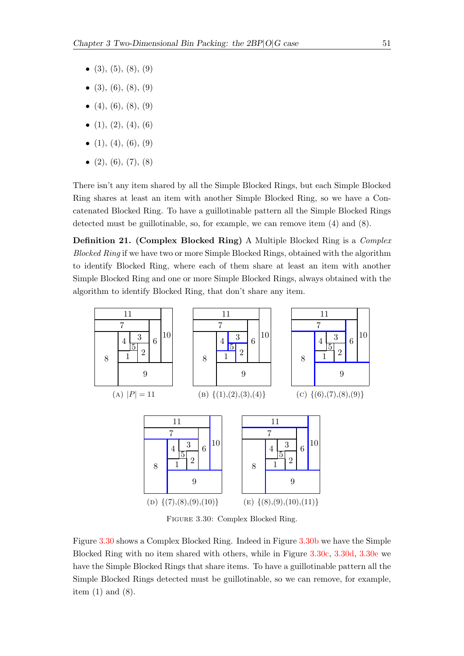- $(3)$ ,  $(5)$ ,  $(8)$ ,  $(9)$
- (3), (6), (8), (9)
- (4), (6), (8), (9)
- $(1), (2), (4), (6)$
- $(1), (4), (6), (9)$
- $(2), (6), (7), (8)$

There isn't any item shared by all the Simple Blocked Rings, but each Simple Blocked Ring shares at least an item with another Simple Blocked Ring, so we have a Concatenated Blocked Ring. To have a guillotinable pattern all the Simple Blocked Rings detected must be guillotinable, so, for example, we can remove item (4) and (8).

Definition 21. (Complex Blocked Ring) A Multiple Blocked Ring is a Complex Blocked Ring if we have two or more Simple Blocked Rings, obtained with the algorithm to identify Blocked Ring, where each of them share at least an item with another Simple Blocked Ring and one or more Simple Blocked Rings, always obtained with the algorithm to identify Blocked Ring, that don't share any item.

<span id="page-64-0"></span>

Figure 3.30: Complex Blocked Ring.

Figure [3.30](#page-64-0) shows a Complex Blocked Ring. Indeed in Figure [3.30b](#page-64-0) we have the Simple Blocked Ring with no item shared with others, while in Figure [3.30c,](#page-64-0) [3.30d,](#page-64-0) [3.30e](#page-64-0) we have the Simple Blocked Rings that share items. To have a guillotinable pattern all the Simple Blocked Rings detected must be guillotinable, so we can remove, for example, item  $(1)$  and  $(8)$ .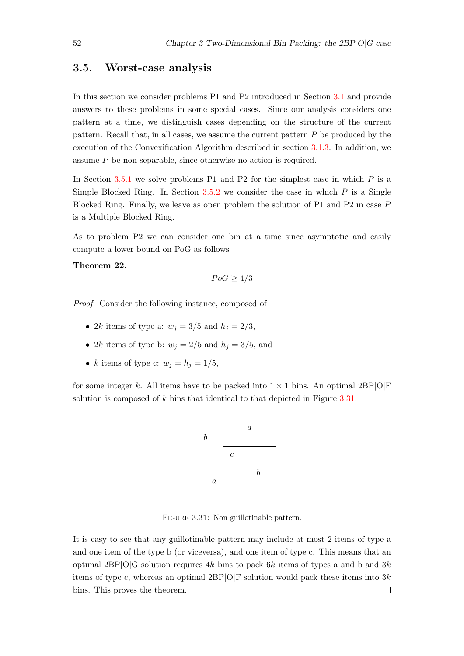#### <span id="page-65-0"></span>3.5. Worst-case analysis

In this section we consider problems P1 and P2 introduced in Section [3.1](#page-44-1) and provide answers to these problems in some special cases. Since our analysis considers one pattern at a time, we distinguish cases depending on the structure of the current pattern. Recall that, in all cases, we assume the current pattern  $P$  be produced by the execution of the Convexification Algorithm described in section [3.1.3.](#page-47-0) In addition, we assume P be non-separable, since otherwise no action is required.

In Section [3.5.1](#page-66-0) we solve problems P1 and P2 for the simplest case in which  $P$  is a Simple Blocked Ring. In Section  $3.5.2$  we consider the case in which  $P$  is a Single Blocked Ring. Finally, we leave as open problem the solution of P1 and P2 in case P is a Multiple Blocked Ring.

As to problem P2 we can consider one bin at a time since asymptotic and easily compute a lower bound on PoG as follows

#### <span id="page-65-2"></span>Theorem 22.

$$
PoG \ge 4/3
$$

Proof. Consider the following instance, composed of

- 2k items of type a:  $w_j = 3/5$  and  $h_j = 2/3$ ,
- 2k items of type b:  $w_j = 2/5$  and  $h_j = 3/5$ , and
- k items of type c:  $w_j = h_j = 1/5$ ,

<span id="page-65-1"></span>for some integer k. All items have to be packed into  $1 \times 1$  bins. An optimal  $2BP|O|F$ solution is composed of  $k$  bins that identical to that depicted in Figure [3.31.](#page-65-1)



FIGURE 3.31: Non guillotinable pattern.

It is easy to see that any guillotinable pattern may include at most 2 items of type a and one item of the type b (or viceversa), and one item of type c. This means that an optimal 2BP|O|G solution requires  $4k$  bins to pack  $6k$  items of types a and b and  $3k$ items of type c, whereas an optimal  $2BP|O|F$  solution would pack these items into 3k bins. This proves the theorem. $\Box$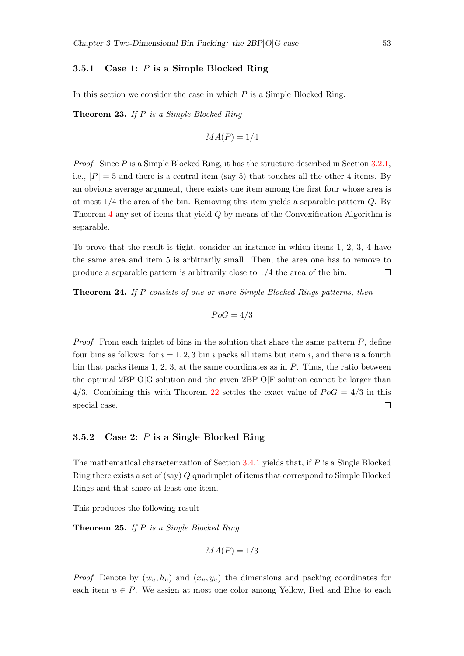#### <span id="page-66-0"></span>3.5.1 Case 1: P is a Simple Blocked Ring

In this section we consider the case in which  $P$  is a Simple Blocked Ring.

<span id="page-66-2"></span>**Theorem 23.** If  $P$  is a Simple Blocked Ring

$$
MA(P) = 1/4
$$

*Proof.* Since P is a Simple Blocked Ring, it has the structure described in Section  $3.2.1$ , i.e.,  $|P| = 5$  and there is a central item (say 5) that touches all the other 4 items. By an obvious average argument, there exists one item among the first four whose area is at most 1/4 the area of the bin. Removing this item yields a separable pattern Q. By Theorem [4](#page-48-3) any set of items that yield Q by means of the Convexification Algorithm is separable.

To prove that the result is tight, consider an instance in which items 1, 2, 3, 4 have the same area and item 5 is arbitrarily small. Then, the area one has to remove to produce a separable pattern is arbitrarily close to 1/4 the area of the bin.  $\Box$ 

<span id="page-66-3"></span>Theorem 24. If P consists of one or more Simple Blocked Rings patterns, then

$$
PoG = 4/3
$$

*Proof.* From each triplet of bins in the solution that share the same pattern  $P$ , define four bins as follows: for  $i = 1, 2, 3$  bin i packs all items but item i, and there is a fourth bin that packs items  $1, 2, 3$ , at the same coordinates as in  $P$ . Thus, the ratio between the optimal 2BP|O|G solution and the given 2BP|O|F solution cannot be larger than 4/3. Combining this with Theorem [22](#page-65-2) settles the exact value of  $PoG = 4/3$  in this special case.  $\Box$ 

#### <span id="page-66-1"></span>3.5.2 Case 2: P is a Single Blocked Ring

The mathematical characterization of Section [3.4.1](#page-61-2) yields that, if P is a Single Blocked Ring there exists a set of (say) Q quadruplet of items that correspond to Simple Blocked Rings and that share at least one item.

This produces the following result

<span id="page-66-4"></span>**Theorem 25.** If  $P$  is a Single Blocked Ring

$$
MA(P) = 1/3
$$

*Proof.* Denote by  $(w_u, h_u)$  and  $(x_u, y_u)$  the dimensions and packing coordinates for each item  $u \in P$ . We assign at most one color among Yellow, Red and Blue to each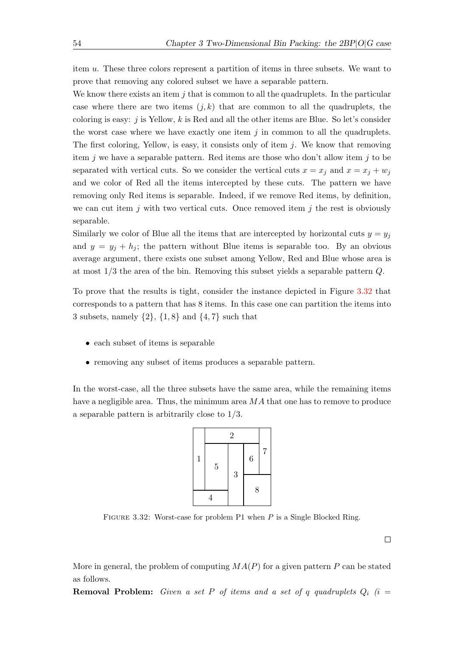item u. These three colors represent a partition of items in three subsets. We want to prove that removing any colored subset we have a separable pattern.

We know there exists an item  $j$  that is common to all the quadruplets. In the particular case where there are two items  $(j, k)$  that are common to all the quadruplets, the coloring is easy: j is Yellow, k is Red and all the other items are Blue. So let's consider the worst case where we have exactly one item  $j$  in common to all the quadruplets. The first coloring, Yellow, is easy, it consists only of item  $j$ . We know that removing item j we have a separable pattern. Red items are those who don't allow item j to be separated with vertical cuts. So we consider the vertical cuts  $x = x_j$  and  $x = x_j + w_j$ and we color of Red all the items intercepted by these cuts. The pattern we have removing only Red items is separable. Indeed, if we remove Red items, by definition, we can cut item  $j$  with two vertical cuts. Once removed item  $j$  the rest is obviously separable.

Similarly we color of Blue all the items that are intercepted by horizontal cuts  $y = y_j$ and  $y = y_j + h_j$ ; the pattern without Blue items is separable too. By an obvious average argument, there exists one subset among Yellow, Red and Blue whose area is at most 1/3 the area of the bin. Removing this subset yields a separable pattern Q.

To prove that the results is tight, consider the instance depicted in Figure [3.32](#page-67-0) that corresponds to a pattern that has 8 items. In this case one can partition the items into 3 subsets, namely  $\{2\}$ ,  $\{1, 8\}$  and  $\{4, 7\}$  such that

- each subset of items is separable
- removing any subset of items produces a separable pattern.

<span id="page-67-0"></span>In the worst-case, all the three subsets have the same area, while the remaining items have a negligible area. Thus, the minimum area  $MA$  that one has to remove to produce a separable pattern is arbitrarily close to 1/3.



FIGURE 3.32: Worst-case for problem P1 when  $P$  is a Single Blocked Ring.

More in general, the problem of computing  $MA(P)$  for a given pattern P can be stated as follows.

**Removal Problem:** Given a set P of items and a set of q quadruplets  $Q_i$  (i =

 $\Box$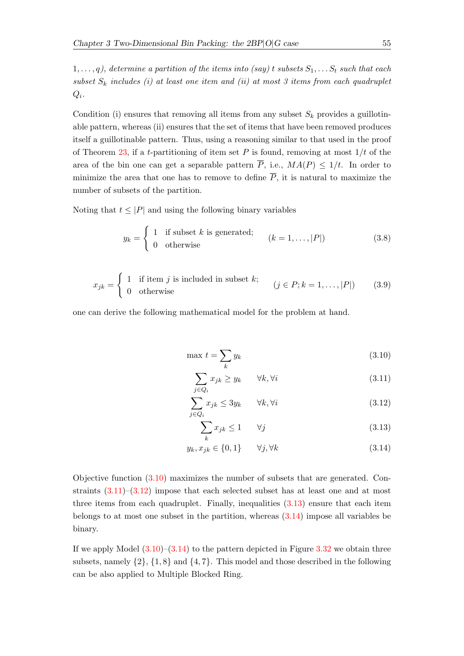$1, \ldots, q$ ), determine a partition of the items into (say) t subsets  $S_1, \ldots, S_t$  such that each subset  $S_k$  includes (i) at least one item and (ii) at most 3 items from each quadruplet  $Q_i$ .

Condition (i) ensures that removing all items from any subset  $S_k$  provides a guillotinable pattern, whereas (ii) ensures that the set of items that have been removed produces itself a guillotinable pattern. Thus, using a reasoning similar to that used in the proof of Theorem [23,](#page-66-2) if a t-partitioning of item set P is found, removing at most  $1/t$  of the area of the bin one can get a separable pattern  $\overline{P}$ , i.e.,  $MA(P) \leq 1/t$ . In order to minimize the area that one has to remove to define  $\overline{P}$ , it is natural to maximize the number of subsets of the partition.

Noting that  $t \leq |P|$  and using the following binary variables

$$
y_k = \begin{cases} 1 & \text{if subset } k \text{ is generated;} \\ 0 & \text{otherwise} \end{cases} \qquad (k = 1, \dots, |P|) \tag{3.8}
$$

$$
x_{jk} = \begin{cases} 1 & \text{if item } j \text{ is included in subset } k; \\ 0 & \text{otherwise} \end{cases} \qquad (j \in P; k = 1, \dots, |P|) \qquad (3.9)
$$

one can derive the following mathematical model for the problem at hand.

<span id="page-68-0"></span>
$$
\max t = \sum_{k} y_k \tag{3.10}
$$

$$
\sum_{j \in Q_i} x_{jk} \ge y_k \qquad \forall k, \forall i \tag{3.11}
$$

$$
\sum_{j \in Q_i} x_{jk} \le 3y_k \qquad \forall k, \forall i \tag{3.12}
$$

$$
\sum_{k} x_{jk} \le 1 \qquad \forall j \tag{3.13}
$$

$$
y_k, x_{jk} \in \{0, 1\} \qquad \forall j, \forall k \tag{3.14}
$$

Objective function [\(3.10\)](#page-68-0) maximizes the number of subsets that are generated. Constraints  $(3.11)$ – $(3.12)$  impose that each selected subset has at least one and at most three items from each quadruplet. Finally, inequalities [\(3.13\)](#page-68-0) ensure that each item belongs to at most one subset in the partition, whereas [\(3.14\)](#page-68-0) impose all variables be binary.

If we apply Model  $(3.10)$ – $(3.14)$  to the pattern depicted in Figure [3.32](#page-67-0) we obtain three subsets, namely  $\{2\}, \{1, 8\}$  and  $\{4, 7\}$ . This model and those described in the following can be also applied to Multiple Blocked Ring.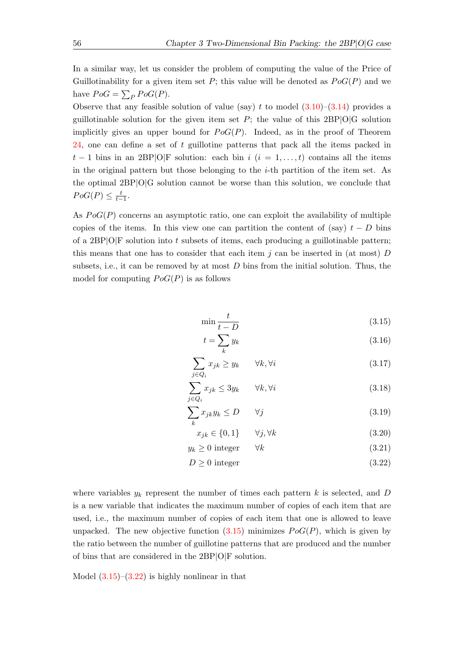In a similar way, let us consider the problem of computing the value of the Price of Guillotinability for a given item set  $P$ ; this value will be denoted as  $PoG(P)$  and we have  $PoG = \sum_{P} PoG(P)$ .

Observe that any feasible solution of value (say) t to model  $(3.10)$ – $(3.14)$  provides a guillotinable solution for the given item set  $P$ ; the value of this 2BP|O|G solution implicitly gives an upper bound for  $PoG(P)$ . Indeed, as in the proof of Theorem [24,](#page-66-3) one can define a set of t guillotine patterns that pack all the items packed in  $t-1$  bins in an 2BP|O|F solution: each bin  $i$   $(i = 1, \ldots, t)$  contains all the items in the original pattern but those belonging to the  $i$ -th partition of the item set. As the optimal 2BP|O|G solution cannot be worse than this solution, we conclude that  $PoG(P) \leq \frac{t}{t-1}.$ 

As  $PoG(P)$  concerns an asymptotic ratio, one can exploit the availability of multiple copies of the items. In this view one can partition the content of (say)  $t - D$  bins of a 2BP|O|F solution into t subsets of items, each producing a guillotinable pattern; this means that one has to consider that each item  $j$  can be inserted in (at most)  $D$ subsets, i.e., it can be removed by at most  $D$  bins from the initial solution. Thus, the model for computing  $PoG(P)$  is as follows

$$
\min \frac{t}{t - D} \tag{3.15}
$$

<span id="page-69-0"></span>
$$
t = \sum_{k} y_k \tag{3.16}
$$

$$
\sum_{j \in Q_i} x_{jk} \ge y_k \qquad \forall k, \forall i \tag{3.17}
$$

$$
\sum_{j \in Q_i} x_{jk} \le 3y_k \qquad \forall k, \forall i \tag{3.18}
$$

$$
\sum_{k} x_{jk} y_k \le D \qquad \forall j \tag{3.19}
$$

$$
x_{jk} \in \{0, 1\} \qquad \forall j, \forall k \tag{3.20}
$$

$$
y_k \ge 0 \text{ integer} \qquad \forall k \tag{3.21}
$$

$$
D \ge 0 \text{ integer} \tag{3.22}
$$

where variables  $y_k$  represent the number of times each pattern k is selected, and D is a new variable that indicates the maximum number of copies of each item that are used, i.e., the maximum number of copies of each item that one is allowed to leave unpacked. The new objective function  $(3.15)$  minimizes  $PoG(P)$ , which is given by the ratio between the number of guillotine patterns that are produced and the number of bins that are considered in the 2BP|O|F solution.

Model  $(3.15)$ – $(3.22)$  is highly nonlinear in that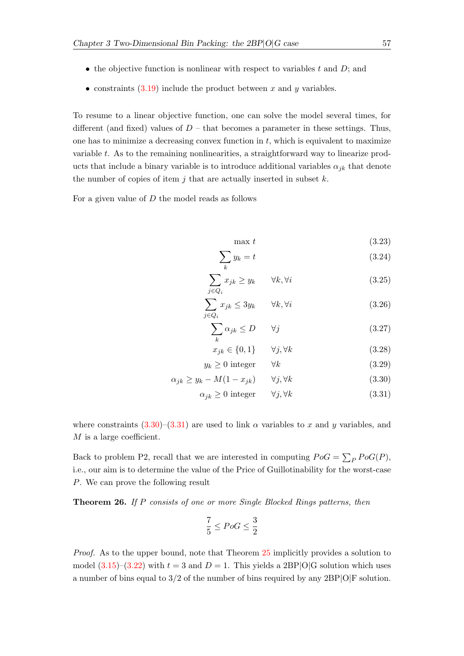- the objective function is nonlinear with respect to variables  $t$  and  $D$ ; and
- constraints  $(3.19)$  include the product between x and y variables.

To resume to a linear objective function, one can solve the model several times, for different (and fixed) values of  $D$  – that becomes a parameter in these settings. Thus, one has to minimize a decreasing convex function in  $t$ , which is equivalent to maximize variable t. As to the remaining nonlinearities, a straightforward way to linearize products that include a binary variable is to introduce additional variables  $\alpha_{jk}$  that denote the number of copies of item  $j$  that are actually inserted in subset  $k$ .

For a given value of  $D$  the model reads as follows

<span id="page-70-0"></span>
$$
\max t \tag{3.23}
$$

$$
\sum_{k} y_k = t \tag{3.24}
$$

$$
\sum_{j \in Q_i} x_{jk} \ge y_k \qquad \forall k, \forall i \tag{3.25}
$$

$$
\sum_{j \in Q_i} x_{jk} \le 3y_k \qquad \forall k, \forall i \tag{3.26}
$$

$$
\sum_{k} \alpha_{jk} \le D \qquad \forall j \tag{3.27}
$$

$$
x_{jk} \in \{0, 1\} \qquad \forall j, \forall k \tag{3.28}
$$

$$
y_k \ge 0 \text{ integer} \qquad \forall k \tag{3.29}
$$

$$
\alpha_{jk} \ge y_k - M(1 - x_{jk}) \qquad \forall j, \forall k \tag{3.30}
$$

$$
\alpha_{jk} \ge 0 \text{ integer} \qquad \forall j, \forall k \tag{3.31}
$$

where constraints  $(3.30)$ – $(3.31)$  are used to link  $\alpha$  variables to x and y variables, and M is a large coefficient.

Back to problem P2, recall that we are interested in computing  $PoG = \sum_{P} PoG(P)$ , i.e., our aim is to determine the value of the Price of Guillotinability for the worst-case P. We can prove the following result

Theorem 26. If P consists of one or more Single Blocked Rings patterns, then

$$
\frac{7}{5} \le PoG \le \frac{3}{2}
$$

Proof. As to the upper bound, note that Theorem [25](#page-66-4) implicitly provides a solution to model  $(3.15)$ – $(3.22)$  with  $t = 3$  and  $D = 1$ . This yields a 2BP|O|G solution which uses a number of bins equal to 3/2 of the number of bins required by any 2BP|O|F solution.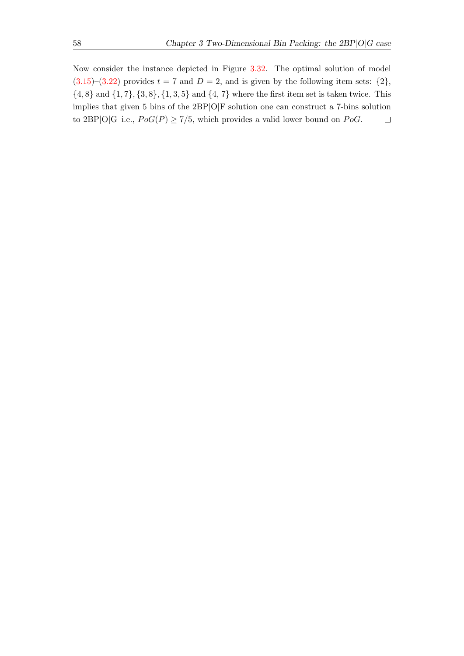Now consider the instance depicted in Figure [3.32.](#page-67-0) The optimal solution of model  $(3.15)$ – $(3.22)$  provides  $t = 7$  and  $D = 2$ , and is given by the following item sets:  $\{2\}$ ,  $\{4, 8\}$  and  $\{1, 7\}, \{3, 8\}, \{1, 3, 5\}$  and  $\{4, 7\}$  where the first item set is taken twice. This implies that given 5 bins of the 2BP|O|F solution one can construct a 7-bins solution to 2BP|O|G i.e.,  $PoG(P) \ge 7/5$ , which provides a valid lower bound on PoG.  $\Box$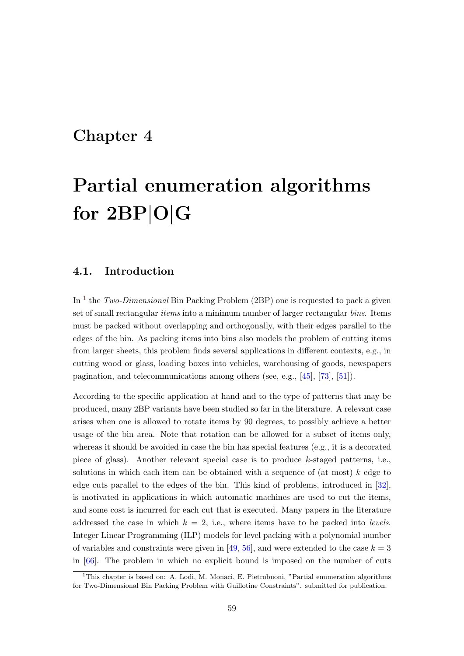### Chapter 4

# Partial enumeration algorithms for 2BP|O|G

#### 4.1. Introduction

In<sup>[1](#page-72-0)</sup> the Two-Dimensional Bin Packing Problem (2BP) one is requested to pack a given set of small rectangular *items* into a minimum number of larger rectangular *bins*. Items must be packed without overlapping and orthogonally, with their edges parallel to the edges of the bin. As packing items into bins also models the problem of cutting items from larger sheets, this problem finds several applications in different contexts, e.g., in cutting wood or glass, loading boxes into vehicles, warehousing of goods, newspapers pagination, and telecommunications among others (see, e.g., [\[45\]](#page-87-0), [\[73\]](#page-89-0), [\[51\]](#page-87-1)).

According to the specific application at hand and to the type of patterns that may be produced, many 2BP variants have been studied so far in the literature. A relevant case arises when one is allowed to rotate items by 90 degrees, to possibly achieve a better usage of the bin area. Note that rotation can be allowed for a subset of items only, whereas it should be avoided in case the bin has special features (e.g., it is a decorated piece of glass). Another relevant special case is to produce k-staged patterns, i.e., solutions in which each item can be obtained with a sequence of (at most) k edge to edge cuts parallel to the edges of the bin. This kind of problems, introduced in [\[32\]](#page-86-0), is motivated in applications in which automatic machines are used to cut the items, and some cost is incurred for each cut that is executed. Many papers in the literature addressed the case in which  $k = 2$ , i.e., where items have to be packed into *levels*. Integer Linear Programming (ILP) models for level packing with a polynomial number of variables and constraints were given in [\[49,](#page-87-2) [56\]](#page-88-0), and were extended to the case  $k = 3$ in [\[66\]](#page-88-1). The problem in which no explicit bound is imposed on the number of cuts

<span id="page-72-0"></span><sup>&</sup>lt;sup>1</sup>This chapter is based on: A. Lodi, M. Monaci, E. Pietrobuoni, "Partial enumeration algorithms for Two-Dimensional Bin Packing Problem with Guillotine Constraints". submitted for publication.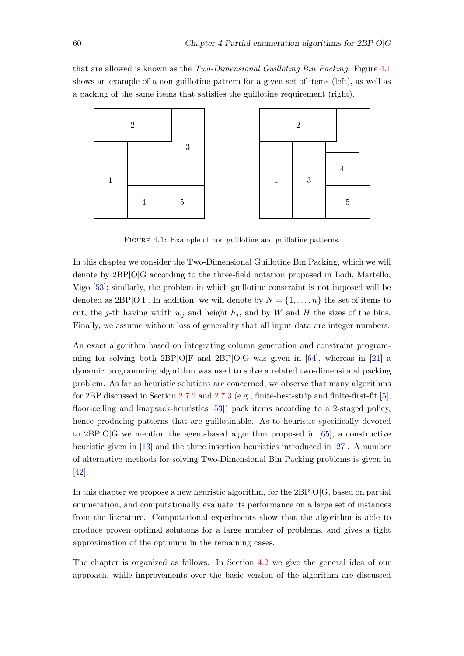that are allowed is known as the Two-Dimensional Guilloting Bin Packing. Figure [4.1](#page-73-0) shows an example of a non guillotine pattern for a given set of items (left), as well as a packing of the same items that satisfies the guillotine requirement (right).

<span id="page-73-0"></span>

FIGURE 4.1: Example of non guillotine and guillotine patterns.

In this chapter we consider the Two-Dimensional Guillotine Bin Packing, which we will denote by 2BP|O|G according to the three-field notation proposed in Lodi, Martello, Vigo [\[53\]](#page-87-3); similarly, the problem in which guillotine constraint is not imposed will be denoted as  $2BP|O|F$ . In addition, we will denote by  $N = \{1, \ldots, n\}$  the set of items to cut, the j-th having width  $w_j$  and height  $h_j$ , and by W and H the sizes of the bins. Finally, we assume without loss of generality that all input data are integer numbers.

An exact algorithm based on integrating column generation and constraint programming for solving both  $2BP|O|F$  and  $2BP|O|G$  was given in [\[64\]](#page-88-2), whereas in [\[21\]](#page-85-0) a dynamic programming algorithm was used to solve a related two-dimensional packing problem. As far as heuristic solutions are concerned, we observe that many algorithms for 2BP discussed in Section [2.7.2](#page-28-0) and [2.7.3](#page-30-0) (e.g., finite-best-strip and finite-first-fit [\[5\]](#page-84-0), floor-ceiling and knapsack-heuristics [\[53\]](#page-87-3)) pack items according to a 2-staged policy, hence producing patterns that are guillotinable. As to heuristic specifically devoted to 2BP|O|G we mention the agent-based algorithm proposed in [\[65\]](#page-88-3), a constructive heuristic given in [\[13\]](#page-85-1) and the three insertion heuristics introduced in [\[27\]](#page-86-1). A number of alternative methods for solving Two-Dimensional Bin Packing problems is given in [\[42\]](#page-87-4).

In this chapter we propose a new heuristic algorithm, for the 2BP|O|G, based on partial enumeration, and computationally evaluate its performance on a large set of instances from the literature. Computational experiments show that the algorithm is able to produce proven optimal solutions for a large number of problems, and gives a tight approximation of the optimum in the remaining cases.

The chapter is organized as follows. In Section [4.2](#page-74-0) we give the general idea of our approach, while improvements over the basic version of the algorithm are discussed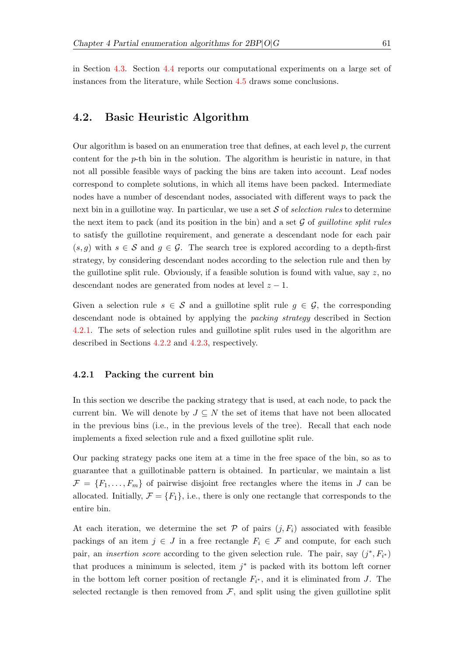in Section [4.3.](#page-77-0) Section [4.4](#page-78-0) reports our computational experiments on a large set of instances from the literature, while Section [4.5](#page-82-0) draws some conclusions.

#### <span id="page-74-0"></span>4.2. Basic Heuristic Algorithm

Our algorithm is based on an enumeration tree that defines, at each level  $p$ , the current content for the  $p$ -th bin in the solution. The algorithm is heuristic in nature, in that not all possible feasible ways of packing the bins are taken into account. Leaf nodes correspond to complete solutions, in which all items have been packed. Intermediate nodes have a number of descendant nodes, associated with different ways to pack the next bin in a guillotine way. In particular, we use a set  $S$  of selection rules to determine the next item to pack (and its position in the bin) and a set  $\mathcal G$  of *quillotine split rules* to satisfy the guillotine requirement, and generate a descendant node for each pair  $(s, g)$  with  $s \in \mathcal{S}$  and  $g \in \mathcal{G}$ . The search tree is explored according to a depth-first strategy, by considering descendant nodes according to the selection rule and then by the guillotine split rule. Obviously, if a feasible solution is found with value, say  $z$ , no descendant nodes are generated from nodes at level  $z - 1$ .

Given a selection rule  $s \in \mathcal{S}$  and a guillotine split rule  $g \in \mathcal{G}$ , the corresponding descendant node is obtained by applying the packing strategy described in Section [4.2.1.](#page-74-1) The sets of selection rules and guillotine split rules used in the algorithm are described in Sections [4.2.2](#page-75-0) and [4.2.3,](#page-76-0) respectively.

#### <span id="page-74-1"></span>4.2.1 Packing the current bin

In this section we describe the packing strategy that is used, at each node, to pack the current bin. We will denote by  $J \subseteq N$  the set of items that have not been allocated in the previous bins (i.e., in the previous levels of the tree). Recall that each node implements a fixed selection rule and a fixed guillotine split rule.

Our packing strategy packs one item at a time in the free space of the bin, so as to guarantee that a guillotinable pattern is obtained. In particular, we maintain a list  $\mathcal{F} = \{F_1, \ldots, F_m\}$  of pairwise disjoint free rectangles where the items in J can be allocated. Initially,  $\mathcal{F} = \{F_1\}$ , i.e., there is only one rectangle that corresponds to the entire bin.

At each iteration, we determine the set  $P$  of pairs  $(j, F<sub>i</sub>)$  associated with feasible packings of an item  $j \in J$  in a free rectangle  $F_i \in \mathcal{F}$  and compute, for each such pair, an *insertion score* according to the given selection rule. The pair, say  $(j^*, F_{i^*})$ that produces a minimum is selected, item  $j^*$  is packed with its bottom left corner in the bottom left corner position of rectangle  $F_{i^*}$ , and it is eliminated from J. The selected rectangle is then removed from  $\mathcal{F}$ , and split using the given guillotine split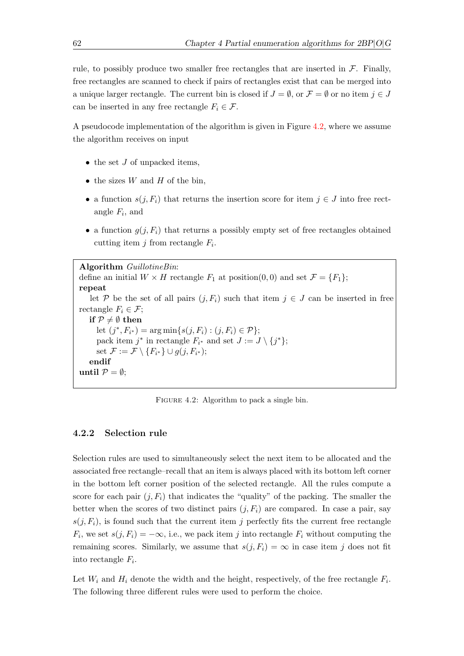rule, to possibly produce two smaller free rectangles that are inserted in  $\mathcal{F}$ . Finally, free rectangles are scanned to check if pairs of rectangles exist that can be merged into a unique larger rectangle. The current bin is closed if  $J = \emptyset$ , or  $\mathcal{F} = \emptyset$  or no item  $j \in J$ can be inserted in any free rectangle  $F_i \in \mathcal{F}$ .

A pseudocode implementation of the algorithm is given in Figure [4.2,](#page-75-1) where we assume the algorithm receives on input

- $\bullet$  the set  $J$  of unpacked items,
- $\bullet$  the sizes W and H of the bin,
- a function  $s(j, F_i)$  that returns the insertion score for item  $j \in J$  into free rectangle  $F_i$ , and
- a function  $g(j, F_i)$  that returns a possibly empty set of free rectangles obtained cutting item  $j$  from rectangle  $F_i$ .

<span id="page-75-1"></span>Algorithm GuillotineBin: define an initial  $W \times H$  rectangle  $F_1$  at position(0,0) and set  $\mathcal{F} = \{F_1\};$ repeat let P be the set of all pairs  $(j, F_i)$  such that item  $j \in J$  can be inserted in free rectangle  $F_i \in \mathcal{F}$ ; if  $P \neq \emptyset$  then let  $(j^*, F_{i^*}) = \arg \min \{ s(j, F_i) : (j, F_i) \in \mathcal{P} \};$ pack item  $j^*$  in rectangle  $F_{i^*}$  and set  $J := J \setminus \{j^*\};$ set  $\mathcal{F} := \mathcal{F} \setminus \{F_{i^*}\} \cup g(j, F_{i^*});$ endif until  $\mathcal{P} = \emptyset$ ;

FIGURE 4.2: Algorithm to pack a single bin.

#### <span id="page-75-0"></span>4.2.2 Selection rule

Selection rules are used to simultaneously select the next item to be allocated and the associated free rectangle–recall that an item is always placed with its bottom left corner in the bottom left corner position of the selected rectangle. All the rules compute a score for each pair  $(j, F_i)$  that indicates the "quality" of the packing. The smaller the better when the scores of two distinct pairs  $(j, F_i)$  are compared. In case a pair, say  $s(j, F_i)$ , is found such that the current item j perfectly fits the current free rectangle  $F_i$ , we set  $s(j, F_i) = -\infty$ , i.e., we pack item j into rectangle  $F_i$  without computing the remaining scores. Similarly, we assume that  $s(j, F_i) = \infty$  in case item j does not fit into rectangle  $F_i$ .

Let  $W_i$  and  $H_i$  denote the width and the height, respectively, of the free rectangle  $F_i$ . The following three different rules were used to perform the choice.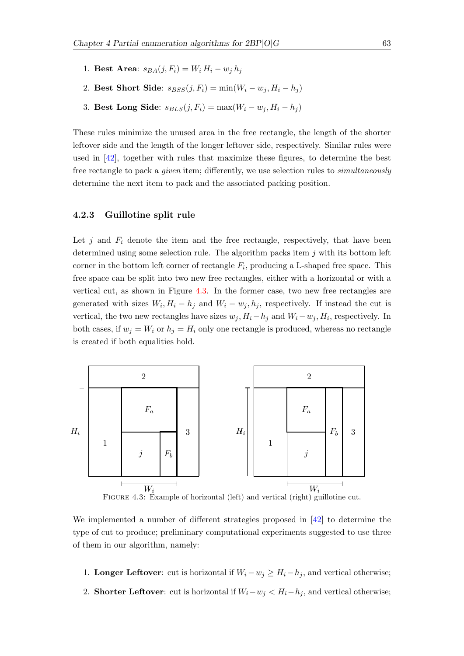- 1. Best Area:  $s_{BA}(j, F_i) = W_i H_i w_j h_j$
- 2. Best Short Side:  $s_{BSS}(j, F_i) = \min(W_i w_j, H_i h_i)$
- 3. Best Long Side:  $s_{BLS}(j, F_i) = \max(W_i w_j, H_i h_i)$

These rules minimize the unused area in the free rectangle, the length of the shorter leftover side and the length of the longer leftover side, respectively. Similar rules were used in [\[42\]](#page-87-4), together with rules that maximize these figures, to determine the best free rectangle to pack a *given* item; differently, we use selection rules to *simultaneously* determine the next item to pack and the associated packing position.

#### <span id="page-76-0"></span>4.2.3 Guillotine split rule

Let j and  $F_i$  denote the item and the free rectangle, respectively, that have been determined using some selection rule. The algorithm packs item  $j$  with its bottom left corner in the bottom left corner of rectangle  $F_i$ , producing a L-shaped free space. This free space can be split into two new free rectangles, either with a horizontal or with a vertical cut, as shown in Figure [4.3.](#page-76-1) In the former case, two new free rectangles are generated with sizes  $W_i$ ,  $H_i - h_j$  and  $W_i - w_j$ ,  $h_j$ , respectively. If instead the cut is vertical, the two new rectangles have sizes  $w_j$ ,  $H_i - h_j$  and  $W_i - w_j$ ,  $H_i$ , respectively. In both cases, if  $w_j = W_i$  or  $h_j = H_i$  only one rectangle is produced, whereas no rectangle is created if both equalities hold.

<span id="page-76-1"></span>

Figure 4.3: Example of horizontal (left) and vertical (right) guillotine cut.

We implemented a number of different strategies proposed in [\[42\]](#page-87-4) to determine the type of cut to produce; preliminary computational experiments suggested to use three of them in our algorithm, namely:

- 1. Longer Leftover: cut is horizontal if  $W_i w_j \ge H_i h_j$ , and vertical otherwise;
- 2. Shorter Leftover: cut is horizontal if  $W_i w_j < H_i h_j$ , and vertical otherwise;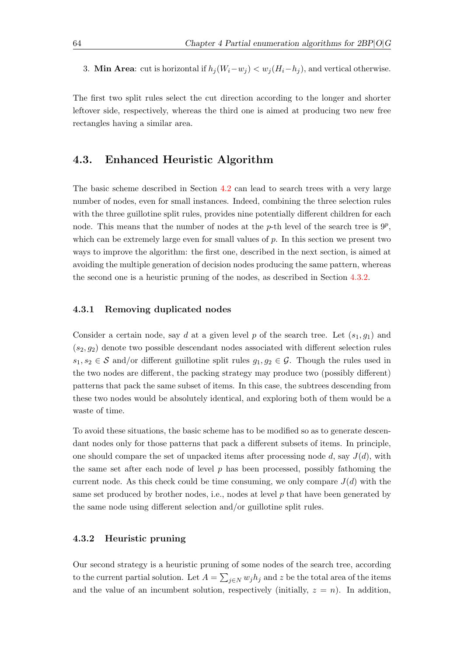3. Min Area: cut is horizontal if  $h_j(W_i-w_j) < w_j(H_i-h_j)$ , and vertical otherwise.

The first two split rules select the cut direction according to the longer and shorter leftover side, respectively, whereas the third one is aimed at producing two new free rectangles having a similar area.

#### <span id="page-77-0"></span>4.3. Enhanced Heuristic Algorithm

The basic scheme described in Section [4.2](#page-74-0) can lead to search trees with a very large number of nodes, even for small instances. Indeed, combining the three selection rules with the three guillotine split rules, provides nine potentially different children for each node. This means that the number of nodes at the p-th level of the search tree is  $9^p$ , which can be extremely large even for small values of  $p$ . In this section we present two ways to improve the algorithm: the first one, described in the next section, is aimed at avoiding the multiple generation of decision nodes producing the same pattern, whereas the second one is a heuristic pruning of the nodes, as described in Section [4.3.2.](#page-77-1)

#### 4.3.1 Removing duplicated nodes

Consider a certain node, say d at a given level p of the search tree. Let  $(s_1, g_1)$  and  $(s_2, g_2)$  denote two possible descendant nodes associated with different selection rules  $s_1, s_2 \in \mathcal{S}$  and/or different guillotine split rules  $g_1, g_2 \in \mathcal{G}$ . Though the rules used in the two nodes are different, the packing strategy may produce two (possibly different) patterns that pack the same subset of items. In this case, the subtrees descending from these two nodes would be absolutely identical, and exploring both of them would be a waste of time.

To avoid these situations, the basic scheme has to be modified so as to generate descendant nodes only for those patterns that pack a different subsets of items. In principle, one should compare the set of unpacked items after processing node  $d$ , say  $J(d)$ , with the same set after each node of level  $p$  has been processed, possibly fathoming the current node. As this check could be time consuming, we only compare  $J(d)$  with the same set produced by brother nodes, i.e., nodes at level  $p$  that have been generated by the same node using different selection and/or guillotine split rules.

#### <span id="page-77-1"></span>4.3.2 Heuristic pruning

Our second strategy is a heuristic pruning of some nodes of the search tree, according to the current partial solution. Let  $A = \sum_{j \in N} w_j h_j$  and z be the total area of the items and the value of an incumbent solution, respectively (initially,  $z = n$ ). In addition,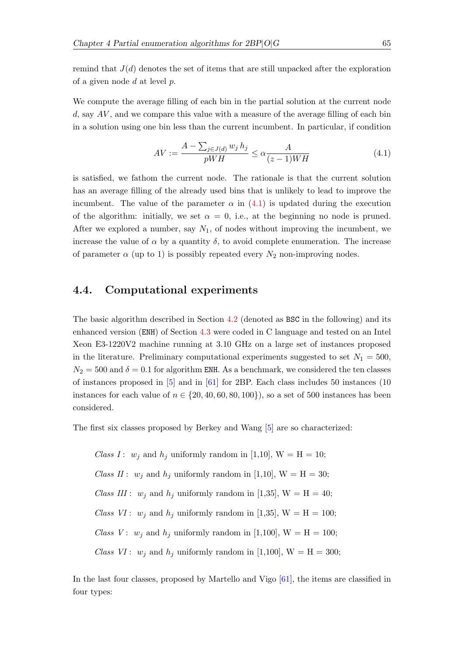remind that  $J(d)$  denotes the set of items that are still unpacked after the exploration of a given node d at level p.

We compute the average filling of each bin in the partial solution at the current node  $d$ , say  $AV$ , and we compare this value with a measure of the average filling of each bin in a solution using one bin less than the current incumbent. In particular, if condition

<span id="page-78-1"></span>
$$
AV := \frac{A - \sum_{j \in J(d)} w_j h_j}{pWH} \le \alpha \frac{A}{(z - 1)WH} \tag{4.1}
$$

is satisfied, we fathom the current node. The rationale is that the current solution has an average filling of the already used bins that is unlikely to lead to improve the incumbent. The value of the parameter  $\alpha$  in [\(4.1\)](#page-78-1) is updated during the execution of the algorithm: initially, we set  $\alpha = 0$ , i.e., at the beginning no node is pruned. After we explored a number, say  $N_1$ , of nodes without improving the incumbent, we increase the value of  $\alpha$  by a quantity  $\delta$ , to avoid complete enumeration. The increase of parameter  $\alpha$  (up to 1) is possibly repeated every  $N_2$  non-improving nodes.

#### <span id="page-78-0"></span>4.4. Computational experiments

The basic algorithm described in Section [4.2](#page-74-0) (denoted as BSC in the following) and its enhanced version (ENH) of Section [4.3](#page-77-0) were coded in C language and tested on an Intel Xeon E3-1220V2 machine running at 3.10 GHz on a large set of instances proposed in the literature. Preliminary computational experiments suggested to set  $N_1 = 500$ ,  $N_2 = 500$  and  $\delta = 0.1$  for algorithm ENH. As a benchmark, we considered the ten classes of instances proposed in  $\left[5\right]$  and in  $\left[61\right]$  for 2BP. Each class includes 50 instances (10) instances for each value of  $n \in \{20, 40, 60, 80, 100\}$ , so a set of 500 instances has been considered.

The first six classes proposed by Berkey and Wang [\[5\]](#page-84-0) are so characterized:

Class I:  $w_i$  and  $h_i$  uniformly random in [1,10],  $W = H = 10$ ; Class II :  $w_j$  and  $h_j$  uniformly random in [1,10],  $W = H = 30$ ; Class III :  $w_j$  and  $h_j$  uniformly random in [1,35],  $W = H = 40$ ; Class VI :  $w_j$  and  $h_j$  uniformly random in [1,35], W = H = 100; Class V:  $w_j$  and  $h_j$  uniformly random in [1,100], W = H = 100; Class VI :  $w_j$  and  $h_j$  uniformly random in [1,100], W = H = 300;

In the last four classes, proposed by Martello and Vigo [\[61\]](#page-88-4), the items are classified in four types: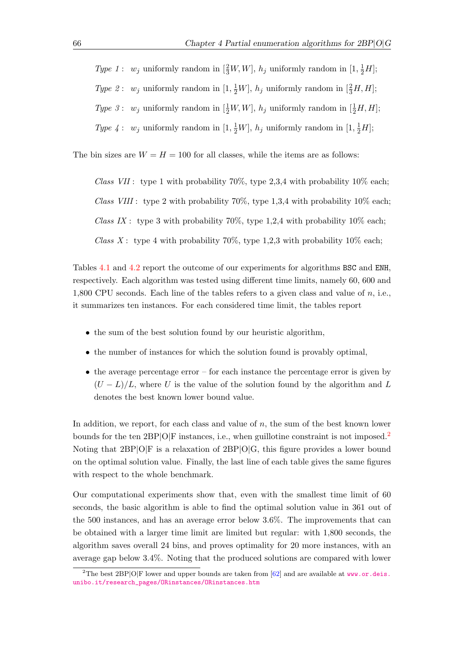Type 1:  $w_j$  uniformly random in  $\left[\frac{2}{3}W,W\right]$ ,  $h_j$  uniformly random in  $\left[1,\frac{1}{2}H\right]$ ; Type 2:  $w_j$  uniformly random in  $[1, \frac{1}{2}W]$ ,  $h_j$  uniformly random in  $[\frac{2}{3}H, H]$ ; Type 3:  $w_j$  uniformly random in  $[\frac{1}{2}W, W]$ ,  $h_j$  uniformly random in  $[\frac{1}{2}H, H]$ ; Type 4:  $w_j$  uniformly random in  $[1, \frac{1}{2}W]$ ,  $h_j$  uniformly random in  $[1, \frac{1}{2}H]$ ;

The bin sizes are  $W = H = 100$  for all classes, while the items are as follows:

Class VII: type 1 with probability  $70\%$ , type 2,3,4 with probability  $10\%$  each; Class VIII : type 2 with probability 70%, type 1,3,4 with probability 10% each; Class IX : type 3 with probability 70%, type 1,2,4 with probability 10% each; Class X: type 4 with probability  $70\%$ , type 1,2,3 with probability  $10\%$  each;

Tables [4.1](#page-80-0) and [4.2](#page-81-0) report the outcome of our experiments for algorithms BSC and ENH, respectively. Each algorithm was tested using different time limits, namely 60, 600 and 1,800 CPU seconds. Each line of the tables refers to a given class and value of  $n$ , i.e., it summarizes ten instances. For each considered time limit, the tables report

- the sum of the best solution found by our heuristic algorithm,
- the number of instances for which the solution found is provably optimal,
- the average percentage error for each instance the percentage error is given by  $(U - L)/L$ , where U is the value of the solution found by the algorithm and L denotes the best known lower bound value.

In addition, we report, for each class and value of  $n$ , the sum of the best known lower bounds for the ten  $2BP|O|F$  $2BP|O|F$  instances, i.e., when guillotine constraint is not imposed.<sup>2</sup> Noting that 2BP|O|F is a relaxation of 2BP|O|G, this figure provides a lower bound on the optimal solution value. Finally, the last line of each table gives the same figures with respect to the whole benchmark.

Our computational experiments show that, even with the smallest time limit of 60 seconds, the basic algorithm is able to find the optimal solution value in 361 out of the 500 instances, and has an average error below 3.6%. The improvements that can be obtained with a larger time limit are limited but regular: with 1,800 seconds, the algorithm saves overall 24 bins, and proves optimality for 20 more instances, with an average gap below 3.4%. Noting that the produced solutions are compared with lower

<span id="page-79-0"></span><sup>&</sup>lt;sup>2</sup>The best 2BP|O|F lower and upper bounds are taken from [\[62\]](#page-88-5) and are available at [www.or.deis.](www.or.deis.unibo.it/research_pages/ORinstances/ORinstances.htm) [unibo.it/research\\_pages/ORinstances/ORinstances.htm](www.or.deis.unibo.it/research_pages/ORinstances/ORinstances.htm)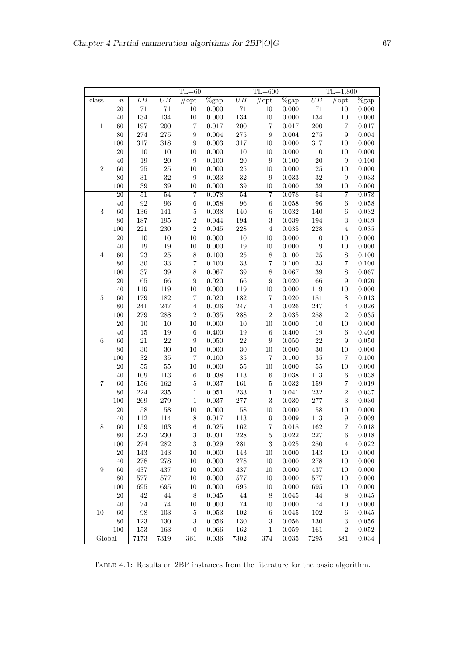<span id="page-80-0"></span>

|                   |                  | $T\overline{L=60}$ |                 |                         | $TL = 600$             |                 |                          | $TL=1,800$     |                 |                           |                    |
|-------------------|------------------|--------------------|-----------------|-------------------------|------------------------|-----------------|--------------------------|----------------|-----------------|---------------------------|--------------------|
| class             | $\boldsymbol{n}$ | $\overline{LB}$    | $\overline{UB}$ | #opt                    | $\sqrt[3]{\text{gap}}$ | $\overline{UB}$ | $\overline{\text{#opt}}$ | $\sqrt{\%gap}$ | $\overline{UB}$ | $\overline{\text{\#opt}}$ | $\overline{\%$ gap |
|                   | $\overline{20}$  | $\overline{71}$    | $\overline{71}$ | $\overline{10}$         | 0.000                  | $\overline{71}$ | $\overline{10}$          | 0.000          | $\overline{71}$ | $\overline{10}$           | 0.000              |
|                   | 40               | 134                | 134             | 10                      | 0.000                  | 134             | $10\,$                   | 0.000          | 134             | $10\,$                    | $0.000\,$          |
| $\,1\,$           | 60               | 197                | 200             | $\scriptstyle{7}$       | 0.017                  | 200             | $\,7$                    | 0.017          | 200             | $\overline{7}$            | 0.017              |
|                   | 80               | 274                | 275             | $\boldsymbol{9}$        | 0.004                  | $275\,$         | $\overline{9}$           | 0.004          | $275\,$         | $\boldsymbol{9}$          | $0.004\,$          |
|                   | 100              | 317                | 318             | 9                       | 0.003                  | 317             | 10                       | 0.000          | $317\,$         | 10                        | $0.000\,$          |
|                   | 20               | 10                 | 10              | 10                      | 0.000                  | 10              | 10                       | 0.000          | 10              | 10                        | 0.000              |
|                   | $40\,$           | 19                 | $20\,$          | $\boldsymbol{9}$        | 0.100                  | $20\,$          | $\boldsymbol{9}$         | 0.100          | $20\,$          | $\boldsymbol{9}$          | 0.100              |
| $\sqrt{2}$        | 60               | 25                 | $25\,$          | 10                      | 0.000                  | $25\,$          | $10\,$                   | 0.000          | $25\,$          | 10                        | 0.000              |
|                   | 80               | $31\,$             | $32\,$          | $\boldsymbol{9}$        | 0.033                  | $32\,$          | $\boldsymbol{9}$         | 0.033          | 32              | $\boldsymbol{9}$          | 0.033              |
|                   | 100              | 39                 | $39\,$          | 10                      | 0.000                  | $39\,$          | 10                       | 0.000          | $39\,$          | $10\,$                    | 0.000              |
|                   | $\overline{20}$  | 51                 | 54              | $\overline{7}$          | 0.078                  | $54\,$          | $\overline{7}$           | 0.078          | $\overline{54}$ | $\overline{7}$            | 0.078              |
|                   | $40\,$           | $\boldsymbol{92}$  | 96              | $\,6$                   | 0.058                  | $96\,$          | $\,6$                    | 0.058          | 96              | 6                         | 0.058              |
| $\sqrt{3}$        | 60               | 136                | 141             | $\bf 5$                 | $\,0.038\,$            | 140             | $\,6$                    | 0.032          | 140             | $\,6$                     | $\,0.032\,$        |
|                   | $80\,$           | 187                | 195             | $\overline{2}$          | 0.044                  | 194             | 3                        | 0.039          | 194             | 3                         | 0.039              |
|                   | 100              | 221                | 230             | $\overline{2}$          | 0.045                  | $228\,$         | $\overline{4}$           | $\,0.035\,$    | 228             | $\overline{4}$            | 0.035              |
|                   | $\overline{20}$  | $\overline{10}$    | $\overline{10}$ | $\overline{10}$         | 0.000                  | $\overline{10}$ | $\overline{10}$          | 0.000          | $\overline{10}$ | $\overline{10}$           | 0.000              |
|                   | 40               | 19                 | 19              | $10\,$                  | 0.000                  | 19              | $10\,$                   | 0.000          | 19              | $10\,$                    | 0.000              |
| 4                 | 60               | 23                 | $25\,$          | $\,$ $\,$               | 0.100                  | $25\,$          | $8\,$                    | 0.100          | $25\,$          | 8                         | 0.100              |
|                   | $80\,$           | $30\,$             | 33              | $\overline{7}$          | 0.100                  | $33\,$          | $\,7$                    | 0.100          | 33              | $\overline{7}$            | 0.100              |
|                   | 100              | 37                 | 39              | 8                       | 0.067                  | $39\,$          | 8                        | 0.067          | 39              | 8                         | 0.067              |
|                   | 20               | 65                 | 66              | $\overline{9}$          | 0.020                  | 66              | $\overline{9}$           | 0.020          | 66              | $\boldsymbol{9}$          | 0.020              |
|                   | 40               | 119                | 119             | 10                      | 0.000                  | 119             | $10\,$                   | 0.000          | 119             | $10\,$                    | 0.000              |
| $\bf 5$           | 60               | 179                | 182             | $\overline{\mathbf{7}}$ | 0.020                  | $182\,$         | $\overline{\mathbf{7}}$  | 0.020          | $181\,$         | $8\,$                     | $\,0.013\,$        |
|                   | 80               | 241                | 247             | $\overline{4}$          | 0.026                  | $247\,$         | $\overline{4}$           | 0.026          | 247             | $\,4\,$                   | 0.026              |
|                   | $100\,$          | 279                | 288             | $\sqrt{2}$              | $\,0.035\,$            | 288             | $\sqrt{2}$               | $\,0.035\,$    | 288             | $\sqrt{2}$                | $\,0.035\,$        |
|                   | $20\,$           | $10\,$             | 10              | 10                      | 0.000                  | $10\,$          | 10                       | 0.000          | 10              | 10                        | 0.000              |
|                   | $40\,$           | 15                 | 19              | $\,6$                   | 0.400                  | 19              | $\,6$                    | 0.400          | 19              | $\,6$                     | 0.400              |
| $\,6\,$           | 60               | $21\,$             | 22              | $\boldsymbol{9}$        | 0.050                  | $\sqrt{22}$     | $\boldsymbol{9}$         | 0.050          | 22              | $\boldsymbol{9}$          | 0.050              |
|                   | 80               | 30                 | $30\,$          | 10                      | 0.000                  | $30\,$          | $10\,$                   | 0.000          | $30\,$          | $10\,$                    | 0.000              |
|                   | 100              | 32                 | 35              | $\overline{7}$          | 0.100                  | $35\,$          | $\scriptstyle{7}$        | 0.100          | $35\,$          | $\overline{7}$            | 0.100              |
|                   | $20\,$           | $\overline{55}$    | $\overline{55}$ | 10                      | 0.000                  | $\overline{55}$ | 10                       | 0.000          | $\overline{55}$ | 10                        | 0.000              |
| $\scriptstyle{7}$ | $40\,$           | 109                | 113             | $\,6$                   | 0.038                  | $113\,$         | $\,6$                    | 0.038          | 113             | $\,6$                     | 0.038              |
|                   | 60               | 156                | 162             | $\mathbf 5$             | 0.037                  | $161\,$         | $\bf 5$                  | 0.032          | 159             | $\overline{7}$            | 0.019              |
|                   | 80               | 224                | 235             | $\mathbf 1$             | $\,0.051\,$            | $233\,$         | $\,1$                    | 0.041          | 232             | $\sqrt{2}$                | 0.037              |
|                   | 100              | 269                | 279             | $\,1\,$                 | $0.037\,$              | 277             | $\sqrt{3}$               | 0.030          | 277             | $\,3$                     | 0.030              |
|                   | $\overline{20}$  | $\overline{58}$    | $\overline{58}$ | $\overline{10}$         | 0.000                  | $\overline{58}$ | 10                       | 0.000          | $\overline{58}$ | $\overline{10}$           | 0.000              |
| 8                 | $40\,$           | $112\,$            | 114             | $\,$ $\,$               | $0.017\,$              | $113\,$         | $\boldsymbol{9}$         | 0.009          | 113             | $\boldsymbol{9}$          | $0.009\,$          |
|                   | $60\,$           | 159                | 163             | $\,6$                   | 0.025                  | 162             | $\overline{\mathbf{7}}$  | 0.018          | 162             | $\overline{7}$            | 0.018              |
|                   | $80\,$           | $223\,$            | $230\,$         | $\sqrt{3}$              | 0.031                  | 228             | $\bf 5$                  | $\,0.022\,$    | $227\,$         | $\,6$                     | $0.018\,$          |
|                   | 100              | 274                | 282             | $\sqrt{3}$              | $\,0.029\,$            | 281             | 3                        | $\,0.025\,$    | 280             | $\overline{4}$            | 0.022              |
| $\boldsymbol{9}$  | $20\,$           | 143                | 143             | 10                      | 0.000                  | 143             | 10                       | 0.000          | 143             | 10                        | 0.000              |
|                   | 40               | $278\,$            | 278             | 10                      | 0.000                  | 278             | 10                       | 0.000          | $278\,$         | 10                        | 0.000              |
|                   | 60               | 437                | 437             | 10                      | 0.000                  | 437             | 10                       | 0.000          | 437             | 10                        | 0.000              |
|                   | $80\,$           | 577                | 577             | 10                      | 0.000                  | 577             | 10                       | 0.000          | 577             | 10                        | 0.000              |
|                   | 100              | 695                | 695             | 10                      | 0.000                  | 695             | 10                       | 0.000          | 695             | 10                        | 0.000              |
|                   | $20\,$           | 42                 | $44\,$          | $\overline{8}$          | 0.045                  | 44              | 8                        | 0.045          | 44              | $\,8\,$                   | 0.045              |
| 10                | 40               | $74\,$             | $74\,$          | 10                      | 0.000                  | 74              | 10                       | 0.000          | 74              | $10\,$                    | 0.000              |
|                   | 60               | 98                 | 103             | $\bf 5$                 | 0.053                  | $102\,$         | $\,6$                    | 0.045          | $102\,$         | 6                         | 0.045              |
|                   | $80\,$           | 123                | 130             | $\sqrt{3}$              | 0.056                  | 130             | $\sqrt{3}$               | 0.056          | 130             | $\,3$                     | 0.056              |
|                   | 100              | 153                | 163             | $\boldsymbol{0}$        | $0.066\,$              | $162\,$         | $\mathbf{1}$             | 0.059          | 161             | $\sqrt{2}$                | 0.052              |
| Global            |                  | 7173               | 7319            | 361                     | 0.036                  | 7302            | 374                      | 0.035          | 7295            | 381                       | 0.034              |
|                   |                  |                    |                 |                         |                        |                 |                          |                |                 |                           |                    |

Table 4.1: Results on 2BP instances from the literature for the basic algorithm.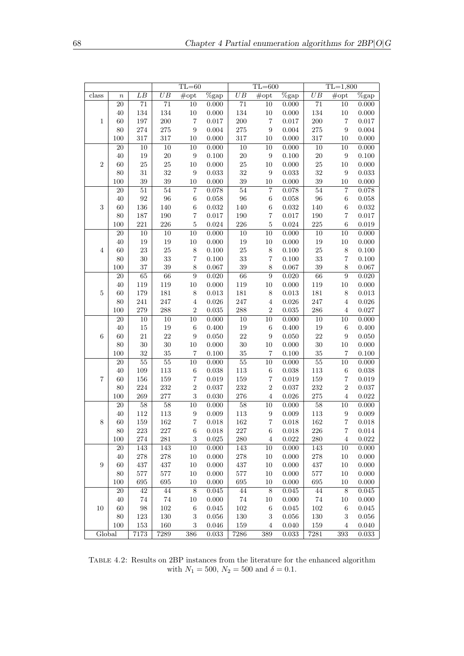<span id="page-81-0"></span>

| $\overline{\%$ gap<br>$\overline{UB}$<br>$\overline{\# \text{opt}}$<br>$\overline{UB}$<br>$\overline{\text{\#opt}}$<br>$\overline{LB}$<br>$\overline{UB}$<br>$\overline{\rm \#opt}$<br>$\overline{\%$ gap<br>$\overline{\%}$ gap<br>class<br>$\boldsymbol{n}$<br>$\overline{10}$<br>71<br>$20\,$<br>$71\,$<br>$71\,$<br>0.000<br>10<br>0.000<br>$71\,$<br>10<br>0.000<br>134<br>134<br>134<br>40<br>134<br>$10\,$<br>0.000<br>$10\,$<br>0.000<br>$10\,$<br>0.000<br>$\overline{7}$<br>200<br>$\overline{\mathbf{7}}$<br>$200\,$<br>$\overline{\mathbf{7}}$<br>$197\,$<br>$200\,$<br>0.017<br>60<br>0.017<br>0.017<br>1<br>$\overline{9}$<br>$\boldsymbol{9}$<br>$\boldsymbol{9}$<br>80<br>274<br>$275\,$<br>0.004<br>$275\,$<br>0.004<br>$275\,$<br>0.004<br>317<br>$317\,$<br>0.000<br>$317\,$<br>$317\,$<br>100<br>10<br>10<br>0.000<br>$10\,$<br>0.000<br>$\overline{20}$<br>10<br>10<br>0.000<br>10<br>0.000<br>10<br>10<br>0.000<br>$10\,$<br>$10\,$<br>40<br>19<br>$20\,$<br>$\boldsymbol{9}$<br>$20\,$<br>$\boldsymbol{9}$<br>$20\,$<br>$\boldsymbol{9}$<br>0.100<br>0.100<br>0.100<br>$25\,$<br>60<br>$25\,$<br>$25\,$<br>$10\,$<br>$25\,$<br>$10\,$<br>$10\,$<br>$\boldsymbol{2}$<br>0.000<br>$0.000\,$<br>0.000<br>$32\,$<br>$32\,$<br>80<br>$31\,$<br>$\boldsymbol{9}$<br>$32\,$<br>$\boldsymbol{9}$<br>$\boldsymbol{9}$<br>$\,0.033\,$<br>$\,0.033\,$<br>$\,0.033\,$<br>$39\,$<br>100<br>$39\,$<br>$39\,$<br>0.000<br>$39\,$<br>10<br>0.000<br>10<br>$10\,$<br>0.000<br>$\overline{7}$<br>$\overline{51}$<br>$\overline{54}$<br>$\overline{54}$<br>$\overline{7}$<br>0.078<br>$\overline{54}$<br>$\overline{7}$<br>$\overline{20}$<br>0.078<br>0.078<br>$96\,$<br>96<br>$\,6$<br>$96\,$<br>$\,$ 6 $\,$<br>$\,0.058\,$<br>40<br>$\boldsymbol{92}$<br>$\,0.058\,$<br>$\,0.058\,$<br>$\;6\;$<br>$\sqrt{3}$<br>60<br>$136\,$<br>140<br>$\,6$<br>140<br>$\,6$<br>140<br>$\,0.032\,$<br>0.032<br>6<br>0.032<br>$\overline{7}$<br>$\overline{7}$<br>80<br>187<br>$190\,$<br>$0.017\,$<br>$190\,$<br>190<br>$\overline{\mathbf{7}}$<br>0.017<br>0.017<br>$\bf 5$<br>$\bf 5$<br>100<br>221<br>226<br>$226\,$<br>0.024<br>225<br>$\,6$<br>0.019<br>$\,0.024\,$<br>$\overline{20}$<br>$\overline{10}$<br>$\overline{10}$<br>$\overline{10}$<br>0.000<br>$\overline{10}$<br>$\overline{10}$<br>0.000<br>$\overline{10}$<br>$\overline{10}$<br>0.000<br>40<br>19<br>$19\,$<br>$10\,$<br>0.000<br>$19\,$<br>$10\,$<br>0.000<br>19<br>0.000<br>$10\,$<br>8<br>$25\,$<br>60<br>$\bf 23$<br>$25\,$<br>$\,$ $\,$<br>$25\,$<br>$0.100\,$<br>$8\,$<br>0.100<br>0.100<br>$\overline{4}$<br>33<br>80<br>30<br>$\overline{\mathbf{7}}$<br>$33\,$<br>$\overline{\mathbf{7}}$<br>$33\,$<br>$\overline{\mathbf{7}}$<br>0.100<br>0.100<br>0.100<br>37<br>39<br>$100\,$<br>$\,$ $\,$<br>$39\,$<br>8<br>$39\,$<br>8<br>$0.067\,$<br>0.067<br>0.067<br>66<br>65<br>$\overline{9}$<br>66<br>$\overline{9}$<br>0.020<br>66<br>$\overline{9}$<br>0.020<br>20<br>$0.020\,$<br>119<br>$10\,$<br>119<br>$10\,$<br>$119\,$<br>$10\,$<br>0.000<br>40<br>119<br>0.000<br>0.000<br>$181\,$<br>$181\,$<br>$\,$ $\,$<br>$\,0.013\,$<br>$8\,$<br>$\,0.013\,$<br>$181\,$<br>$8\,$<br>0.013<br>$\bf 5$<br>60<br>179<br>80<br>247<br>$\,4\,$<br>0.026<br>$247\,$<br>$\,4\,$<br>0.026<br>247<br>0.026<br>241<br>$\overline{4}$<br>100<br>279<br>288<br>$\sqrt{2}$<br>288<br>$\sqrt{2}$<br>$\,286$<br>0.035<br>$\,0.035\,$<br>$\overline{4}$<br>$0.027\,$<br>$20\,$<br>10<br>10<br>10<br>0.000<br>10<br>10<br>0.000<br>10<br>10<br>0.000<br>40<br>$15\,$<br>$19\,$<br>$\,6\,$<br>0.400<br>$19\,$<br>$\,6$<br>$19\,$<br>$\,6$<br>0.400<br>0.400<br>$22\,$<br>$22\,$<br>$22\,$<br>60<br>$21\,$<br>$\boldsymbol{9}$<br>$\boldsymbol{9}$<br>$\boldsymbol{9}$<br>0.050<br>$\,6$<br>0.050<br>0.050<br>30<br>$30\,$<br>80<br>$30\,$<br>$10\,$<br>0.000<br>$30\,$<br>$10\,$<br>0.000<br>$10\,$<br>0.000<br>32<br>35<br>$35\,$<br>$\overline{\mathbf{7}}$<br>$35\,$<br>$\overline{\mathbf{7}}$<br>$0.100\,$<br>$\,7$<br>0.100<br>100<br>0.100<br>$\overline{55}$<br>$\overline{55}$<br>$\overline{55}$<br>$\overline{20}$<br>$\overline{55}$<br>$\overline{10}$<br>$\overline{10}$<br>$\overline{0.000}$<br>$\overline{10}$<br>0.000<br>0.000<br>40<br>109<br>$113\,$<br>$113\,$<br>$\,6$<br>113<br>$\;6\;$<br>$\,0.038\,$<br>0.038<br>$\,6$<br>0.038<br>60<br>156<br>159<br>$\overline{\mathbf{7}}$<br>$159\,$<br>$\overline{\mathbf{7}}$<br>$159\,$<br>$\overline{\mathbf{7}}$<br>$\scriptstyle{7}$<br>0.019<br>0.019<br>0.019<br>$\overline{2}$<br>$\overline{2}$<br>80<br>224<br>232<br>$232\,$<br>0.037<br>$\bf 232$<br>$\sqrt{2}$<br>0.037<br>0.037<br>3<br>$275\,$<br>269<br>277<br>$0.030\,$<br>$276\,$<br>$\,4\,$<br>$\,0.026\,$<br>$\,4\,$<br>$\,0.022\,$<br>100<br>$\overline{58}$<br>$\overline{58}$<br>$\overline{58}$<br>$\overline{20}$<br>$\overline{58}$<br>$\overline{10}$<br>0.000<br>$\overline{10}$<br>0.000<br>$\overline{10}$<br>0.000<br>$40\,$<br>$113\,$<br>$\boldsymbol{9}$<br>$113\,$<br>$\boldsymbol{9}$<br>$113\,$<br>$\boldsymbol{9}$<br>0.009<br>$112\,$<br>0.009<br>$0.009\,$<br>60<br>$\overline{\mathbf{7}}$<br>162<br>$\overline{\mathbf{7}}$<br>162<br>$\overline{\mathbf{7}}$<br>$\,8\,$<br>159<br>162<br>0.018<br>0.018<br>0.018<br>$223\,$<br>227<br>227<br>226<br>80<br>0.018<br>$\,6$<br>0.018<br>$\overline{\mathbf{7}}$<br>0.014<br>$\,6$<br>100<br>274<br>281<br>$\,3$<br>$\,0.025\,$<br>280<br>0.022<br>280<br>0.022<br>$\overline{4}$<br>4<br>143<br>143<br>10<br>0.000<br>143<br>10<br>0.000<br>143<br>10<br>0.000<br><b>20</b><br>40<br>278<br>$278\,$<br>10<br>0.000<br>$278\,$<br>0.000<br>$278\,$<br>0.000<br>10<br>10<br>9<br>60<br>437<br>437<br>10<br>0.000<br>437<br>0.000<br>437<br>0.000<br>10<br>10<br>80<br>577<br>577<br>0.000<br>577<br>0.000<br>577<br>0.000<br>10<br>10<br>10<br>$100\,$<br>695<br>695<br>10<br>$0.000\,$<br>695<br>0.000<br>$695\,$<br>0.000<br>10<br>10<br>$\overline{8}$<br>$20\,$<br>42<br>44<br>$\,0.045\,$<br>44<br>$8\,$<br>0.045<br>44<br>8<br>0.045<br>$74\,$<br>$74\,$<br>40<br>$74\,$<br>10<br>0.000<br>0.000<br>$74\,$<br>0.000<br>10<br>10<br>$102\,$<br>$102\,$<br>60<br>$98\,$<br>$102\,$<br>$\,6$<br>0.045<br>$\,6$<br>0.045<br>0.045<br>10<br>6<br>$\,3$<br>80<br>123<br>130<br>$\,3$<br>0.056<br>130<br>0.056<br>130<br>$\,3$<br>0.056<br>$\sqrt{3}$<br>100<br>153<br>159<br>159<br>160<br>0.046<br>4<br>0.040<br>$\overline{4}$<br>0.040<br>Global<br>7173<br>7289<br>386<br>0.033<br>7286<br>389<br>0.033<br>7281<br>393<br>0.033 |  |  | $TL = 60$ |  |  | $TL = 600$ |  |  | $TL=1,800$ |  |  |  |
|------------------------------------------------------------------------------------------------------------------------------------------------------------------------------------------------------------------------------------------------------------------------------------------------------------------------------------------------------------------------------------------------------------------------------------------------------------------------------------------------------------------------------------------------------------------------------------------------------------------------------------------------------------------------------------------------------------------------------------------------------------------------------------------------------------------------------------------------------------------------------------------------------------------------------------------------------------------------------------------------------------------------------------------------------------------------------------------------------------------------------------------------------------------------------------------------------------------------------------------------------------------------------------------------------------------------------------------------------------------------------------------------------------------------------------------------------------------------------------------------------------------------------------------------------------------------------------------------------------------------------------------------------------------------------------------------------------------------------------------------------------------------------------------------------------------------------------------------------------------------------------------------------------------------------------------------------------------------------------------------------------------------------------------------------------------------------------------------------------------------------------------------------------------------------------------------------------------------------------------------------------------------------------------------------------------------------------------------------------------------------------------------------------------------------------------------------------------------------------------------------------------------------------------------------------------------------------------------------------------------------------------------------------------------------------------------------------------------------------------------------------------------------------------------------------------------------------------------------------------------------------------------------------------------------------------------------------------------------------------------------------------------------------------------------------------------------------------------------------------------------------------------------------------------------------------------------------------------------------------------------------------------------------------------------------------------------------------------------------------------------------------------------------------------------------------------------------------------------------------------------------------------------------------------------------------------------------------------------------------------------------------------------------------------------------------------------------------------------------------------------------------------------------------------------------------------------------------------------------------------------------------------------------------------------------------------------------------------------------------------------------------------------------------------------------------------------------------------------------------------------------------------------------------------------------------------------------------------------------------------------------------------------------------------------------------------------------------------------------------------------------------------------------------------------------------------------------------------------------------------------------------------------------------------------------------------------------------------------------------------------------------------------------------------------------------------------------------------------------------------------------------------------------------------------------------------------------------------------------------------------------------------------------------------------------------------------------------------------------------------------------------------------------------------------------------------------------------------------------------------------------------------------------------------------------------------------------------------------------------------------------------------------------------------------------------------------------------------------------------------------------------------------------------------------------------------------------------------------------------------------------------------------------------------------------------------------------------------------------------------------------------------------------------------------------------------------------------------------------------------------------------------------------------------------------------------------------------------------------------------------------------------------------------------------------------------------------------------------------------------------------------------------------------------------------------------------------------------------------------------------------------------------------------------------------------------------------------------------------------------------------------------------------------------------------------------------------------------------------------------------------------------------------------------------------------------------------------------------------------|--|--|-----------|--|--|------------|--|--|------------|--|--|--|
|                                                                                                                                                                                                                                                                                                                                                                                                                                                                                                                                                                                                                                                                                                                                                                                                                                                                                                                                                                                                                                                                                                                                                                                                                                                                                                                                                                                                                                                                                                                                                                                                                                                                                                                                                                                                                                                                                                                                                                                                                                                                                                                                                                                                                                                                                                                                                                                                                                                                                                                                                                                                                                                                                                                                                                                                                                                                                                                                                                                                                                                                                                                                                                                                                                                                                                                                                                                                                                                                                                                                                                                                                                                                                                                                                                                                                                                                                                                                                                                                                                                                                                                                                                                                                                                                                                                                                                                                                                                                                                                                                                                                                                                                                                                                                                                                                                                                                                                                                                                                                                                                                                                                                                                                                                                                                                                                                                                                                                                                                                                                                                                                                                                                                                                                                                                                                                                                                                                                                                                                                                                                                                                                                                                                                                                                                                                                                                                                                                                                                          |  |  |           |  |  |            |  |  |            |  |  |  |
|                                                                                                                                                                                                                                                                                                                                                                                                                                                                                                                                                                                                                                                                                                                                                                                                                                                                                                                                                                                                                                                                                                                                                                                                                                                                                                                                                                                                                                                                                                                                                                                                                                                                                                                                                                                                                                                                                                                                                                                                                                                                                                                                                                                                                                                                                                                                                                                                                                                                                                                                                                                                                                                                                                                                                                                                                                                                                                                                                                                                                                                                                                                                                                                                                                                                                                                                                                                                                                                                                                                                                                                                                                                                                                                                                                                                                                                                                                                                                                                                                                                                                                                                                                                                                                                                                                                                                                                                                                                                                                                                                                                                                                                                                                                                                                                                                                                                                                                                                                                                                                                                                                                                                                                                                                                                                                                                                                                                                                                                                                                                                                                                                                                                                                                                                                                                                                                                                                                                                                                                                                                                                                                                                                                                                                                                                                                                                                                                                                                                                          |  |  |           |  |  |            |  |  |            |  |  |  |
|                                                                                                                                                                                                                                                                                                                                                                                                                                                                                                                                                                                                                                                                                                                                                                                                                                                                                                                                                                                                                                                                                                                                                                                                                                                                                                                                                                                                                                                                                                                                                                                                                                                                                                                                                                                                                                                                                                                                                                                                                                                                                                                                                                                                                                                                                                                                                                                                                                                                                                                                                                                                                                                                                                                                                                                                                                                                                                                                                                                                                                                                                                                                                                                                                                                                                                                                                                                                                                                                                                                                                                                                                                                                                                                                                                                                                                                                                                                                                                                                                                                                                                                                                                                                                                                                                                                                                                                                                                                                                                                                                                                                                                                                                                                                                                                                                                                                                                                                                                                                                                                                                                                                                                                                                                                                                                                                                                                                                                                                                                                                                                                                                                                                                                                                                                                                                                                                                                                                                                                                                                                                                                                                                                                                                                                                                                                                                                                                                                                                                          |  |  |           |  |  |            |  |  |            |  |  |  |
|                                                                                                                                                                                                                                                                                                                                                                                                                                                                                                                                                                                                                                                                                                                                                                                                                                                                                                                                                                                                                                                                                                                                                                                                                                                                                                                                                                                                                                                                                                                                                                                                                                                                                                                                                                                                                                                                                                                                                                                                                                                                                                                                                                                                                                                                                                                                                                                                                                                                                                                                                                                                                                                                                                                                                                                                                                                                                                                                                                                                                                                                                                                                                                                                                                                                                                                                                                                                                                                                                                                                                                                                                                                                                                                                                                                                                                                                                                                                                                                                                                                                                                                                                                                                                                                                                                                                                                                                                                                                                                                                                                                                                                                                                                                                                                                                                                                                                                                                                                                                                                                                                                                                                                                                                                                                                                                                                                                                                                                                                                                                                                                                                                                                                                                                                                                                                                                                                                                                                                                                                                                                                                                                                                                                                                                                                                                                                                                                                                                                                          |  |  |           |  |  |            |  |  |            |  |  |  |
|                                                                                                                                                                                                                                                                                                                                                                                                                                                                                                                                                                                                                                                                                                                                                                                                                                                                                                                                                                                                                                                                                                                                                                                                                                                                                                                                                                                                                                                                                                                                                                                                                                                                                                                                                                                                                                                                                                                                                                                                                                                                                                                                                                                                                                                                                                                                                                                                                                                                                                                                                                                                                                                                                                                                                                                                                                                                                                                                                                                                                                                                                                                                                                                                                                                                                                                                                                                                                                                                                                                                                                                                                                                                                                                                                                                                                                                                                                                                                                                                                                                                                                                                                                                                                                                                                                                                                                                                                                                                                                                                                                                                                                                                                                                                                                                                                                                                                                                                                                                                                                                                                                                                                                                                                                                                                                                                                                                                                                                                                                                                                                                                                                                                                                                                                                                                                                                                                                                                                                                                                                                                                                                                                                                                                                                                                                                                                                                                                                                                                          |  |  |           |  |  |            |  |  |            |  |  |  |
|                                                                                                                                                                                                                                                                                                                                                                                                                                                                                                                                                                                                                                                                                                                                                                                                                                                                                                                                                                                                                                                                                                                                                                                                                                                                                                                                                                                                                                                                                                                                                                                                                                                                                                                                                                                                                                                                                                                                                                                                                                                                                                                                                                                                                                                                                                                                                                                                                                                                                                                                                                                                                                                                                                                                                                                                                                                                                                                                                                                                                                                                                                                                                                                                                                                                                                                                                                                                                                                                                                                                                                                                                                                                                                                                                                                                                                                                                                                                                                                                                                                                                                                                                                                                                                                                                                                                                                                                                                                                                                                                                                                                                                                                                                                                                                                                                                                                                                                                                                                                                                                                                                                                                                                                                                                                                                                                                                                                                                                                                                                                                                                                                                                                                                                                                                                                                                                                                                                                                                                                                                                                                                                                                                                                                                                                                                                                                                                                                                                                                          |  |  |           |  |  |            |  |  |            |  |  |  |
|                                                                                                                                                                                                                                                                                                                                                                                                                                                                                                                                                                                                                                                                                                                                                                                                                                                                                                                                                                                                                                                                                                                                                                                                                                                                                                                                                                                                                                                                                                                                                                                                                                                                                                                                                                                                                                                                                                                                                                                                                                                                                                                                                                                                                                                                                                                                                                                                                                                                                                                                                                                                                                                                                                                                                                                                                                                                                                                                                                                                                                                                                                                                                                                                                                                                                                                                                                                                                                                                                                                                                                                                                                                                                                                                                                                                                                                                                                                                                                                                                                                                                                                                                                                                                                                                                                                                                                                                                                                                                                                                                                                                                                                                                                                                                                                                                                                                                                                                                                                                                                                                                                                                                                                                                                                                                                                                                                                                                                                                                                                                                                                                                                                                                                                                                                                                                                                                                                                                                                                                                                                                                                                                                                                                                                                                                                                                                                                                                                                                                          |  |  |           |  |  |            |  |  |            |  |  |  |
|                                                                                                                                                                                                                                                                                                                                                                                                                                                                                                                                                                                                                                                                                                                                                                                                                                                                                                                                                                                                                                                                                                                                                                                                                                                                                                                                                                                                                                                                                                                                                                                                                                                                                                                                                                                                                                                                                                                                                                                                                                                                                                                                                                                                                                                                                                                                                                                                                                                                                                                                                                                                                                                                                                                                                                                                                                                                                                                                                                                                                                                                                                                                                                                                                                                                                                                                                                                                                                                                                                                                                                                                                                                                                                                                                                                                                                                                                                                                                                                                                                                                                                                                                                                                                                                                                                                                                                                                                                                                                                                                                                                                                                                                                                                                                                                                                                                                                                                                                                                                                                                                                                                                                                                                                                                                                                                                                                                                                                                                                                                                                                                                                                                                                                                                                                                                                                                                                                                                                                                                                                                                                                                                                                                                                                                                                                                                                                                                                                                                                          |  |  |           |  |  |            |  |  |            |  |  |  |
|                                                                                                                                                                                                                                                                                                                                                                                                                                                                                                                                                                                                                                                                                                                                                                                                                                                                                                                                                                                                                                                                                                                                                                                                                                                                                                                                                                                                                                                                                                                                                                                                                                                                                                                                                                                                                                                                                                                                                                                                                                                                                                                                                                                                                                                                                                                                                                                                                                                                                                                                                                                                                                                                                                                                                                                                                                                                                                                                                                                                                                                                                                                                                                                                                                                                                                                                                                                                                                                                                                                                                                                                                                                                                                                                                                                                                                                                                                                                                                                                                                                                                                                                                                                                                                                                                                                                                                                                                                                                                                                                                                                                                                                                                                                                                                                                                                                                                                                                                                                                                                                                                                                                                                                                                                                                                                                                                                                                                                                                                                                                                                                                                                                                                                                                                                                                                                                                                                                                                                                                                                                                                                                                                                                                                                                                                                                                                                                                                                                                                          |  |  |           |  |  |            |  |  |            |  |  |  |
|                                                                                                                                                                                                                                                                                                                                                                                                                                                                                                                                                                                                                                                                                                                                                                                                                                                                                                                                                                                                                                                                                                                                                                                                                                                                                                                                                                                                                                                                                                                                                                                                                                                                                                                                                                                                                                                                                                                                                                                                                                                                                                                                                                                                                                                                                                                                                                                                                                                                                                                                                                                                                                                                                                                                                                                                                                                                                                                                                                                                                                                                                                                                                                                                                                                                                                                                                                                                                                                                                                                                                                                                                                                                                                                                                                                                                                                                                                                                                                                                                                                                                                                                                                                                                                                                                                                                                                                                                                                                                                                                                                                                                                                                                                                                                                                                                                                                                                                                                                                                                                                                                                                                                                                                                                                                                                                                                                                                                                                                                                                                                                                                                                                                                                                                                                                                                                                                                                                                                                                                                                                                                                                                                                                                                                                                                                                                                                                                                                                                                          |  |  |           |  |  |            |  |  |            |  |  |  |
|                                                                                                                                                                                                                                                                                                                                                                                                                                                                                                                                                                                                                                                                                                                                                                                                                                                                                                                                                                                                                                                                                                                                                                                                                                                                                                                                                                                                                                                                                                                                                                                                                                                                                                                                                                                                                                                                                                                                                                                                                                                                                                                                                                                                                                                                                                                                                                                                                                                                                                                                                                                                                                                                                                                                                                                                                                                                                                                                                                                                                                                                                                                                                                                                                                                                                                                                                                                                                                                                                                                                                                                                                                                                                                                                                                                                                                                                                                                                                                                                                                                                                                                                                                                                                                                                                                                                                                                                                                                                                                                                                                                                                                                                                                                                                                                                                                                                                                                                                                                                                                                                                                                                                                                                                                                                                                                                                                                                                                                                                                                                                                                                                                                                                                                                                                                                                                                                                                                                                                                                                                                                                                                                                                                                                                                                                                                                                                                                                                                                                          |  |  |           |  |  |            |  |  |            |  |  |  |
|                                                                                                                                                                                                                                                                                                                                                                                                                                                                                                                                                                                                                                                                                                                                                                                                                                                                                                                                                                                                                                                                                                                                                                                                                                                                                                                                                                                                                                                                                                                                                                                                                                                                                                                                                                                                                                                                                                                                                                                                                                                                                                                                                                                                                                                                                                                                                                                                                                                                                                                                                                                                                                                                                                                                                                                                                                                                                                                                                                                                                                                                                                                                                                                                                                                                                                                                                                                                                                                                                                                                                                                                                                                                                                                                                                                                                                                                                                                                                                                                                                                                                                                                                                                                                                                                                                                                                                                                                                                                                                                                                                                                                                                                                                                                                                                                                                                                                                                                                                                                                                                                                                                                                                                                                                                                                                                                                                                                                                                                                                                                                                                                                                                                                                                                                                                                                                                                                                                                                                                                                                                                                                                                                                                                                                                                                                                                                                                                                                                                                          |  |  |           |  |  |            |  |  |            |  |  |  |
|                                                                                                                                                                                                                                                                                                                                                                                                                                                                                                                                                                                                                                                                                                                                                                                                                                                                                                                                                                                                                                                                                                                                                                                                                                                                                                                                                                                                                                                                                                                                                                                                                                                                                                                                                                                                                                                                                                                                                                                                                                                                                                                                                                                                                                                                                                                                                                                                                                                                                                                                                                                                                                                                                                                                                                                                                                                                                                                                                                                                                                                                                                                                                                                                                                                                                                                                                                                                                                                                                                                                                                                                                                                                                                                                                                                                                                                                                                                                                                                                                                                                                                                                                                                                                                                                                                                                                                                                                                                                                                                                                                                                                                                                                                                                                                                                                                                                                                                                                                                                                                                                                                                                                                                                                                                                                                                                                                                                                                                                                                                                                                                                                                                                                                                                                                                                                                                                                                                                                                                                                                                                                                                                                                                                                                                                                                                                                                                                                                                                                          |  |  |           |  |  |            |  |  |            |  |  |  |
|                                                                                                                                                                                                                                                                                                                                                                                                                                                                                                                                                                                                                                                                                                                                                                                                                                                                                                                                                                                                                                                                                                                                                                                                                                                                                                                                                                                                                                                                                                                                                                                                                                                                                                                                                                                                                                                                                                                                                                                                                                                                                                                                                                                                                                                                                                                                                                                                                                                                                                                                                                                                                                                                                                                                                                                                                                                                                                                                                                                                                                                                                                                                                                                                                                                                                                                                                                                                                                                                                                                                                                                                                                                                                                                                                                                                                                                                                                                                                                                                                                                                                                                                                                                                                                                                                                                                                                                                                                                                                                                                                                                                                                                                                                                                                                                                                                                                                                                                                                                                                                                                                                                                                                                                                                                                                                                                                                                                                                                                                                                                                                                                                                                                                                                                                                                                                                                                                                                                                                                                                                                                                                                                                                                                                                                                                                                                                                                                                                                                                          |  |  |           |  |  |            |  |  |            |  |  |  |
|                                                                                                                                                                                                                                                                                                                                                                                                                                                                                                                                                                                                                                                                                                                                                                                                                                                                                                                                                                                                                                                                                                                                                                                                                                                                                                                                                                                                                                                                                                                                                                                                                                                                                                                                                                                                                                                                                                                                                                                                                                                                                                                                                                                                                                                                                                                                                                                                                                                                                                                                                                                                                                                                                                                                                                                                                                                                                                                                                                                                                                                                                                                                                                                                                                                                                                                                                                                                                                                                                                                                                                                                                                                                                                                                                                                                                                                                                                                                                                                                                                                                                                                                                                                                                                                                                                                                                                                                                                                                                                                                                                                                                                                                                                                                                                                                                                                                                                                                                                                                                                                                                                                                                                                                                                                                                                                                                                                                                                                                                                                                                                                                                                                                                                                                                                                                                                                                                                                                                                                                                                                                                                                                                                                                                                                                                                                                                                                                                                                                                          |  |  |           |  |  |            |  |  |            |  |  |  |
|                                                                                                                                                                                                                                                                                                                                                                                                                                                                                                                                                                                                                                                                                                                                                                                                                                                                                                                                                                                                                                                                                                                                                                                                                                                                                                                                                                                                                                                                                                                                                                                                                                                                                                                                                                                                                                                                                                                                                                                                                                                                                                                                                                                                                                                                                                                                                                                                                                                                                                                                                                                                                                                                                                                                                                                                                                                                                                                                                                                                                                                                                                                                                                                                                                                                                                                                                                                                                                                                                                                                                                                                                                                                                                                                                                                                                                                                                                                                                                                                                                                                                                                                                                                                                                                                                                                                                                                                                                                                                                                                                                                                                                                                                                                                                                                                                                                                                                                                                                                                                                                                                                                                                                                                                                                                                                                                                                                                                                                                                                                                                                                                                                                                                                                                                                                                                                                                                                                                                                                                                                                                                                                                                                                                                                                                                                                                                                                                                                                                                          |  |  |           |  |  |            |  |  |            |  |  |  |
|                                                                                                                                                                                                                                                                                                                                                                                                                                                                                                                                                                                                                                                                                                                                                                                                                                                                                                                                                                                                                                                                                                                                                                                                                                                                                                                                                                                                                                                                                                                                                                                                                                                                                                                                                                                                                                                                                                                                                                                                                                                                                                                                                                                                                                                                                                                                                                                                                                                                                                                                                                                                                                                                                                                                                                                                                                                                                                                                                                                                                                                                                                                                                                                                                                                                                                                                                                                                                                                                                                                                                                                                                                                                                                                                                                                                                                                                                                                                                                                                                                                                                                                                                                                                                                                                                                                                                                                                                                                                                                                                                                                                                                                                                                                                                                                                                                                                                                                                                                                                                                                                                                                                                                                                                                                                                                                                                                                                                                                                                                                                                                                                                                                                                                                                                                                                                                                                                                                                                                                                                                                                                                                                                                                                                                                                                                                                                                                                                                                                                          |  |  |           |  |  |            |  |  |            |  |  |  |
|                                                                                                                                                                                                                                                                                                                                                                                                                                                                                                                                                                                                                                                                                                                                                                                                                                                                                                                                                                                                                                                                                                                                                                                                                                                                                                                                                                                                                                                                                                                                                                                                                                                                                                                                                                                                                                                                                                                                                                                                                                                                                                                                                                                                                                                                                                                                                                                                                                                                                                                                                                                                                                                                                                                                                                                                                                                                                                                                                                                                                                                                                                                                                                                                                                                                                                                                                                                                                                                                                                                                                                                                                                                                                                                                                                                                                                                                                                                                                                                                                                                                                                                                                                                                                                                                                                                                                                                                                                                                                                                                                                                                                                                                                                                                                                                                                                                                                                                                                                                                                                                                                                                                                                                                                                                                                                                                                                                                                                                                                                                                                                                                                                                                                                                                                                                                                                                                                                                                                                                                                                                                                                                                                                                                                                                                                                                                                                                                                                                                                          |  |  |           |  |  |            |  |  |            |  |  |  |
|                                                                                                                                                                                                                                                                                                                                                                                                                                                                                                                                                                                                                                                                                                                                                                                                                                                                                                                                                                                                                                                                                                                                                                                                                                                                                                                                                                                                                                                                                                                                                                                                                                                                                                                                                                                                                                                                                                                                                                                                                                                                                                                                                                                                                                                                                                                                                                                                                                                                                                                                                                                                                                                                                                                                                                                                                                                                                                                                                                                                                                                                                                                                                                                                                                                                                                                                                                                                                                                                                                                                                                                                                                                                                                                                                                                                                                                                                                                                                                                                                                                                                                                                                                                                                                                                                                                                                                                                                                                                                                                                                                                                                                                                                                                                                                                                                                                                                                                                                                                                                                                                                                                                                                                                                                                                                                                                                                                                                                                                                                                                                                                                                                                                                                                                                                                                                                                                                                                                                                                                                                                                                                                                                                                                                                                                                                                                                                                                                                                                                          |  |  |           |  |  |            |  |  |            |  |  |  |
|                                                                                                                                                                                                                                                                                                                                                                                                                                                                                                                                                                                                                                                                                                                                                                                                                                                                                                                                                                                                                                                                                                                                                                                                                                                                                                                                                                                                                                                                                                                                                                                                                                                                                                                                                                                                                                                                                                                                                                                                                                                                                                                                                                                                                                                                                                                                                                                                                                                                                                                                                                                                                                                                                                                                                                                                                                                                                                                                                                                                                                                                                                                                                                                                                                                                                                                                                                                                                                                                                                                                                                                                                                                                                                                                                                                                                                                                                                                                                                                                                                                                                                                                                                                                                                                                                                                                                                                                                                                                                                                                                                                                                                                                                                                                                                                                                                                                                                                                                                                                                                                                                                                                                                                                                                                                                                                                                                                                                                                                                                                                                                                                                                                                                                                                                                                                                                                                                                                                                                                                                                                                                                                                                                                                                                                                                                                                                                                                                                                                                          |  |  |           |  |  |            |  |  |            |  |  |  |
|                                                                                                                                                                                                                                                                                                                                                                                                                                                                                                                                                                                                                                                                                                                                                                                                                                                                                                                                                                                                                                                                                                                                                                                                                                                                                                                                                                                                                                                                                                                                                                                                                                                                                                                                                                                                                                                                                                                                                                                                                                                                                                                                                                                                                                                                                                                                                                                                                                                                                                                                                                                                                                                                                                                                                                                                                                                                                                                                                                                                                                                                                                                                                                                                                                                                                                                                                                                                                                                                                                                                                                                                                                                                                                                                                                                                                                                                                                                                                                                                                                                                                                                                                                                                                                                                                                                                                                                                                                                                                                                                                                                                                                                                                                                                                                                                                                                                                                                                                                                                                                                                                                                                                                                                                                                                                                                                                                                                                                                                                                                                                                                                                                                                                                                                                                                                                                                                                                                                                                                                                                                                                                                                                                                                                                                                                                                                                                                                                                                                                          |  |  |           |  |  |            |  |  |            |  |  |  |
|                                                                                                                                                                                                                                                                                                                                                                                                                                                                                                                                                                                                                                                                                                                                                                                                                                                                                                                                                                                                                                                                                                                                                                                                                                                                                                                                                                                                                                                                                                                                                                                                                                                                                                                                                                                                                                                                                                                                                                                                                                                                                                                                                                                                                                                                                                                                                                                                                                                                                                                                                                                                                                                                                                                                                                                                                                                                                                                                                                                                                                                                                                                                                                                                                                                                                                                                                                                                                                                                                                                                                                                                                                                                                                                                                                                                                                                                                                                                                                                                                                                                                                                                                                                                                                                                                                                                                                                                                                                                                                                                                                                                                                                                                                                                                                                                                                                                                                                                                                                                                                                                                                                                                                                                                                                                                                                                                                                                                                                                                                                                                                                                                                                                                                                                                                                                                                                                                                                                                                                                                                                                                                                                                                                                                                                                                                                                                                                                                                                                                          |  |  |           |  |  |            |  |  |            |  |  |  |
|                                                                                                                                                                                                                                                                                                                                                                                                                                                                                                                                                                                                                                                                                                                                                                                                                                                                                                                                                                                                                                                                                                                                                                                                                                                                                                                                                                                                                                                                                                                                                                                                                                                                                                                                                                                                                                                                                                                                                                                                                                                                                                                                                                                                                                                                                                                                                                                                                                                                                                                                                                                                                                                                                                                                                                                                                                                                                                                                                                                                                                                                                                                                                                                                                                                                                                                                                                                                                                                                                                                                                                                                                                                                                                                                                                                                                                                                                                                                                                                                                                                                                                                                                                                                                                                                                                                                                                                                                                                                                                                                                                                                                                                                                                                                                                                                                                                                                                                                                                                                                                                                                                                                                                                                                                                                                                                                                                                                                                                                                                                                                                                                                                                                                                                                                                                                                                                                                                                                                                                                                                                                                                                                                                                                                                                                                                                                                                                                                                                                                          |  |  |           |  |  |            |  |  |            |  |  |  |
|                                                                                                                                                                                                                                                                                                                                                                                                                                                                                                                                                                                                                                                                                                                                                                                                                                                                                                                                                                                                                                                                                                                                                                                                                                                                                                                                                                                                                                                                                                                                                                                                                                                                                                                                                                                                                                                                                                                                                                                                                                                                                                                                                                                                                                                                                                                                                                                                                                                                                                                                                                                                                                                                                                                                                                                                                                                                                                                                                                                                                                                                                                                                                                                                                                                                                                                                                                                                                                                                                                                                                                                                                                                                                                                                                                                                                                                                                                                                                                                                                                                                                                                                                                                                                                                                                                                                                                                                                                                                                                                                                                                                                                                                                                                                                                                                                                                                                                                                                                                                                                                                                                                                                                                                                                                                                                                                                                                                                                                                                                                                                                                                                                                                                                                                                                                                                                                                                                                                                                                                                                                                                                                                                                                                                                                                                                                                                                                                                                                                                          |  |  |           |  |  |            |  |  |            |  |  |  |
|                                                                                                                                                                                                                                                                                                                                                                                                                                                                                                                                                                                                                                                                                                                                                                                                                                                                                                                                                                                                                                                                                                                                                                                                                                                                                                                                                                                                                                                                                                                                                                                                                                                                                                                                                                                                                                                                                                                                                                                                                                                                                                                                                                                                                                                                                                                                                                                                                                                                                                                                                                                                                                                                                                                                                                                                                                                                                                                                                                                                                                                                                                                                                                                                                                                                                                                                                                                                                                                                                                                                                                                                                                                                                                                                                                                                                                                                                                                                                                                                                                                                                                                                                                                                                                                                                                                                                                                                                                                                                                                                                                                                                                                                                                                                                                                                                                                                                                                                                                                                                                                                                                                                                                                                                                                                                                                                                                                                                                                                                                                                                                                                                                                                                                                                                                                                                                                                                                                                                                                                                                                                                                                                                                                                                                                                                                                                                                                                                                                                                          |  |  |           |  |  |            |  |  |            |  |  |  |
|                                                                                                                                                                                                                                                                                                                                                                                                                                                                                                                                                                                                                                                                                                                                                                                                                                                                                                                                                                                                                                                                                                                                                                                                                                                                                                                                                                                                                                                                                                                                                                                                                                                                                                                                                                                                                                                                                                                                                                                                                                                                                                                                                                                                                                                                                                                                                                                                                                                                                                                                                                                                                                                                                                                                                                                                                                                                                                                                                                                                                                                                                                                                                                                                                                                                                                                                                                                                                                                                                                                                                                                                                                                                                                                                                                                                                                                                                                                                                                                                                                                                                                                                                                                                                                                                                                                                                                                                                                                                                                                                                                                                                                                                                                                                                                                                                                                                                                                                                                                                                                                                                                                                                                                                                                                                                                                                                                                                                                                                                                                                                                                                                                                                                                                                                                                                                                                                                                                                                                                                                                                                                                                                                                                                                                                                                                                                                                                                                                                                                          |  |  |           |  |  |            |  |  |            |  |  |  |
|                                                                                                                                                                                                                                                                                                                                                                                                                                                                                                                                                                                                                                                                                                                                                                                                                                                                                                                                                                                                                                                                                                                                                                                                                                                                                                                                                                                                                                                                                                                                                                                                                                                                                                                                                                                                                                                                                                                                                                                                                                                                                                                                                                                                                                                                                                                                                                                                                                                                                                                                                                                                                                                                                                                                                                                                                                                                                                                                                                                                                                                                                                                                                                                                                                                                                                                                                                                                                                                                                                                                                                                                                                                                                                                                                                                                                                                                                                                                                                                                                                                                                                                                                                                                                                                                                                                                                                                                                                                                                                                                                                                                                                                                                                                                                                                                                                                                                                                                                                                                                                                                                                                                                                                                                                                                                                                                                                                                                                                                                                                                                                                                                                                                                                                                                                                                                                                                                                                                                                                                                                                                                                                                                                                                                                                                                                                                                                                                                                                                                          |  |  |           |  |  |            |  |  |            |  |  |  |
|                                                                                                                                                                                                                                                                                                                                                                                                                                                                                                                                                                                                                                                                                                                                                                                                                                                                                                                                                                                                                                                                                                                                                                                                                                                                                                                                                                                                                                                                                                                                                                                                                                                                                                                                                                                                                                                                                                                                                                                                                                                                                                                                                                                                                                                                                                                                                                                                                                                                                                                                                                                                                                                                                                                                                                                                                                                                                                                                                                                                                                                                                                                                                                                                                                                                                                                                                                                                                                                                                                                                                                                                                                                                                                                                                                                                                                                                                                                                                                                                                                                                                                                                                                                                                                                                                                                                                                                                                                                                                                                                                                                                                                                                                                                                                                                                                                                                                                                                                                                                                                                                                                                                                                                                                                                                                                                                                                                                                                                                                                                                                                                                                                                                                                                                                                                                                                                                                                                                                                                                                                                                                                                                                                                                                                                                                                                                                                                                                                                                                          |  |  |           |  |  |            |  |  |            |  |  |  |
|                                                                                                                                                                                                                                                                                                                                                                                                                                                                                                                                                                                                                                                                                                                                                                                                                                                                                                                                                                                                                                                                                                                                                                                                                                                                                                                                                                                                                                                                                                                                                                                                                                                                                                                                                                                                                                                                                                                                                                                                                                                                                                                                                                                                                                                                                                                                                                                                                                                                                                                                                                                                                                                                                                                                                                                                                                                                                                                                                                                                                                                                                                                                                                                                                                                                                                                                                                                                                                                                                                                                                                                                                                                                                                                                                                                                                                                                                                                                                                                                                                                                                                                                                                                                                                                                                                                                                                                                                                                                                                                                                                                                                                                                                                                                                                                                                                                                                                                                                                                                                                                                                                                                                                                                                                                                                                                                                                                                                                                                                                                                                                                                                                                                                                                                                                                                                                                                                                                                                                                                                                                                                                                                                                                                                                                                                                                                                                                                                                                                                          |  |  |           |  |  |            |  |  |            |  |  |  |
|                                                                                                                                                                                                                                                                                                                                                                                                                                                                                                                                                                                                                                                                                                                                                                                                                                                                                                                                                                                                                                                                                                                                                                                                                                                                                                                                                                                                                                                                                                                                                                                                                                                                                                                                                                                                                                                                                                                                                                                                                                                                                                                                                                                                                                                                                                                                                                                                                                                                                                                                                                                                                                                                                                                                                                                                                                                                                                                                                                                                                                                                                                                                                                                                                                                                                                                                                                                                                                                                                                                                                                                                                                                                                                                                                                                                                                                                                                                                                                                                                                                                                                                                                                                                                                                                                                                                                                                                                                                                                                                                                                                                                                                                                                                                                                                                                                                                                                                                                                                                                                                                                                                                                                                                                                                                                                                                                                                                                                                                                                                                                                                                                                                                                                                                                                                                                                                                                                                                                                                                                                                                                                                                                                                                                                                                                                                                                                                                                                                                                          |  |  |           |  |  |            |  |  |            |  |  |  |
|                                                                                                                                                                                                                                                                                                                                                                                                                                                                                                                                                                                                                                                                                                                                                                                                                                                                                                                                                                                                                                                                                                                                                                                                                                                                                                                                                                                                                                                                                                                                                                                                                                                                                                                                                                                                                                                                                                                                                                                                                                                                                                                                                                                                                                                                                                                                                                                                                                                                                                                                                                                                                                                                                                                                                                                                                                                                                                                                                                                                                                                                                                                                                                                                                                                                                                                                                                                                                                                                                                                                                                                                                                                                                                                                                                                                                                                                                                                                                                                                                                                                                                                                                                                                                                                                                                                                                                                                                                                                                                                                                                                                                                                                                                                                                                                                                                                                                                                                                                                                                                                                                                                                                                                                                                                                                                                                                                                                                                                                                                                                                                                                                                                                                                                                                                                                                                                                                                                                                                                                                                                                                                                                                                                                                                                                                                                                                                                                                                                                                          |  |  |           |  |  |            |  |  |            |  |  |  |
|                                                                                                                                                                                                                                                                                                                                                                                                                                                                                                                                                                                                                                                                                                                                                                                                                                                                                                                                                                                                                                                                                                                                                                                                                                                                                                                                                                                                                                                                                                                                                                                                                                                                                                                                                                                                                                                                                                                                                                                                                                                                                                                                                                                                                                                                                                                                                                                                                                                                                                                                                                                                                                                                                                                                                                                                                                                                                                                                                                                                                                                                                                                                                                                                                                                                                                                                                                                                                                                                                                                                                                                                                                                                                                                                                                                                                                                                                                                                                                                                                                                                                                                                                                                                                                                                                                                                                                                                                                                                                                                                                                                                                                                                                                                                                                                                                                                                                                                                                                                                                                                                                                                                                                                                                                                                                                                                                                                                                                                                                                                                                                                                                                                                                                                                                                                                                                                                                                                                                                                                                                                                                                                                                                                                                                                                                                                                                                                                                                                                                          |  |  |           |  |  |            |  |  |            |  |  |  |
|                                                                                                                                                                                                                                                                                                                                                                                                                                                                                                                                                                                                                                                                                                                                                                                                                                                                                                                                                                                                                                                                                                                                                                                                                                                                                                                                                                                                                                                                                                                                                                                                                                                                                                                                                                                                                                                                                                                                                                                                                                                                                                                                                                                                                                                                                                                                                                                                                                                                                                                                                                                                                                                                                                                                                                                                                                                                                                                                                                                                                                                                                                                                                                                                                                                                                                                                                                                                                                                                                                                                                                                                                                                                                                                                                                                                                                                                                                                                                                                                                                                                                                                                                                                                                                                                                                                                                                                                                                                                                                                                                                                                                                                                                                                                                                                                                                                                                                                                                                                                                                                                                                                                                                                                                                                                                                                                                                                                                                                                                                                                                                                                                                                                                                                                                                                                                                                                                                                                                                                                                                                                                                                                                                                                                                                                                                                                                                                                                                                                                          |  |  |           |  |  |            |  |  |            |  |  |  |
|                                                                                                                                                                                                                                                                                                                                                                                                                                                                                                                                                                                                                                                                                                                                                                                                                                                                                                                                                                                                                                                                                                                                                                                                                                                                                                                                                                                                                                                                                                                                                                                                                                                                                                                                                                                                                                                                                                                                                                                                                                                                                                                                                                                                                                                                                                                                                                                                                                                                                                                                                                                                                                                                                                                                                                                                                                                                                                                                                                                                                                                                                                                                                                                                                                                                                                                                                                                                                                                                                                                                                                                                                                                                                                                                                                                                                                                                                                                                                                                                                                                                                                                                                                                                                                                                                                                                                                                                                                                                                                                                                                                                                                                                                                                                                                                                                                                                                                                                                                                                                                                                                                                                                                                                                                                                                                                                                                                                                                                                                                                                                                                                                                                                                                                                                                                                                                                                                                                                                                                                                                                                                                                                                                                                                                                                                                                                                                                                                                                                                          |  |  |           |  |  |            |  |  |            |  |  |  |
|                                                                                                                                                                                                                                                                                                                                                                                                                                                                                                                                                                                                                                                                                                                                                                                                                                                                                                                                                                                                                                                                                                                                                                                                                                                                                                                                                                                                                                                                                                                                                                                                                                                                                                                                                                                                                                                                                                                                                                                                                                                                                                                                                                                                                                                                                                                                                                                                                                                                                                                                                                                                                                                                                                                                                                                                                                                                                                                                                                                                                                                                                                                                                                                                                                                                                                                                                                                                                                                                                                                                                                                                                                                                                                                                                                                                                                                                                                                                                                                                                                                                                                                                                                                                                                                                                                                                                                                                                                                                                                                                                                                                                                                                                                                                                                                                                                                                                                                                                                                                                                                                                                                                                                                                                                                                                                                                                                                                                                                                                                                                                                                                                                                                                                                                                                                                                                                                                                                                                                                                                                                                                                                                                                                                                                                                                                                                                                                                                                                                                          |  |  |           |  |  |            |  |  |            |  |  |  |
|                                                                                                                                                                                                                                                                                                                                                                                                                                                                                                                                                                                                                                                                                                                                                                                                                                                                                                                                                                                                                                                                                                                                                                                                                                                                                                                                                                                                                                                                                                                                                                                                                                                                                                                                                                                                                                                                                                                                                                                                                                                                                                                                                                                                                                                                                                                                                                                                                                                                                                                                                                                                                                                                                                                                                                                                                                                                                                                                                                                                                                                                                                                                                                                                                                                                                                                                                                                                                                                                                                                                                                                                                                                                                                                                                                                                                                                                                                                                                                                                                                                                                                                                                                                                                                                                                                                                                                                                                                                                                                                                                                                                                                                                                                                                                                                                                                                                                                                                                                                                                                                                                                                                                                                                                                                                                                                                                                                                                                                                                                                                                                                                                                                                                                                                                                                                                                                                                                                                                                                                                                                                                                                                                                                                                                                                                                                                                                                                                                                                                          |  |  |           |  |  |            |  |  |            |  |  |  |
|                                                                                                                                                                                                                                                                                                                                                                                                                                                                                                                                                                                                                                                                                                                                                                                                                                                                                                                                                                                                                                                                                                                                                                                                                                                                                                                                                                                                                                                                                                                                                                                                                                                                                                                                                                                                                                                                                                                                                                                                                                                                                                                                                                                                                                                                                                                                                                                                                                                                                                                                                                                                                                                                                                                                                                                                                                                                                                                                                                                                                                                                                                                                                                                                                                                                                                                                                                                                                                                                                                                                                                                                                                                                                                                                                                                                                                                                                                                                                                                                                                                                                                                                                                                                                                                                                                                                                                                                                                                                                                                                                                                                                                                                                                                                                                                                                                                                                                                                                                                                                                                                                                                                                                                                                                                                                                                                                                                                                                                                                                                                                                                                                                                                                                                                                                                                                                                                                                                                                                                                                                                                                                                                                                                                                                                                                                                                                                                                                                                                                          |  |  |           |  |  |            |  |  |            |  |  |  |
|                                                                                                                                                                                                                                                                                                                                                                                                                                                                                                                                                                                                                                                                                                                                                                                                                                                                                                                                                                                                                                                                                                                                                                                                                                                                                                                                                                                                                                                                                                                                                                                                                                                                                                                                                                                                                                                                                                                                                                                                                                                                                                                                                                                                                                                                                                                                                                                                                                                                                                                                                                                                                                                                                                                                                                                                                                                                                                                                                                                                                                                                                                                                                                                                                                                                                                                                                                                                                                                                                                                                                                                                                                                                                                                                                                                                                                                                                                                                                                                                                                                                                                                                                                                                                                                                                                                                                                                                                                                                                                                                                                                                                                                                                                                                                                                                                                                                                                                                                                                                                                                                                                                                                                                                                                                                                                                                                                                                                                                                                                                                                                                                                                                                                                                                                                                                                                                                                                                                                                                                                                                                                                                                                                                                                                                                                                                                                                                                                                                                                          |  |  |           |  |  |            |  |  |            |  |  |  |
|                                                                                                                                                                                                                                                                                                                                                                                                                                                                                                                                                                                                                                                                                                                                                                                                                                                                                                                                                                                                                                                                                                                                                                                                                                                                                                                                                                                                                                                                                                                                                                                                                                                                                                                                                                                                                                                                                                                                                                                                                                                                                                                                                                                                                                                                                                                                                                                                                                                                                                                                                                                                                                                                                                                                                                                                                                                                                                                                                                                                                                                                                                                                                                                                                                                                                                                                                                                                                                                                                                                                                                                                                                                                                                                                                                                                                                                                                                                                                                                                                                                                                                                                                                                                                                                                                                                                                                                                                                                                                                                                                                                                                                                                                                                                                                                                                                                                                                                                                                                                                                                                                                                                                                                                                                                                                                                                                                                                                                                                                                                                                                                                                                                                                                                                                                                                                                                                                                                                                                                                                                                                                                                                                                                                                                                                                                                                                                                                                                                                                          |  |  |           |  |  |            |  |  |            |  |  |  |
|                                                                                                                                                                                                                                                                                                                                                                                                                                                                                                                                                                                                                                                                                                                                                                                                                                                                                                                                                                                                                                                                                                                                                                                                                                                                                                                                                                                                                                                                                                                                                                                                                                                                                                                                                                                                                                                                                                                                                                                                                                                                                                                                                                                                                                                                                                                                                                                                                                                                                                                                                                                                                                                                                                                                                                                                                                                                                                                                                                                                                                                                                                                                                                                                                                                                                                                                                                                                                                                                                                                                                                                                                                                                                                                                                                                                                                                                                                                                                                                                                                                                                                                                                                                                                                                                                                                                                                                                                                                                                                                                                                                                                                                                                                                                                                                                                                                                                                                                                                                                                                                                                                                                                                                                                                                                                                                                                                                                                                                                                                                                                                                                                                                                                                                                                                                                                                                                                                                                                                                                                                                                                                                                                                                                                                                                                                                                                                                                                                                                                          |  |  |           |  |  |            |  |  |            |  |  |  |
|                                                                                                                                                                                                                                                                                                                                                                                                                                                                                                                                                                                                                                                                                                                                                                                                                                                                                                                                                                                                                                                                                                                                                                                                                                                                                                                                                                                                                                                                                                                                                                                                                                                                                                                                                                                                                                                                                                                                                                                                                                                                                                                                                                                                                                                                                                                                                                                                                                                                                                                                                                                                                                                                                                                                                                                                                                                                                                                                                                                                                                                                                                                                                                                                                                                                                                                                                                                                                                                                                                                                                                                                                                                                                                                                                                                                                                                                                                                                                                                                                                                                                                                                                                                                                                                                                                                                                                                                                                                                                                                                                                                                                                                                                                                                                                                                                                                                                                                                                                                                                                                                                                                                                                                                                                                                                                                                                                                                                                                                                                                                                                                                                                                                                                                                                                                                                                                                                                                                                                                                                                                                                                                                                                                                                                                                                                                                                                                                                                                                                          |  |  |           |  |  |            |  |  |            |  |  |  |
|                                                                                                                                                                                                                                                                                                                                                                                                                                                                                                                                                                                                                                                                                                                                                                                                                                                                                                                                                                                                                                                                                                                                                                                                                                                                                                                                                                                                                                                                                                                                                                                                                                                                                                                                                                                                                                                                                                                                                                                                                                                                                                                                                                                                                                                                                                                                                                                                                                                                                                                                                                                                                                                                                                                                                                                                                                                                                                                                                                                                                                                                                                                                                                                                                                                                                                                                                                                                                                                                                                                                                                                                                                                                                                                                                                                                                                                                                                                                                                                                                                                                                                                                                                                                                                                                                                                                                                                                                                                                                                                                                                                                                                                                                                                                                                                                                                                                                                                                                                                                                                                                                                                                                                                                                                                                                                                                                                                                                                                                                                                                                                                                                                                                                                                                                                                                                                                                                                                                                                                                                                                                                                                                                                                                                                                                                                                                                                                                                                                                                          |  |  |           |  |  |            |  |  |            |  |  |  |
|                                                                                                                                                                                                                                                                                                                                                                                                                                                                                                                                                                                                                                                                                                                                                                                                                                                                                                                                                                                                                                                                                                                                                                                                                                                                                                                                                                                                                                                                                                                                                                                                                                                                                                                                                                                                                                                                                                                                                                                                                                                                                                                                                                                                                                                                                                                                                                                                                                                                                                                                                                                                                                                                                                                                                                                                                                                                                                                                                                                                                                                                                                                                                                                                                                                                                                                                                                                                                                                                                                                                                                                                                                                                                                                                                                                                                                                                                                                                                                                                                                                                                                                                                                                                                                                                                                                                                                                                                                                                                                                                                                                                                                                                                                                                                                                                                                                                                                                                                                                                                                                                                                                                                                                                                                                                                                                                                                                                                                                                                                                                                                                                                                                                                                                                                                                                                                                                                                                                                                                                                                                                                                                                                                                                                                                                                                                                                                                                                                                                                          |  |  |           |  |  |            |  |  |            |  |  |  |
|                                                                                                                                                                                                                                                                                                                                                                                                                                                                                                                                                                                                                                                                                                                                                                                                                                                                                                                                                                                                                                                                                                                                                                                                                                                                                                                                                                                                                                                                                                                                                                                                                                                                                                                                                                                                                                                                                                                                                                                                                                                                                                                                                                                                                                                                                                                                                                                                                                                                                                                                                                                                                                                                                                                                                                                                                                                                                                                                                                                                                                                                                                                                                                                                                                                                                                                                                                                                                                                                                                                                                                                                                                                                                                                                                                                                                                                                                                                                                                                                                                                                                                                                                                                                                                                                                                                                                                                                                                                                                                                                                                                                                                                                                                                                                                                                                                                                                                                                                                                                                                                                                                                                                                                                                                                                                                                                                                                                                                                                                                                                                                                                                                                                                                                                                                                                                                                                                                                                                                                                                                                                                                                                                                                                                                                                                                                                                                                                                                                                                          |  |  |           |  |  |            |  |  |            |  |  |  |
|                                                                                                                                                                                                                                                                                                                                                                                                                                                                                                                                                                                                                                                                                                                                                                                                                                                                                                                                                                                                                                                                                                                                                                                                                                                                                                                                                                                                                                                                                                                                                                                                                                                                                                                                                                                                                                                                                                                                                                                                                                                                                                                                                                                                                                                                                                                                                                                                                                                                                                                                                                                                                                                                                                                                                                                                                                                                                                                                                                                                                                                                                                                                                                                                                                                                                                                                                                                                                                                                                                                                                                                                                                                                                                                                                                                                                                                                                                                                                                                                                                                                                                                                                                                                                                                                                                                                                                                                                                                                                                                                                                                                                                                                                                                                                                                                                                                                                                                                                                                                                                                                                                                                                                                                                                                                                                                                                                                                                                                                                                                                                                                                                                                                                                                                                                                                                                                                                                                                                                                                                                                                                                                                                                                                                                                                                                                                                                                                                                                                                          |  |  |           |  |  |            |  |  |            |  |  |  |
|                                                                                                                                                                                                                                                                                                                                                                                                                                                                                                                                                                                                                                                                                                                                                                                                                                                                                                                                                                                                                                                                                                                                                                                                                                                                                                                                                                                                                                                                                                                                                                                                                                                                                                                                                                                                                                                                                                                                                                                                                                                                                                                                                                                                                                                                                                                                                                                                                                                                                                                                                                                                                                                                                                                                                                                                                                                                                                                                                                                                                                                                                                                                                                                                                                                                                                                                                                                                                                                                                                                                                                                                                                                                                                                                                                                                                                                                                                                                                                                                                                                                                                                                                                                                                                                                                                                                                                                                                                                                                                                                                                                                                                                                                                                                                                                                                                                                                                                                                                                                                                                                                                                                                                                                                                                                                                                                                                                                                                                                                                                                                                                                                                                                                                                                                                                                                                                                                                                                                                                                                                                                                                                                                                                                                                                                                                                                                                                                                                                                                          |  |  |           |  |  |            |  |  |            |  |  |  |
|                                                                                                                                                                                                                                                                                                                                                                                                                                                                                                                                                                                                                                                                                                                                                                                                                                                                                                                                                                                                                                                                                                                                                                                                                                                                                                                                                                                                                                                                                                                                                                                                                                                                                                                                                                                                                                                                                                                                                                                                                                                                                                                                                                                                                                                                                                                                                                                                                                                                                                                                                                                                                                                                                                                                                                                                                                                                                                                                                                                                                                                                                                                                                                                                                                                                                                                                                                                                                                                                                                                                                                                                                                                                                                                                                                                                                                                                                                                                                                                                                                                                                                                                                                                                                                                                                                                                                                                                                                                                                                                                                                                                                                                                                                                                                                                                                                                                                                                                                                                                                                                                                                                                                                                                                                                                                                                                                                                                                                                                                                                                                                                                                                                                                                                                                                                                                                                                                                                                                                                                                                                                                                                                                                                                                                                                                                                                                                                                                                                                                          |  |  |           |  |  |            |  |  |            |  |  |  |
|                                                                                                                                                                                                                                                                                                                                                                                                                                                                                                                                                                                                                                                                                                                                                                                                                                                                                                                                                                                                                                                                                                                                                                                                                                                                                                                                                                                                                                                                                                                                                                                                                                                                                                                                                                                                                                                                                                                                                                                                                                                                                                                                                                                                                                                                                                                                                                                                                                                                                                                                                                                                                                                                                                                                                                                                                                                                                                                                                                                                                                                                                                                                                                                                                                                                                                                                                                                                                                                                                                                                                                                                                                                                                                                                                                                                                                                                                                                                                                                                                                                                                                                                                                                                                                                                                                                                                                                                                                                                                                                                                                                                                                                                                                                                                                                                                                                                                                                                                                                                                                                                                                                                                                                                                                                                                                                                                                                                                                                                                                                                                                                                                                                                                                                                                                                                                                                                                                                                                                                                                                                                                                                                                                                                                                                                                                                                                                                                                                                                                          |  |  |           |  |  |            |  |  |            |  |  |  |
|                                                                                                                                                                                                                                                                                                                                                                                                                                                                                                                                                                                                                                                                                                                                                                                                                                                                                                                                                                                                                                                                                                                                                                                                                                                                                                                                                                                                                                                                                                                                                                                                                                                                                                                                                                                                                                                                                                                                                                                                                                                                                                                                                                                                                                                                                                                                                                                                                                                                                                                                                                                                                                                                                                                                                                                                                                                                                                                                                                                                                                                                                                                                                                                                                                                                                                                                                                                                                                                                                                                                                                                                                                                                                                                                                                                                                                                                                                                                                                                                                                                                                                                                                                                                                                                                                                                                                                                                                                                                                                                                                                                                                                                                                                                                                                                                                                                                                                                                                                                                                                                                                                                                                                                                                                                                                                                                                                                                                                                                                                                                                                                                                                                                                                                                                                                                                                                                                                                                                                                                                                                                                                                                                                                                                                                                                                                                                                                                                                                                                          |  |  |           |  |  |            |  |  |            |  |  |  |
|                                                                                                                                                                                                                                                                                                                                                                                                                                                                                                                                                                                                                                                                                                                                                                                                                                                                                                                                                                                                                                                                                                                                                                                                                                                                                                                                                                                                                                                                                                                                                                                                                                                                                                                                                                                                                                                                                                                                                                                                                                                                                                                                                                                                                                                                                                                                                                                                                                                                                                                                                                                                                                                                                                                                                                                                                                                                                                                                                                                                                                                                                                                                                                                                                                                                                                                                                                                                                                                                                                                                                                                                                                                                                                                                                                                                                                                                                                                                                                                                                                                                                                                                                                                                                                                                                                                                                                                                                                                                                                                                                                                                                                                                                                                                                                                                                                                                                                                                                                                                                                                                                                                                                                                                                                                                                                                                                                                                                                                                                                                                                                                                                                                                                                                                                                                                                                                                                                                                                                                                                                                                                                                                                                                                                                                                                                                                                                                                                                                                                          |  |  |           |  |  |            |  |  |            |  |  |  |
|                                                                                                                                                                                                                                                                                                                                                                                                                                                                                                                                                                                                                                                                                                                                                                                                                                                                                                                                                                                                                                                                                                                                                                                                                                                                                                                                                                                                                                                                                                                                                                                                                                                                                                                                                                                                                                                                                                                                                                                                                                                                                                                                                                                                                                                                                                                                                                                                                                                                                                                                                                                                                                                                                                                                                                                                                                                                                                                                                                                                                                                                                                                                                                                                                                                                                                                                                                                                                                                                                                                                                                                                                                                                                                                                                                                                                                                                                                                                                                                                                                                                                                                                                                                                                                                                                                                                                                                                                                                                                                                                                                                                                                                                                                                                                                                                                                                                                                                                                                                                                                                                                                                                                                                                                                                                                                                                                                                                                                                                                                                                                                                                                                                                                                                                                                                                                                                                                                                                                                                                                                                                                                                                                                                                                                                                                                                                                                                                                                                                                          |  |  |           |  |  |            |  |  |            |  |  |  |
|                                                                                                                                                                                                                                                                                                                                                                                                                                                                                                                                                                                                                                                                                                                                                                                                                                                                                                                                                                                                                                                                                                                                                                                                                                                                                                                                                                                                                                                                                                                                                                                                                                                                                                                                                                                                                                                                                                                                                                                                                                                                                                                                                                                                                                                                                                                                                                                                                                                                                                                                                                                                                                                                                                                                                                                                                                                                                                                                                                                                                                                                                                                                                                                                                                                                                                                                                                                                                                                                                                                                                                                                                                                                                                                                                                                                                                                                                                                                                                                                                                                                                                                                                                                                                                                                                                                                                                                                                                                                                                                                                                                                                                                                                                                                                                                                                                                                                                                                                                                                                                                                                                                                                                                                                                                                                                                                                                                                                                                                                                                                                                                                                                                                                                                                                                                                                                                                                                                                                                                                                                                                                                                                                                                                                                                                                                                                                                                                                                                                                          |  |  |           |  |  |            |  |  |            |  |  |  |

Table 4.2: Results on 2BP instances from the literature for the enhanced algorithm with  $N_1 = 500$ ,  $N_2 = 500$  and  $\delta = 0.1$ .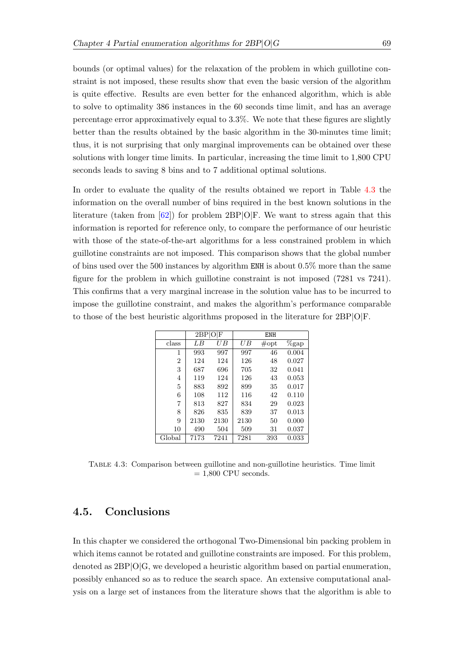bounds (or optimal values) for the relaxation of the problem in which guillotine constraint is not imposed, these results show that even the basic version of the algorithm is quite effective. Results are even better for the enhanced algorithm, which is able to solve to optimality 386 instances in the 60 seconds time limit, and has an average percentage error approximatively equal to 3.3%. We note that these figures are slightly better than the results obtained by the basic algorithm in the 30-minutes time limit; thus, it is not surprising that only marginal improvements can be obtained over these solutions with longer time limits. In particular, increasing the time limit to 1,800 CPU seconds leads to saving 8 bins and to 7 additional optimal solutions.

In order to evaluate the quality of the results obtained we report in Table [4.3](#page-82-1) the information on the overall number of bins required in the best known solutions in the literature (taken from [\[62\]](#page-88-5)) for problem 2BP|O|F. We want to stress again that this information is reported for reference only, to compare the performance of our heuristic with those of the state-of-the-art algorithms for a less constrained problem in which guillotine constraints are not imposed. This comparison shows that the global number of bins used over the 500 instances by algorithm ENH is about 0.5% more than the same figure for the problem in which guillotine constraint is not imposed (7281 vs 7241). This confirms that a very marginal increase in the solution value has to be incurred to impose the guillotine constraint, and makes the algorithm's performance comparable to those of the best heuristic algorithms proposed in the literature for 2BP|O|F.

<span id="page-82-1"></span>

|                | 2BP O | ΙF   | <b>ENH</b> |                |          |  |  |
|----------------|-------|------|------------|----------------|----------|--|--|
| class          | LB    | UВ   | UB         | $\#\text{opt}$ | $\%$ gap |  |  |
| 1              | 993   | 997  | 997        | 46             | 0.004    |  |  |
| $\overline{2}$ | 124   | 124  | 126        | 48             | 0.027    |  |  |
| 3              | 687   | 696  | 705        | 32             | 0.041    |  |  |
| 4              | 119   | 124  | 126        | 43             | 0.053    |  |  |
| 5              | 883   | 892  | 899        | 35             | 0.017    |  |  |
| 6              | 108   | 112  | 116        | 42             | 0.110    |  |  |
| 7              | 813   | 827  | 834        | 29             | 0.023    |  |  |
| 8              | 826   | 835  | 839        | 37             | 0.013    |  |  |
| 9              | 2130  | 2130 | 2130       | 50             | 0.000    |  |  |
| 10             | 490   | 504  | 509        | 31             | 0.037    |  |  |
| Global         | 7173  | 7241 | 7281       | 393            | 0.033    |  |  |

Table 4.3: Comparison between guillotine and non-guillotine heuristics. Time limit  $= 1,800$  CPU seconds.

#### <span id="page-82-0"></span>4.5. Conclusions

In this chapter we considered the orthogonal Two-Dimensional bin packing problem in which items cannot be rotated and guillotine constraints are imposed. For this problem, denoted as 2BP|O|G, we developed a heuristic algorithm based on partial enumeration, possibly enhanced so as to reduce the search space. An extensive computational analysis on a large set of instances from the literature shows that the algorithm is able to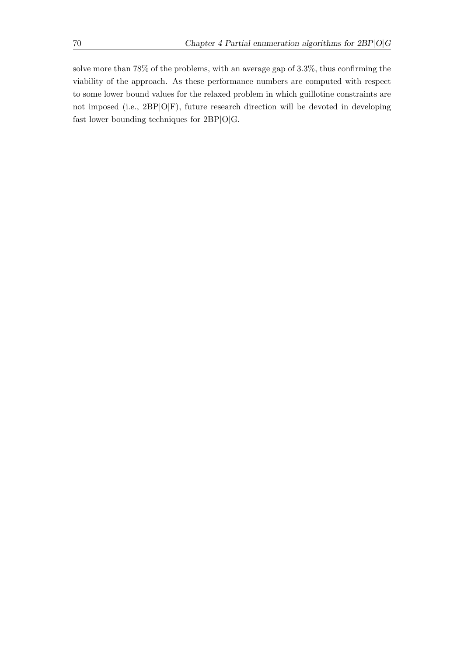solve more than 78% of the problems, with an average gap of 3.3%, thus confirming the viability of the approach. As these performance numbers are computed with respect to some lower bound values for the relaxed problem in which guillotine constraints are not imposed (i.e., 2BP|O|F), future research direction will be devoted in developing fast lower bounding techniques for 2BP|O|G.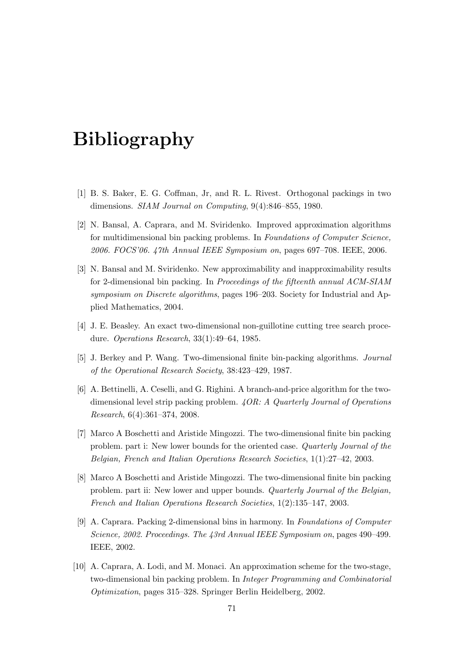## Bibliography

- [1] B. S. Baker, E. G. Coffman, Jr, and R. L. Rivest. Orthogonal packings in two dimensions. SIAM Journal on Computing, 9(4):846–855, 1980.
- [2] N. Bansal, A. Caprara, and M. Sviridenko. Improved approximation algorithms for multidimensional bin packing problems. In Foundations of Computer Science, 2006. FOCS'06. 47th Annual IEEE Symposium on, pages 697–708. IEEE, 2006.
- [3] N. Bansal and M. Sviridenko. New approximability and inapproximability results for 2-dimensional bin packing. In Proceedings of the fifteenth annual ACM-SIAM symposium on Discrete algorithms, pages 196–203. Society for Industrial and Applied Mathematics, 2004.
- [4] J. E. Beasley. An exact two-dimensional non-guillotine cutting tree search procedure. Operations Research, 33(1):49–64, 1985.
- <span id="page-84-0"></span>[5] J. Berkey and P. Wang. Two-dimensional finite bin-packing algorithms. Journal of the Operational Research Society, 38:423–429, 1987.
- [6] A. Bettinelli, A. Ceselli, and G. Righini. A branch-and-price algorithm for the twodimensional level strip packing problem.  $\angle$  *QR: A Quarterly Journal of Operations* Research, 6(4):361–374, 2008.
- [7] Marco A Boschetti and Aristide Mingozzi. The two-dimensional finite bin packing problem. part i: New lower bounds for the oriented case. Quarterly Journal of the Belgian, French and Italian Operations Research Societies, 1(1):27–42, 2003.
- [8] Marco A Boschetti and Aristide Mingozzi. The two-dimensional finite bin packing problem. part ii: New lower and upper bounds. Quarterly Journal of the Belgian, French and Italian Operations Research Societies, 1(2):135–147, 2003.
- [9] A. Caprara. Packing 2-dimensional bins in harmony. In Foundations of Computer Science, 2002. Proceedings. The 43rd Annual IEEE Symposium on, pages 490–499. IEEE, 2002.
- [10] A. Caprara, A. Lodi, and M. Monaci. An approximation scheme for the two-stage, two-dimensional bin packing problem. In Integer Programming and Combinatorial Optimization, pages 315–328. Springer Berlin Heidelberg, 2002.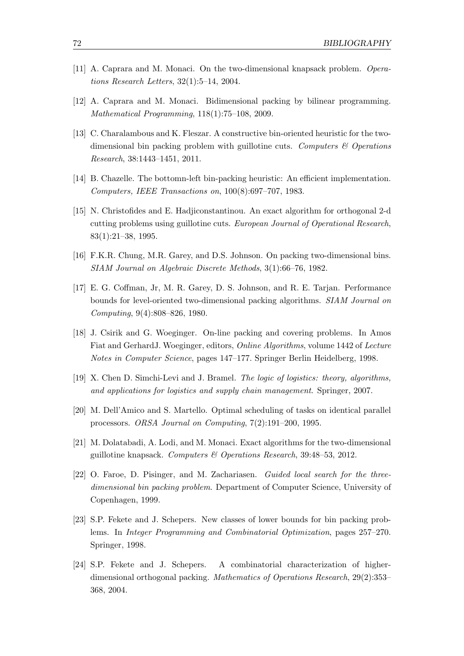- [11] A. Caprara and M. Monaci. On the two-dimensional knapsack problem. Operations Research Letters, 32(1):5–14, 2004.
- [12] A. Caprara and M. Monaci. Bidimensional packing by bilinear programming. Mathematical Programming, 118(1):75–108, 2009.
- <span id="page-85-1"></span>[13] C. Charalambous and K. Fleszar. A constructive bin-oriented heuristic for the twodimensional bin packing problem with guillotine cuts. Computers  $\mathcal B$  Operations Research, 38:1443–1451, 2011.
- [14] B. Chazelle. The bottomn-left bin-packing heuristic: An efficient implementation. Computers, IEEE Transactions on, 100(8):697–707, 1983.
- [15] N. Christofides and E. Hadjiconstantinou. An exact algorithm for orthogonal 2-d cutting problems using guillotine cuts. European Journal of Operational Research, 83(1):21–38, 1995.
- [16] F.K.R. Chung, M.R. Garey, and D.S. Johnson. On packing two-dimensional bins. SIAM Journal on Algebraic Discrete Methods, 3(1):66–76, 1982.
- [17] E. G. Coffman, Jr, M. R. Garey, D. S. Johnson, and R. E. Tarjan. Performance bounds for level-oriented two-dimensional packing algorithms. SIAM Journal on Computing, 9(4):808–826, 1980.
- [18] J. Csirik and G. Woeginger. On-line packing and covering problems. In Amos Fiat and GerhardJ. Woeginger, editors, Online Algorithms, volume 1442 of Lecture Notes in Computer Science, pages 147–177. Springer Berlin Heidelberg, 1998.
- [19] X. Chen D. Simchi-Levi and J. Bramel. The logic of logistics: theory, algorithms, and applications for logistics and supply chain management. Springer, 2007.
- [20] M. Dell'Amico and S. Martello. Optimal scheduling of tasks on identical parallel processors. ORSA Journal on Computing, 7(2):191–200, 1995.
- <span id="page-85-0"></span>[21] M. Dolatabadi, A. Lodi, and M. Monaci. Exact algorithms for the two-dimensional guillotine knapsack. Computers & Operations Research, 39:48–53, 2012.
- [22] O. Faroe, D. Pisinger, and M. Zachariasen. Guided local search for the threedimensional bin packing problem. Department of Computer Science, University of Copenhagen, 1999.
- [23] S.P. Fekete and J. Schepers. New classes of lower bounds for bin packing problems. In Integer Programming and Combinatorial Optimization, pages 257–270. Springer, 1998.
- [24] S.P. Fekete and J. Schepers. A combinatorial characterization of higherdimensional orthogonal packing. Mathematics of Operations Research, 29(2):353– 368, 2004.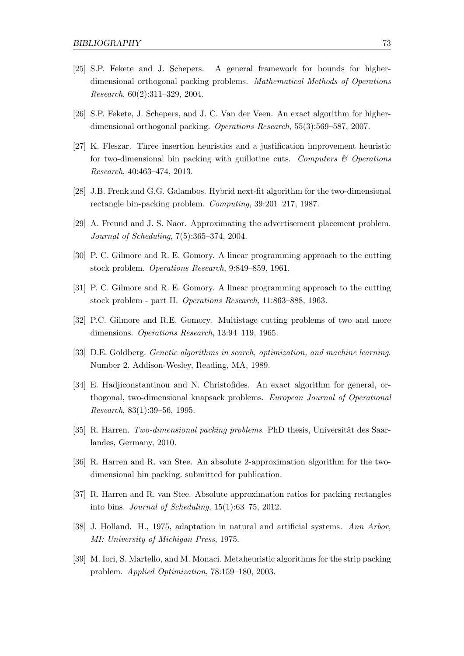- [25] S.P. Fekete and J. Schepers. A general framework for bounds for higherdimensional orthogonal packing problems. Mathematical Methods of Operations Research, 60(2):311–329, 2004.
- [26] S.P. Fekete, J. Schepers, and J. C. Van der Veen. An exact algorithm for higherdimensional orthogonal packing. Operations Research, 55(3):569–587, 2007.
- <span id="page-86-1"></span>[27] K. Fleszar. Three insertion heuristics and a justification improvement heuristic for two-dimensional bin packing with guillotine cuts. Computers  $\mathcal B$  Operations Research, 40:463–474, 2013.
- [28] J.B. Frenk and G.G. Galambos. Hybrid next-fit algorithm for the two-dimensional rectangle bin-packing problem. Computing, 39:201–217, 1987.
- [29] A. Freund and J. S. Naor. Approximating the advertisement placement problem. Journal of Scheduling, 7(5):365–374, 2004.
- [30] P. C. Gilmore and R. E. Gomory. A linear programming approach to the cutting stock problem. Operations Research, 9:849–859, 1961.
- [31] P. C. Gilmore and R. E. Gomory. A linear programming approach to the cutting stock problem - part II. Operations Research, 11:863–888, 1963.
- <span id="page-86-0"></span>[32] P.C. Gilmore and R.E. Gomory. Multistage cutting problems of two and more dimensions. Operations Research, 13:94–119, 1965.
- [33] D.E. Goldberg. Genetic algorithms in search, optimization, and machine learning. Number 2. Addison-Wesley, Reading, MA, 1989.
- [34] E. Hadjiconstantinou and N. Christofides. An exact algorithm for general, orthogonal, two-dimensional knapsack problems. European Journal of Operational Research, 83(1):39–56, 1995.
- [35] R. Harren. Two-dimensional packing problems. PhD thesis, Universität des Saarlandes, Germany, 2010.
- [36] R. Harren and R. van Stee. An absolute 2-approximation algorithm for the twodimensional bin packing. submitted for publication.
- [37] R. Harren and R. van Stee. Absolute approximation ratios for packing rectangles into bins. Journal of Scheduling, 15(1):63–75, 2012.
- [38] J. Holland. H., 1975, adaptation in natural and artificial systems. Ann Arbor, MI: University of Michigan Press, 1975.
- [39] M. Iori, S. Martello, and M. Monaci. Metaheuristic algorithms for the strip packing problem. Applied Optimization, 78:159–180, 2003.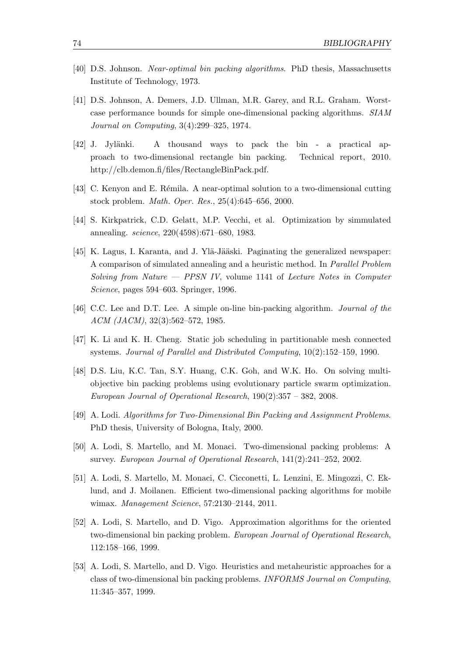- [40] D.S. Johnson. Near-optimal bin packing algorithms. PhD thesis, Massachusetts Institute of Technology, 1973.
- [41] D.S. Johnson, A. Demers, J.D. Ullman, M.R. Garey, and R.L. Graham. Worstcase performance bounds for simple one-dimensional packing algorithms. SIAM Journal on Computing, 3(4):299–325, 1974.
- <span id="page-87-4"></span>[42] J. Jylänki. A thousand ways to pack the bin - a practical approach to two-dimensional rectangle bin packing. Technical report, 2010. http://clb.demon.fi/files/RectangleBinPack.pdf.
- [43] C. Kenyon and E. Rémila. A near-optimal solution to a two-dimensional cutting stock problem. Math. Oper. Res., 25(4):645–656, 2000.
- [44] S. Kirkpatrick, C.D. Gelatt, M.P. Vecchi, et al. Optimization by simmulated annealing. science, 220(4598):671–680, 1983.
- <span id="page-87-0"></span>[45] K. Lagus, I. Karanta, and J. Ylä-Jääski. Paginating the generalized newspaper: A comparison of simulated annealing and a heuristic method. In Parallel Problem Solving from Nature  $-$  PPSN IV, volume 1141 of Lecture Notes in Computer Science, pages 594–603. Springer, 1996.
- [46] C.C. Lee and D.T. Lee. A simple on-line bin-packing algorithm. Journal of the ACM (JACM), 32(3):562–572, 1985.
- [47] K. Li and K. H. Cheng. Static job scheduling in partitionable mesh connected systems. Journal of Parallel and Distributed Computing, 10(2):152–159, 1990.
- [48] D.S. Liu, K.C. Tan, S.Y. Huang, C.K. Goh, and W.K. Ho. On solving multiobjective bin packing problems using evolutionary particle swarm optimization. European Journal of Operational Research, 190(2):357 – 382, 2008.
- <span id="page-87-2"></span>[49] A. Lodi. Algorithms for Two-Dimensional Bin Packing and Assignment Problems. PhD thesis, University of Bologna, Italy, 2000.
- [50] A. Lodi, S. Martello, and M. Monaci. Two-dimensional packing problems: A survey. European Journal of Operational Research, 141(2):241–252, 2002.
- <span id="page-87-1"></span>[51] A. Lodi, S. Martello, M. Monaci, C. Cicconetti, L. Lenzini, E. Mingozzi, C. Eklund, and J. Moilanen. Efficient two-dimensional packing algorithms for mobile wimax. Management Science, 57:2130–2144, 2011.
- [52] A. Lodi, S. Martello, and D. Vigo. Approximation algorithms for the oriented two-dimensional bin packing problem. European Journal of Operational Research, 112:158–166, 1999.
- <span id="page-87-3"></span>[53] A. Lodi, S. Martello, and D. Vigo. Heuristics and metaheuristic approaches for a class of two-dimensional bin packing problems. INFORMS Journal on Computing, 11:345–357, 1999.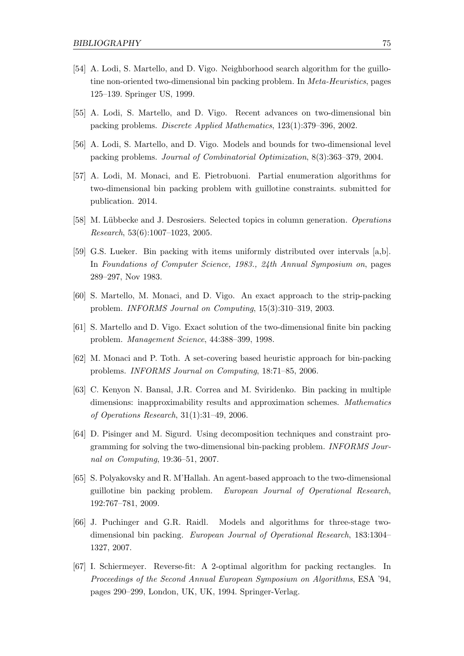- [54] A. Lodi, S. Martello, and D. Vigo. Neighborhood search algorithm for the guillotine non-oriented two-dimensional bin packing problem. In *Meta-Heuristics*, pages 125–139. Springer US, 1999.
- [55] A. Lodi, S. Martello, and D. Vigo. Recent advances on two-dimensional bin packing problems. Discrete Applied Mathematics, 123(1):379–396, 2002.
- <span id="page-88-0"></span>[56] A. Lodi, S. Martello, and D. Vigo. Models and bounds for two-dimensional level packing problems. Journal of Combinatorial Optimization, 8(3):363–379, 2004.
- [57] A. Lodi, M. Monaci, and E. Pietrobuoni. Partial enumeration algorithms for two-dimensional bin packing problem with guillotine constraints. submitted for publication. 2014.
- [58] M. Lübbecke and J. Desrosiers. Selected topics in column generation. *Operations* Research, 53(6):1007–1023, 2005.
- [59] G.S. Lueker. Bin packing with items uniformly distributed over intervals [a,b]. In Foundations of Computer Science, 1983., 24th Annual Symposium on, pages 289–297, Nov 1983.
- [60] S. Martello, M. Monaci, and D. Vigo. An exact approach to the strip-packing problem. INFORMS Journal on Computing, 15(3):310–319, 2003.
- <span id="page-88-4"></span>[61] S. Martello and D. Vigo. Exact solution of the two-dimensional finite bin packing problem. Management Science, 44:388–399, 1998.
- <span id="page-88-5"></span>[62] M. Monaci and P. Toth. A set-covering based heuristic approach for bin-packing problems. INFORMS Journal on Computing, 18:71–85, 2006.
- [63] C. Kenyon N. Bansal, J.R. Correa and M. Sviridenko. Bin packing in multiple dimensions: inapproximability results and approximation schemes. Mathematics of Operations Research, 31(1):31–49, 2006.
- <span id="page-88-2"></span>[64] D. Pisinger and M. Sigurd. Using decomposition techniques and constraint programming for solving the two-dimensional bin-packing problem. INFORMS Journal on Computing, 19:36–51, 2007.
- <span id="page-88-3"></span>[65] S. Polyakovsky and R. M'Hallah. An agent-based approach to the two-dimensional guillotine bin packing problem. European Journal of Operational Research, 192:767–781, 2009.
- <span id="page-88-1"></span>[66] J. Puchinger and G.R. Raidl. Models and algorithms for three-stage twodimensional bin packing. European Journal of Operational Research, 183:1304– 1327, 2007.
- [67] I. Schiermeyer. Reverse-fit: A 2-optimal algorithm for packing rectangles. In Proceedings of the Second Annual European Symposium on Algorithms, ESA '94, pages 290–299, London, UK, UK, 1994. Springer-Verlag.